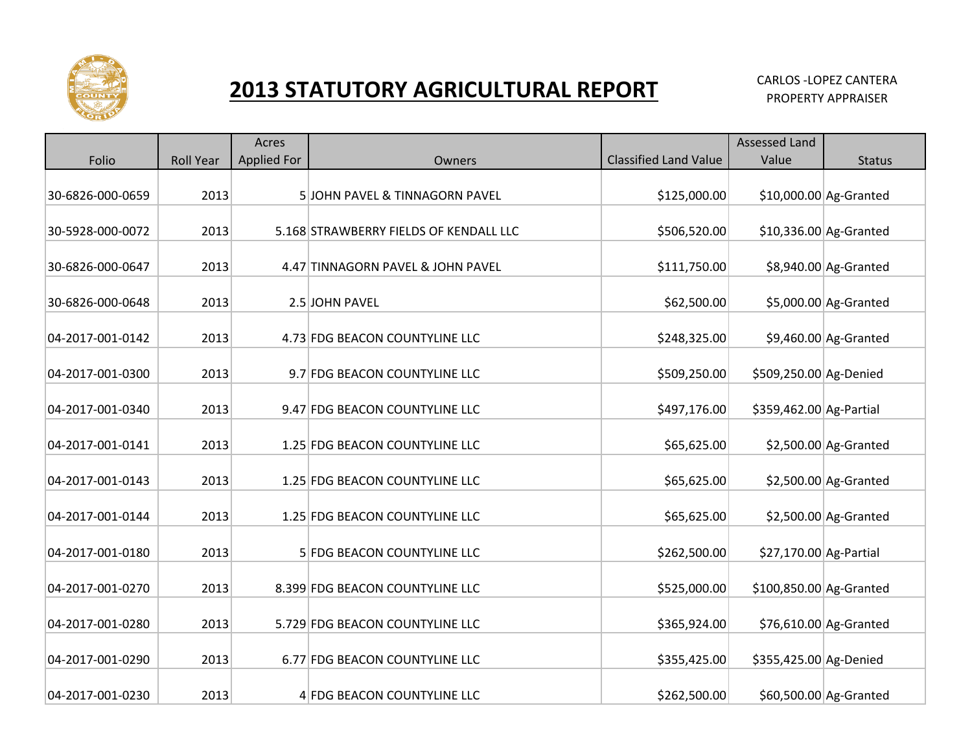

## **2013 STATUTORY AGRICULTURAL REPORT CARLOS -LOPEZ CANTERA**

|                  |                  | Acres              |                                        |                              | <b>Assessed Land</b>    |                         |
|------------------|------------------|--------------------|----------------------------------------|------------------------------|-------------------------|-------------------------|
| Folio            | <b>Roll Year</b> | <b>Applied For</b> | Owners                                 | <b>Classified Land Value</b> | Value                   | <b>Status</b>           |
| 30-6826-000-0659 | 2013             |                    | 5JOHN PAVEL & TINNAGORN PAVEL          | \$125,000.00                 |                         | $$10,000.00$ Ag-Granted |
| 30-5928-000-0072 | 2013             |                    | 5.168 STRAWBERRY FIELDS OF KENDALL LLC | \$506,520.00                 |                         | $$10,336.00$ Ag-Granted |
| 30-6826-000-0647 | 2013             |                    | 4.47 TINNAGORN PAVEL & JOHN PAVEL      | \$111,750.00                 |                         | \$8,940.00 Ag-Granted   |
| 30-6826-000-0648 | 2013             |                    | 2.5 JOHN PAVEL                         | \$62,500.00                  |                         | \$5,000.00 Ag-Granted   |
| 04-2017-001-0142 | 2013             |                    | 4.73 FDG BEACON COUNTYLINE LLC         | \$248,325.00                 |                         | $$9,460.00$ Ag-Granted  |
| 04-2017-001-0300 | 2013             |                    | 9.7 FDG BEACON COUNTYLINE LLC          | \$509,250.00                 | \$509,250.00 Ag-Denied  |                         |
| 04-2017-001-0340 | 2013             |                    | 9.47 FDG BEACON COUNTYLINE LLC         | \$497,176.00                 | \$359,462.00 Ag-Partial |                         |
| 04-2017-001-0141 | 2013             |                    | 1.25 FDG BEACON COUNTYLINE LLC         | \$65,625.00                  |                         | $$2,500.00$ Ag-Granted  |
| 04-2017-001-0143 | 2013             |                    | 1.25 FDG BEACON COUNTYLINE LLC         | \$65,625.00                  |                         | $$2,500.00$ Ag-Granted  |
| 04-2017-001-0144 | 2013             |                    | 1.25 FDG BEACON COUNTYLINE LLC         | \$65,625.00                  |                         | $$2,500.00$ Ag-Granted  |
| 04-2017-001-0180 | 2013             |                    | 5 FDG BEACON COUNTYLINE LLC            | \$262,500.00                 | \$27,170.00 Ag-Partial  |                         |
| 04-2017-001-0270 | 2013             |                    | 8.399 FDG BEACON COUNTYLINE LLC        | \$525,000.00                 | \$100,850.00 Ag-Granted |                         |
| 04-2017-001-0280 | 2013             |                    | 5.729 FDG BEACON COUNTYLINE LLC        | \$365,924.00                 |                         | \$76,610.00 Ag-Granted  |
| 04-2017-001-0290 | 2013             |                    | 6.77 FDG BEACON COUNTYLINE LLC         | \$355,425.00                 | \$355,425.00 Ag-Denied  |                         |
| 04-2017-001-0230 | 2013             |                    | 4 FDG BEACON COUNTYLINE LLC            | \$262,500.00                 |                         | \$60,500.00 Ag-Granted  |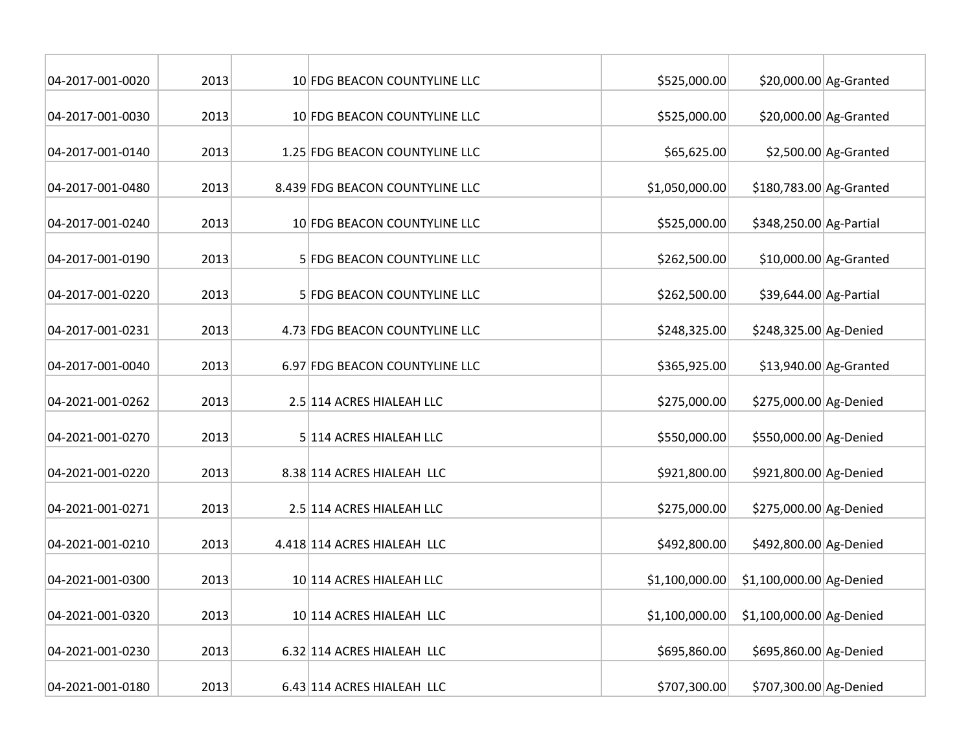| 04-2017-001-0020 | 2013 | 10 FDG BEACON COUNTYLINE LLC    | \$525,000.00   |                          | $$20,000.00$ Ag-Granted |
|------------------|------|---------------------------------|----------------|--------------------------|-------------------------|
| 04-2017-001-0030 | 2013 | 10 FDG BEACON COUNTYLINE LLC    | \$525,000.00   |                          | \$20,000.00 Ag-Granted  |
| 04-2017-001-0140 | 2013 | 1.25 FDG BEACON COUNTYLINE LLC  | \$65,625.00    |                          | $$2,500.00$ Ag-Granted  |
| 04-2017-001-0480 | 2013 | 8.439 FDG BEACON COUNTYLINE LLC | \$1,050,000.00 | \$180,783.00 Ag-Granted  |                         |
| 04-2017-001-0240 | 2013 | 10 FDG BEACON COUNTYLINE LLC    | \$525,000.00   | \$348,250.00 Ag-Partial  |                         |
| 04-2017-001-0190 | 2013 | 5 FDG BEACON COUNTYLINE LLC     | \$262,500.00   |                          | \$10,000.00 Ag-Granted  |
| 04-2017-001-0220 | 2013 | 5 FDG BEACON COUNTYLINE LLC     | \$262,500.00   | \$39,644.00 Ag-Partial   |                         |
| 04-2017-001-0231 | 2013 | 4.73 FDG BEACON COUNTYLINE LLC  | \$248,325.00   | \$248,325.00 Ag-Denied   |                         |
| 04-2017-001-0040 | 2013 | 6.97 FDG BEACON COUNTYLINE LLC  | \$365,925.00   |                          | \$13,940.00 Ag-Granted  |
| 04-2021-001-0262 | 2013 | 2.5 114 ACRES HIALEAH LLC       | \$275,000.00   | \$275,000.00 Ag-Denied   |                         |
| 04-2021-001-0270 | 2013 | 5 114 ACRES HIALEAH LLC         | \$550,000.00   | \$550,000.00 Ag-Denied   |                         |
| 04-2021-001-0220 | 2013 | 8.38 114 ACRES HIALEAH LLC      | \$921,800.00   | \$921,800.00 Ag-Denied   |                         |
| 04-2021-001-0271 | 2013 | 2.5 114 ACRES HIALEAH LLC       | \$275,000.00   | \$275,000.00 Ag-Denied   |                         |
| 04-2021-001-0210 | 2013 | 4.418 114 ACRES HIALEAH LLC     | \$492,800.00   | \$492,800.00 Ag-Denied   |                         |
| 04-2021-001-0300 | 2013 | 10 114 ACRES HIALEAH LLC        | \$1,100,000.00 | \$1,100,000.00 Ag-Denied |                         |
| 04-2021-001-0320 | 2013 | 10 114 ACRES HIALEAH LLC        | \$1,100,000.00 | \$1,100,000.00 Ag-Denied |                         |
| 04-2021-001-0230 | 2013 | 6.32 114 ACRES HIALEAH LLC      | \$695,860.00   | \$695,860.00 Ag-Denied   |                         |
| 04-2021-001-0180 | 2013 | 6.43 114 ACRES HIALEAH LLC      | \$707,300.00   | \$707,300.00 Ag-Denied   |                         |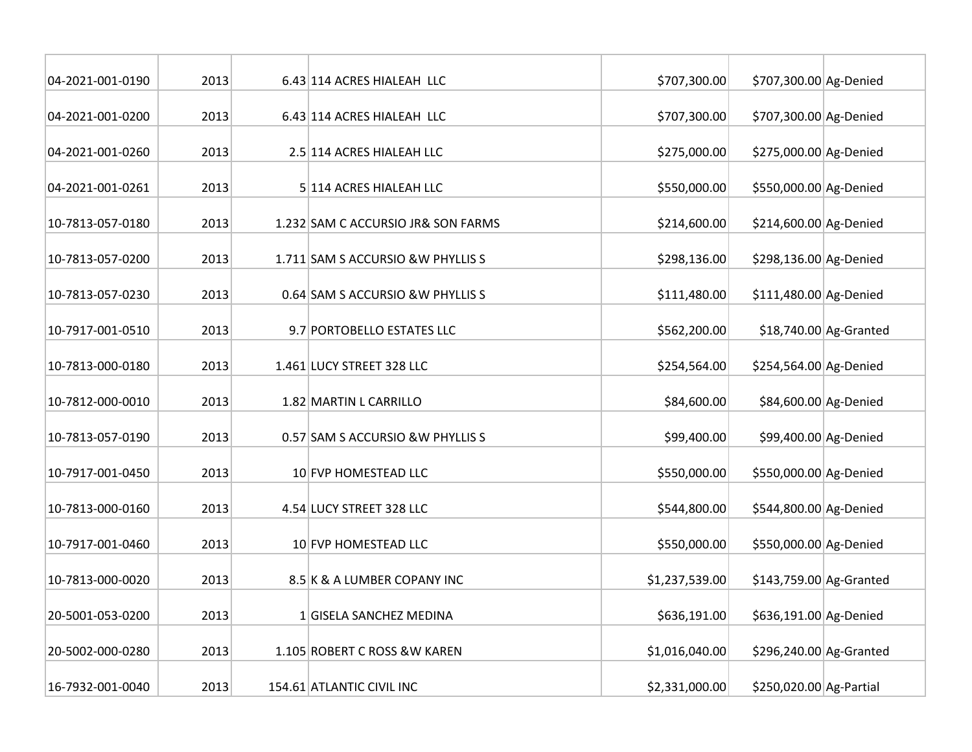| 04-2021-001-0190 | 2013 | 6.43 114 ACRES HIALEAH LLC         | \$707,300.00   | \$707,300.00 Ag-Denied  |                         |
|------------------|------|------------------------------------|----------------|-------------------------|-------------------------|
| 04-2021-001-0200 | 2013 | 6.43 114 ACRES HIALEAH LLC         | \$707,300.00   | \$707,300.00 Ag-Denied  |                         |
| 04-2021-001-0260 | 2013 | 2.5 114 ACRES HIALEAH LLC          | \$275,000.00   | \$275,000.00 Ag-Denied  |                         |
| 04-2021-001-0261 | 2013 | 5 114 ACRES HIALEAH LLC            | \$550,000.00   | \$550,000.00 Ag-Denied  |                         |
| 10-7813-057-0180 | 2013 | 1.232 SAM C ACCURSIO JR& SON FARMS | \$214,600.00   | \$214,600.00 Ag-Denied  |                         |
| 10-7813-057-0200 | 2013 | 1.711 SAM S ACCURSIO & W PHYLLIS S | \$298,136.00   | \$298,136.00 Ag-Denied  |                         |
| 10-7813-057-0230 | 2013 | 0.64 SAM S ACCURSIO & W PHYLLIS S  | \$111,480.00   | \$111,480.00 Ag-Denied  |                         |
| 10-7917-001-0510 | 2013 | 9.7 PORTOBELLO ESTATES LLC         | \$562,200.00   |                         | $$18,740.00$ Ag-Granted |
| 10-7813-000-0180 | 2013 | 1.461 LUCY STREET 328 LLC          | \$254,564.00   | \$254,564.00 Ag-Denied  |                         |
| 10-7812-000-0010 | 2013 | 1.82 MARTIN L CARRILLO             | \$84,600.00    | \$84,600.00 Ag-Denied   |                         |
| 10-7813-057-0190 | 2013 | 0.57 SAM S ACCURSIO & W PHYLLIS S  | \$99,400.00    | \$99,400.00 Ag-Denied   |                         |
| 10-7917-001-0450 | 2013 | 10 FVP HOMESTEAD LLC               | \$550,000.00   | \$550,000.00 Ag-Denied  |                         |
| 10-7813-000-0160 | 2013 | 4.54 LUCY STREET 328 LLC           | \$544,800.00   | \$544,800.00 Ag-Denied  |                         |
| 10-7917-001-0460 | 2013 | 10 FVP HOMESTEAD LLC               | \$550,000.00   | \$550,000.00 Ag-Denied  |                         |
| 10-7813-000-0020 | 2013 | 8.5 K & A LUMBER COPANY INC        | \$1,237,539.00 | \$143,759.00 Ag-Granted |                         |
| 20-5001-053-0200 | 2013 | 1 GISELA SANCHEZ MEDINA            | \$636,191.00   | \$636,191.00 Ag-Denied  |                         |
| 20-5002-000-0280 | 2013 | 1.105 ROBERT C ROSS & W KAREN      | \$1,016,040.00 | \$296,240.00 Ag-Granted |                         |
| 16-7932-001-0040 | 2013 | 154.61 ATLANTIC CIVIL INC          | \$2,331,000.00 | \$250,020.00 Ag-Partial |                         |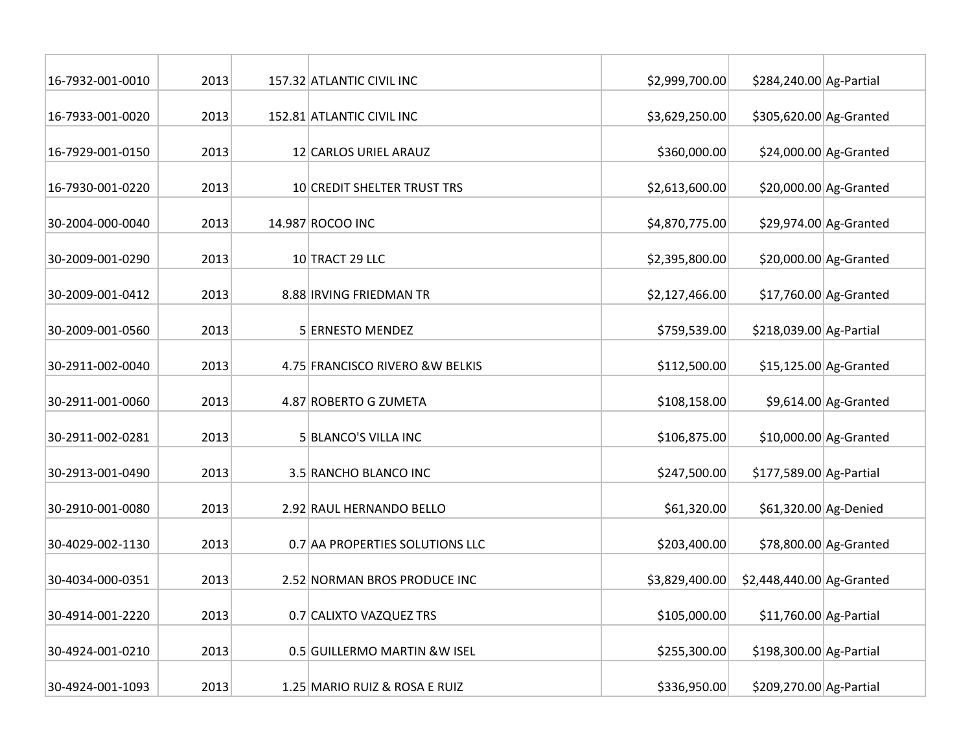| 16-7932-001-0010 | 2013 | 157.32 ATLANTIC CIVIL INC        | \$2,999,700.00 | \$284,240.00 Ag-Partial   |                         |
|------------------|------|----------------------------------|----------------|---------------------------|-------------------------|
| 16-7933-001-0020 | 2013 | 152.81 ATLANTIC CIVIL INC        | \$3,629,250.00 | \$305,620.00 Ag-Granted   |                         |
| 16-7929-001-0150 | 2013 | 12 CARLOS URIEL ARAUZ            | \$360,000.00   |                           | \$24,000.00 Ag-Granted  |
| 16-7930-001-0220 | 2013 | 10 CREDIT SHELTER TRUST TRS      | \$2,613,600.00 |                           | $$20,000.00$ Ag-Granted |
| 30-2004-000-0040 | 2013 | 14.987 ROCOO INC                 | \$4,870,775.00 |                           | \$29,974.00 Ag-Granted  |
| 30-2009-001-0290 | 2013 | 10 TRACT 29 LLC                  | \$2,395,800.00 |                           | $$20,000.00$ Ag-Granted |
| 30-2009-001-0412 | 2013 | 8.88 IRVING FRIEDMAN TR          | \$2,127,466.00 |                           | $$17,760.00$ Ag-Granted |
| 30-2009-001-0560 | 2013 | 5 ERNESTO MENDEZ                 | \$759,539.00   | \$218,039.00 Ag-Partial   |                         |
| 30-2911-002-0040 | 2013 | 4.75 FRANCISCO RIVERO & W BELKIS | \$112,500.00   |                           | $$15,125.00$ Ag-Granted |
| 30-2911-001-0060 | 2013 | 4.87 ROBERTO G ZUMETA            | \$108,158.00   |                           | $$9,614.00$ Ag-Granted  |
| 30-2911-002-0281 | 2013 | 5 BLANCO'S VILLA INC             | \$106,875.00   |                           | $$10,000.00$ Ag-Granted |
| 30-2913-001-0490 | 2013 | 3.5 RANCHO BLANCO INC            | \$247,500.00   | \$177,589.00 Ag-Partial   |                         |
| 30-2910-001-0080 | 2013 | 2.92 RAUL HERNANDO BELLO         | \$61,320.00    | \$61,320.00 Ag-Denied     |                         |
| 30-4029-002-1130 | 2013 | 0.7 AA PROPERTIES SOLUTIONS LLC  | \$203,400.00   |                           | \$78,800.00 Ag-Granted  |
| 30-4034-000-0351 | 2013 | 2.52 NORMAN BROS PRODUCE INC     | \$3,829,400.00 | \$2,448,440.00 Ag-Granted |                         |
| 30-4914-001-2220 | 2013 | 0.7 CALIXTO VAZQUEZ TRS          | \$105,000.00   | $$11,760.00$ Ag-Partial   |                         |
| 30-4924-001-0210 | 2013 | 0.5 GUILLERMO MARTIN & W ISEL    | \$255,300.00   | \$198,300.00 Ag-Partial   |                         |
| 30-4924-001-1093 | 2013 | 1.25 MARIO RUIZ & ROSA E RUIZ    | \$336,950.00   | \$209,270.00 Ag-Partial   |                         |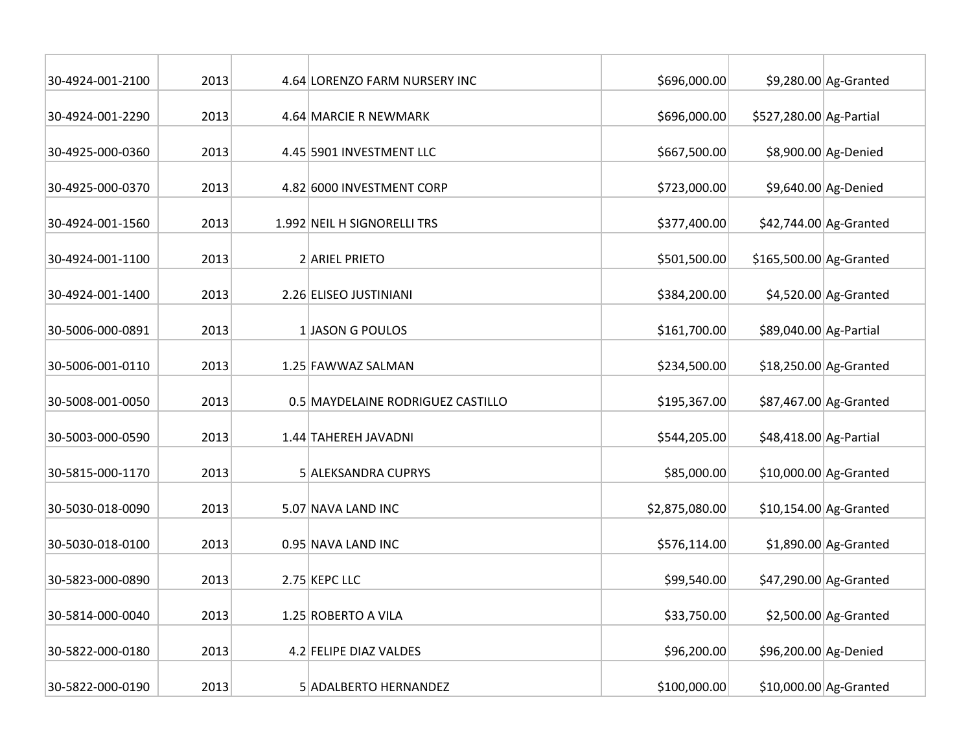| 30-4924-001-2100 | 2013 | 4.64 LORENZO FARM NURSERY INC     | \$696,000.00   |                         | $$9,280.00$ Ag-Granted  |
|------------------|------|-----------------------------------|----------------|-------------------------|-------------------------|
| 30-4924-001-2290 | 2013 | 4.64 MARCIE R NEWMARK             | \$696,000.00   | \$527,280.00 Ag-Partial |                         |
| 30-4925-000-0360 | 2013 | 4.45 5901 INVESTMENT LLC          | \$667,500.00   |                         | \$8,900.00 Ag-Denied    |
| 30-4925-000-0370 | 2013 | 4.82 6000 INVESTMENT CORP         | \$723,000.00   |                         | \$9,640.00 Ag-Denied    |
| 30-4924-001-1560 | 2013 | 1.992 NEIL H SIGNORELLI TRS       | \$377,400.00   |                         | \$42,744.00 Ag-Granted  |
| 30-4924-001-1100 | 2013 | 2 ARIEL PRIETO                    | \$501,500.00   | \$165,500.00 Ag-Granted |                         |
| 30-4924-001-1400 | 2013 | 2.26 ELISEO JUSTINIANI            | \$384,200.00   |                         | $$4,520.00$ Ag-Granted  |
| 30-5006-000-0891 | 2013 | 1 JASON G POULOS                  | \$161,700.00   | \$89,040.00 Ag-Partial  |                         |
| 30-5006-001-0110 | 2013 | 1.25 FAWWAZ SALMAN                | \$234,500.00   |                         | \$18,250.00 Ag-Granted  |
| 30-5008-001-0050 | 2013 | 0.5 MAYDELAINE RODRIGUEZ CASTILLO | \$195,367.00   |                         | \$87,467.00 Ag-Granted  |
| 30-5003-000-0590 | 2013 | 1.44 TAHEREH JAVADNI              | \$544,205.00   | \$48,418.00 Ag-Partial  |                         |
| 30-5815-000-1170 | 2013 | 5 ALEKSANDRA CUPRYS               | \$85,000.00    |                         | \$10,000.00 Ag-Granted  |
| 30-5030-018-0090 | 2013 | 5.07 NAVA LAND INC                | \$2,875,080.00 |                         | $$10,154.00$ Ag-Granted |
| 30-5030-018-0100 | 2013 | 0.95 NAVA LAND INC                | \$576,114.00   |                         | $$1,890.00$ Ag-Granted  |
| 30-5823-000-0890 | 2013 | 2.75 KEPC LLC                     | \$99,540.00    |                         | \$47,290.00 Ag-Granted  |
| 30-5814-000-0040 | 2013 | 1.25 ROBERTO A VILA               | \$33,750.00    |                         | $$2,500.00$ Ag-Granted  |
| 30-5822-000-0180 | 2013 | 4.2 FELIPE DIAZ VALDES            | \$96,200.00    | \$96,200.00 Ag-Denied   |                         |
| 30-5822-000-0190 | 2013 | 5 ADALBERTO HERNANDEZ             | \$100,000.00   |                         | \$10,000.00 Ag-Granted  |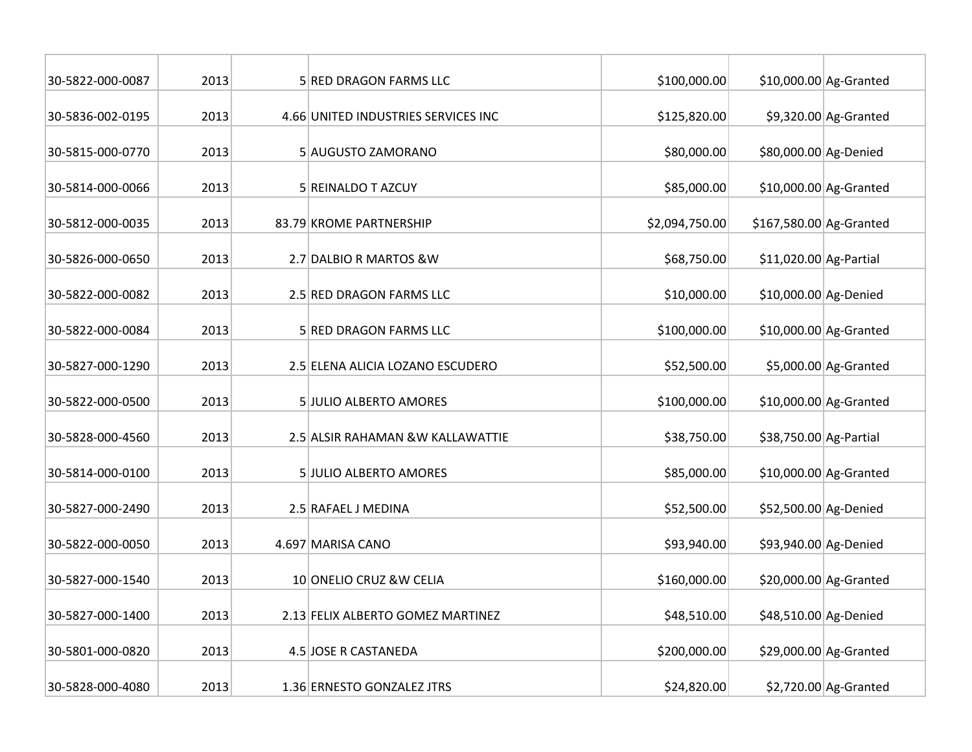| 30-5822-000-0087 | 2013 | 5 RED DRAGON FARMS LLC              | \$100,000.00   |                         | $$10,000.00$ Ag-Granted |
|------------------|------|-------------------------------------|----------------|-------------------------|-------------------------|
| 30-5836-002-0195 | 2013 | 4.66 UNITED INDUSTRIES SERVICES INC | \$125,820.00   |                         | \$9,320.00 Ag-Granted   |
| 30-5815-000-0770 | 2013 | 5 AUGUSTO ZAMORANO                  | \$80,000.00    | \$80,000.00 Ag-Denied   |                         |
| 30-5814-000-0066 | 2013 | 5 REINALDO T AZCUY                  | \$85,000.00    |                         | $$10,000.00$ Ag-Granted |
| 30-5812-000-0035 | 2013 | 83.79 KROME PARTNERSHIP             | \$2,094,750.00 | \$167,580.00 Ag-Granted |                         |
| 30-5826-000-0650 | 2013 | 2.7 DALBIO R MARTOS & W             | \$68,750.00    | $$11,020.00$ Ag-Partial |                         |
| 30-5822-000-0082 | 2013 | 2.5 RED DRAGON FARMS LLC            | \$10,000.00    | \$10,000.00 Ag-Denied   |                         |
| 30-5822-000-0084 | 2013 | 5 RED DRAGON FARMS LLC              | \$100,000.00   |                         | $$10,000.00$ Ag-Granted |
| 30-5827-000-1290 | 2013 | 2.5 ELENA ALICIA LOZANO ESCUDERO    | \$52,500.00    |                         | \$5,000.00 Ag-Granted   |
| 30-5822-000-0500 | 2013 | <b>5 JULIO ALBERTO AMORES</b>       | \$100,000.00   |                         | $$10,000.00$ Ag-Granted |
| 30-5828-000-4560 | 2013 | 2.5 ALSIR RAHAMAN & W KALLAWATTIE   | \$38,750.00    | \$38,750.00 Ag-Partial  |                         |
| 30-5814-000-0100 | 2013 | <b>5 JULIO ALBERTO AMORES</b>       | \$85,000.00    |                         | \$10,000.00 Ag-Granted  |
| 30-5827-000-2490 | 2013 | 2.5 RAFAEL J MEDINA                 | \$52,500.00    | \$52,500.00 Ag-Denied   |                         |
| 30-5822-000-0050 | 2013 | 4.697 MARISA CANO                   | \$93,940.00    | \$93,940.00 Ag-Denied   |                         |
| 30-5827-000-1540 | 2013 | 10 ONELIO CRUZ & W CELIA            | \$160,000.00   |                         | \$20,000.00 Ag-Granted  |
| 30-5827-000-1400 | 2013 | 2.13 FELIX ALBERTO GOMEZ MARTINEZ   | \$48,510.00    | \$48,510.00 Ag-Denied   |                         |
| 30-5801-000-0820 | 2013 | 4.5 JOSE R CASTANEDA                | \$200,000.00   |                         | \$29,000.00 Ag-Granted  |
| 30-5828-000-4080 | 2013 | 1.36 ERNESTO GONZALEZ JTRS          | \$24,820.00    |                         | $$2,720.00$ Ag-Granted  |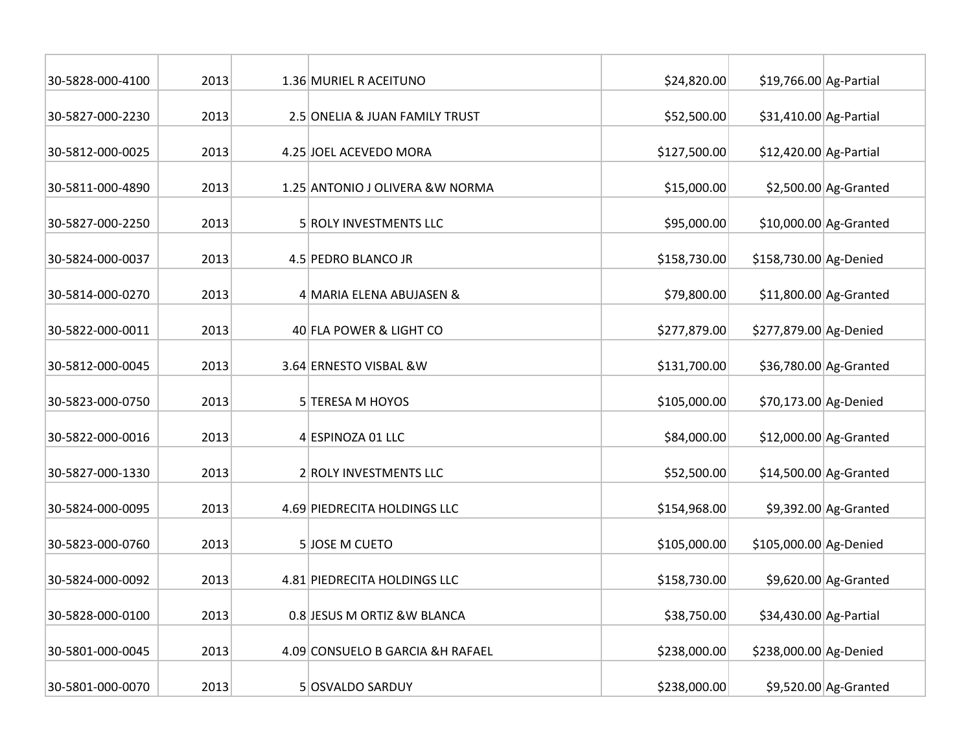| 30-5828-000-4100 | 2013 | 1.36 MURIEL R ACEITUNO           | \$24,820.00  | \$19,766.00 Ag-Partial |                         |
|------------------|------|----------------------------------|--------------|------------------------|-------------------------|
| 30-5827-000-2230 | 2013 | 2.5 ONELIA & JUAN FAMILY TRUST   | \$52,500.00  | \$31,410.00 Ag-Partial |                         |
| 30-5812-000-0025 | 2013 | 4.25 JOEL ACEVEDO MORA           | \$127,500.00 | \$12,420.00 Ag-Partial |                         |
| 30-5811-000-4890 | 2013 | 1.25 ANTONIO J OLIVERA & W NORMA | \$15,000.00  |                        | $$2,500.00$ Ag-Granted  |
| 30-5827-000-2250 | 2013 | 5 ROLY INVESTMENTS LLC           | \$95,000.00  |                        | $$10,000.00$ Ag-Granted |
| 30-5824-000-0037 | 2013 | 4.5 PEDRO BLANCO JR              | \$158,730.00 | \$158,730.00 Ag-Denied |                         |
| 30-5814-000-0270 | 2013 | 4 MARIA ELENA ABUJASEN &         | \$79,800.00  |                        | \$11,800.00 Ag-Granted  |
| 30-5822-000-0011 | 2013 | 40 FLA POWER & LIGHT CO          | \$277,879.00 | \$277,879.00 Ag-Denied |                         |
| 30-5812-000-0045 | 2013 | 3.64 ERNESTO VISBAL & W          | \$131,700.00 |                        | \$36,780.00 Ag-Granted  |
| 30-5823-000-0750 | 2013 | 5 TERESA M HOYOS                 | \$105,000.00 | \$70,173.00 Ag-Denied  |                         |
| 30-5822-000-0016 | 2013 | 4 ESPINOZA 01 LLC                | \$84,000.00  |                        | \$12,000.00 Ag-Granted  |
| 30-5827-000-1330 | 2013 | 2 ROLY INVESTMENTS LLC           | \$52,500.00  |                        | \$14,500.00 Ag-Granted  |
| 30-5824-000-0095 | 2013 | 4.69 PIEDRECITA HOLDINGS LLC     | \$154,968.00 |                        | $$9,392.00$ Ag-Granted  |
| 30-5823-000-0760 | 2013 | 5 JOSE M CUETO                   | \$105,000.00 | \$105,000.00 Ag-Denied |                         |
| 30-5824-000-0092 | 2013 | 4.81 PIEDRECITA HOLDINGS LLC     | \$158,730.00 |                        | $$9,620.00$ Ag-Granted  |
| 30-5828-000-0100 | 2013 | 0.8 JESUS M ORTIZ &W BLANCA      | \$38,750.00  | \$34,430.00 Ag-Partial |                         |
| 30-5801-000-0045 | 2013 | 4.09 CONSUELO B GARCIA &H RAFAEL | \$238,000.00 | \$238,000.00 Ag-Denied |                         |
| 30-5801-000-0070 | 2013 | 5 OSVALDO SARDUY                 | \$238,000.00 |                        | $$9,520.00$ Ag-Granted  |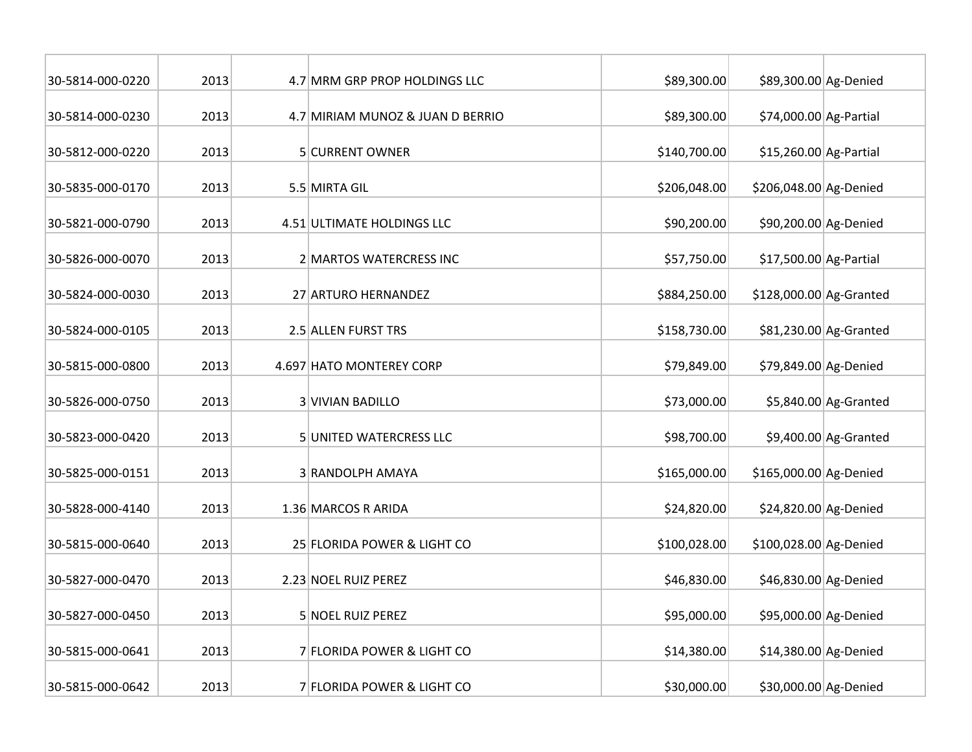| 30-5814-000-0220 | 2013 | 4.7 MRM GRP PROP HOLDINGS LLC    | \$89,300.00  | \$89,300.00 Ag-Denied   |                        |
|------------------|------|----------------------------------|--------------|-------------------------|------------------------|
| 30-5814-000-0230 | 2013 | 4.7 MIRIAM MUNOZ & JUAN D BERRIO | \$89,300.00  | \$74,000.00 Ag-Partial  |                        |
| 30-5812-000-0220 | 2013 | 5 CURRENT OWNER                  | \$140,700.00 | \$15,260.00 Ag-Partial  |                        |
| 30-5835-000-0170 | 2013 | 5.5 MIRTA GIL                    | \$206,048.00 | \$206,048.00 Ag-Denied  |                        |
| 30-5821-000-0790 | 2013 | 4.51 ULTIMATE HOLDINGS LLC       | \$90,200.00  | \$90,200.00 Ag-Denied   |                        |
| 30-5826-000-0070 | 2013 | 2 MARTOS WATERCRESS INC          | \$57,750.00  | \$17,500.00 Ag-Partial  |                        |
| 30-5824-000-0030 | 2013 | 27 ARTURO HERNANDEZ              | \$884,250.00 | \$128,000.00 Ag-Granted |                        |
| 30-5824-000-0105 | 2013 | 2.5 ALLEN FURST TRS              | \$158,730.00 |                         | \$81,230.00 Ag-Granted |
| 30-5815-000-0800 | 2013 | 4.697 HATO MONTEREY CORP         | \$79,849.00  | \$79,849.00 Ag-Denied   |                        |
| 30-5826-000-0750 | 2013 | <b>3 VIVIAN BADILLO</b>          | \$73,000.00  |                         | $$5,840.00$ Ag-Granted |
| 30-5823-000-0420 | 2013 | 5 UNITED WATERCRESS LLC          | \$98,700.00  |                         | \$9,400.00 Ag-Granted  |
| 30-5825-000-0151 | 2013 | 3 RANDOLPH AMAYA                 | \$165,000.00 | \$165,000.00 Ag-Denied  |                        |
| 30-5828-000-4140 | 2013 | 1.36 MARCOS R ARIDA              | \$24,820.00  | \$24,820.00 Ag-Denied   |                        |
| 30-5815-000-0640 | 2013 | 25 FLORIDA POWER & LIGHT CO      | \$100,028.00 | \$100,028.00 Ag-Denied  |                        |
| 30-5827-000-0470 | 2013 | 2.23 NOEL RUIZ PEREZ             | \$46,830.00  | \$46,830.00 Ag-Denied   |                        |
| 30-5827-000-0450 | 2013 | 5 NOEL RUIZ PEREZ                | \$95,000.00  | \$95,000.00 Ag-Denied   |                        |
| 30-5815-000-0641 | 2013 | 7 FLORIDA POWER & LIGHT CO       | \$14,380.00  | \$14,380.00 Ag-Denied   |                        |
| 30-5815-000-0642 | 2013 | 7 FLORIDA POWER & LIGHT CO       | \$30,000.00  | \$30,000.00 Ag-Denied   |                        |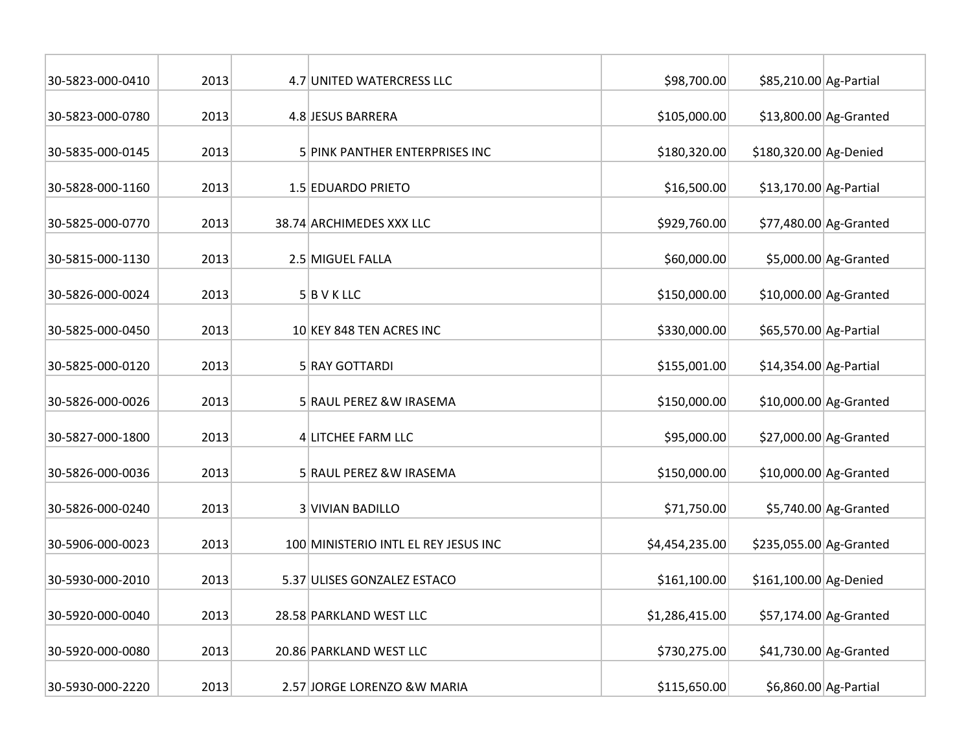| 30-5823-000-0410 | 2013 | 4.7 UNITED WATERCRESS LLC            | \$98,700.00    | \$85,210.00 Ag-Partial  |                         |
|------------------|------|--------------------------------------|----------------|-------------------------|-------------------------|
| 30-5823-000-0780 | 2013 | 4.8 JESUS BARRERA                    | \$105,000.00   |                         | $$13,800.00$ Ag-Granted |
| 30-5835-000-0145 | 2013 | 5 PINK PANTHER ENTERPRISES INC       | \$180,320.00   | \$180,320.00 Ag-Denied  |                         |
| 30-5828-000-1160 | 2013 | 1.5 EDUARDO PRIETO                   | \$16,500.00    | \$13,170.00 Ag-Partial  |                         |
| 30-5825-000-0770 | 2013 | 38.74 ARCHIMEDES XXX LLC             | \$929,760.00   |                         | \$77,480.00 Ag-Granted  |
| 30-5815-000-1130 | 2013 | 2.5 MIGUEL FALLA                     | \$60,000.00    |                         | \$5,000.00 Ag-Granted   |
| 30-5826-000-0024 | 2013 | $5$ B V K LLC                        | \$150,000.00   |                         | $$10,000.00$ Ag-Granted |
| 30-5825-000-0450 | 2013 | 10 KEY 848 TEN ACRES INC             | \$330,000.00   | \$65,570.00 Ag-Partial  |                         |
| 30-5825-000-0120 | 2013 | 5 RAY GOTTARDI                       | \$155,001.00   | \$14,354.00 Ag-Partial  |                         |
| 30-5826-000-0026 | 2013 | 5 RAUL PEREZ &W IRASEMA              | \$150,000.00   |                         | $$10,000.00$ Ag-Granted |
| 30-5827-000-1800 | 2013 | 4 LITCHEE FARM LLC                   | \$95,000.00    |                         | $$27,000.00$ Ag-Granted |
| 30-5826-000-0036 | 2013 | 5 RAUL PEREZ &W IRASEMA              | \$150,000.00   |                         | \$10,000.00 Ag-Granted  |
| 30-5826-000-0240 | 2013 | 3 VIVIAN BADILLO                     | \$71,750.00    |                         | $$5,740.00$ Ag-Granted  |
| 30-5906-000-0023 | 2013 | 100 MINISTERIO INTL EL REY JESUS INC | \$4,454,235.00 | \$235,055.00 Ag-Granted |                         |
| 30-5930-000-2010 | 2013 | 5.37 ULISES GONZALEZ ESTACO          | \$161,100.00   | \$161,100.00 Ag-Denied  |                         |
| 30-5920-000-0040 | 2013 | 28.58 PARKLAND WEST LLC              | \$1,286,415.00 |                         | \$57,174.00 Ag-Granted  |
| 30-5920-000-0080 | 2013 | 20.86 PARKLAND WEST LLC              | \$730,275.00   |                         | \$41,730.00 Ag-Granted  |
| 30-5930-000-2220 | 2013 | 2.57 JORGE LORENZO & W MARIA         | \$115,650.00   |                         | \$6,860.00 Ag-Partial   |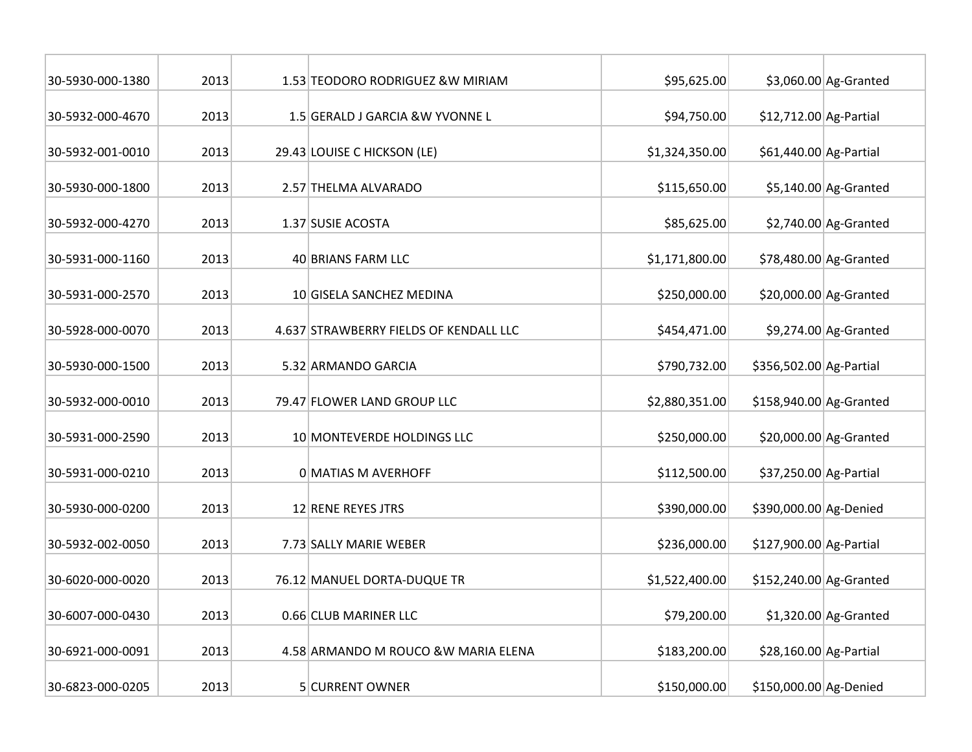| 30-5930-000-1380 | 2013 |                             | 1.53 TEODORO RODRIGUEZ & W MIRIAM      | \$95,625.00    |                         | $$3,060.00$ Ag-Granted |
|------------------|------|-----------------------------|----------------------------------------|----------------|-------------------------|------------------------|
| 30-5932-000-4670 | 2013 |                             | 1.5 GERALD J GARCIA & W YVONNE L       | \$94,750.00    | \$12,712.00 Ag-Partial  |                        |
| 30-5932-001-0010 | 2013 | 29.43 LOUISE C HICKSON (LE) |                                        | \$1,324,350.00 | \$61,440.00 Ag-Partial  |                        |
| 30-5930-000-1800 | 2013 |                             | 2.57 THELMA ALVARADO                   |                |                         | $$5,140.00$ Ag-Granted |
| 30-5932-000-4270 | 2013 | 1.37 SUSIE ACOSTA           |                                        | \$85,625.00    |                         | $$2,740.00$ Ag-Granted |
| 30-5931-000-1160 | 2013 | 40 BRIANS FARM LLC          |                                        | \$1,171,800.00 |                         | \$78,480.00 Ag-Granted |
| 30-5931-000-2570 | 2013 |                             | 10 GISELA SANCHEZ MEDINA               | \$250,000.00   |                         | \$20,000.00 Ag-Granted |
| 30-5928-000-0070 | 2013 |                             | 4.637 STRAWBERRY FIELDS OF KENDALL LLC | \$454,471.00   |                         | \$9,274.00 Ag-Granted  |
| 30-5930-000-1500 | 2013 | 5.32 ARMANDO GARCIA         |                                        | \$790,732.00   | \$356,502.00 Ag-Partial |                        |
| 30-5932-000-0010 | 2013 | 79.47 FLOWER LAND GROUP LLC |                                        | \$2,880,351.00 | \$158,940.00 Ag-Granted |                        |
| 30-5931-000-2590 | 2013 |                             | 10 MONTEVERDE HOLDINGS LLC             | \$250,000.00   |                         | \$20,000.00 Ag-Granted |
| 30-5931-000-0210 | 2013 | <b>OMATIAS M AVERHOFF</b>   |                                        | \$112,500.00   | \$37,250.00 Ag-Partial  |                        |
| 30-5930-000-0200 | 2013 | 12 RENE REYES JTRS          |                                        | \$390,000.00   | \$390,000.00 Ag-Denied  |                        |
| 30-5932-002-0050 | 2013 | 7.73 SALLY MARIE WEBER      |                                        | \$236,000.00   | \$127,900.00 Ag-Partial |                        |
| 30-6020-000-0020 | 2013 | 76.12 MANUEL DORTA-DUQUE TR |                                        | \$1,522,400.00 | \$152,240.00 Ag-Granted |                        |
| 30-6007-000-0430 | 2013 | 0.66 CLUB MARINER LLC       |                                        | \$79,200.00    |                         | $$1,320.00$ Ag-Granted |
| 30-6921-000-0091 | 2013 |                             | 4.58 ARMANDO M ROUCO & W MARIA ELENA   | \$183,200.00   | \$28,160.00 Ag-Partial  |                        |
| 30-6823-000-0205 | 2013 | 5 CURRENT OWNER             |                                        | \$150,000.00   | \$150,000.00 Ag-Denied  |                        |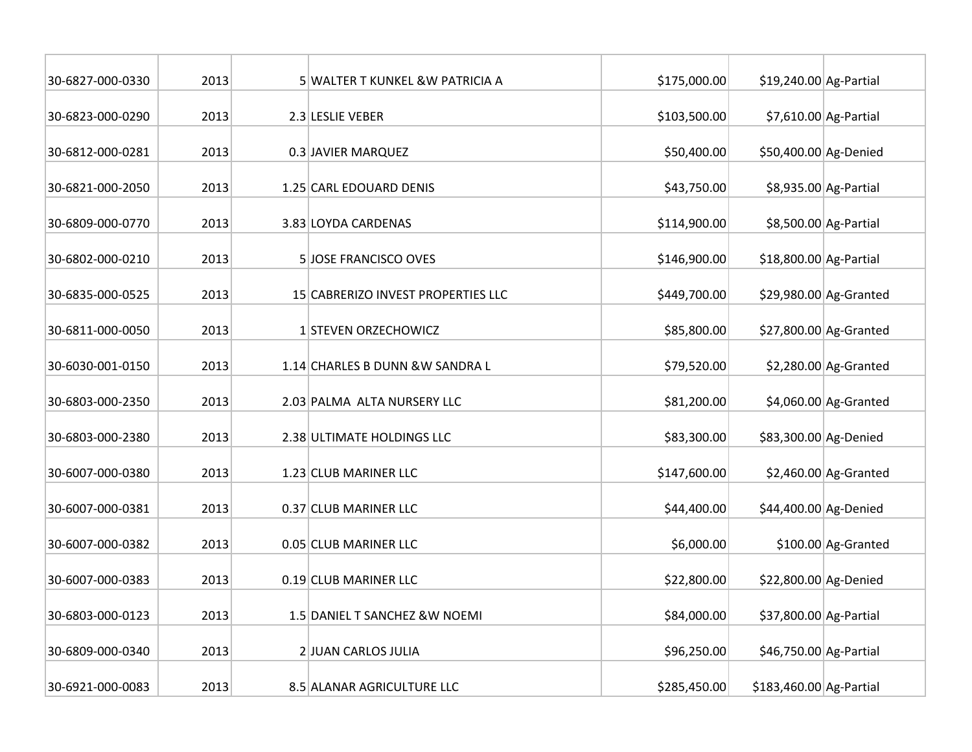| 30-6827-000-0330 | 2013 | 5 WALTER T KUNKEL &W PATRICIA A    | \$175,000.00 | \$19,240.00 Ag-Partial  |                        |
|------------------|------|------------------------------------|--------------|-------------------------|------------------------|
| 30-6823-000-0290 | 2013 | 2.3 LESLIE VEBER                   | \$103,500.00 |                         | \$7,610.00 Ag-Partial  |
| 30-6812-000-0281 | 2013 | 0.3 JAVIER MARQUEZ                 | \$50,400.00  | \$50,400.00 Ag-Denied   |                        |
| 30-6821-000-2050 | 2013 | 1.25 CARL EDOUARD DENIS            | \$43,750.00  |                         | \$8,935.00 Ag-Partial  |
| 30-6809-000-0770 | 2013 | 3.83 LOYDA CARDENAS                | \$114,900.00 |                         | \$8,500.00 Ag-Partial  |
| 30-6802-000-0210 | 2013 | 5 JOSE FRANCISCO OVES              | \$146,900.00 | \$18,800.00 Ag-Partial  |                        |
| 30-6835-000-0525 | 2013 | 15 CABRERIZO INVEST PROPERTIES LLC | \$449,700.00 |                         | \$29,980.00 Ag-Granted |
| 30-6811-000-0050 | 2013 | 1 STEVEN ORZECHOWICZ               | \$85,800.00  |                         | \$27,800.00 Ag-Granted |
| 30-6030-001-0150 | 2013 | 1.14 CHARLES B DUNN & W SANDRA L   | \$79,520.00  |                         | $$2,280.00$ Ag-Granted |
| 30-6803-000-2350 | 2013 | 2.03 PALMA ALTA NURSERY LLC        | \$81,200.00  |                         | $$4,060.00$ Ag-Granted |
| 30-6803-000-2380 | 2013 | 2.38 ULTIMATE HOLDINGS LLC         | \$83,300.00  | \$83,300.00 Ag-Denied   |                        |
| 30-6007-000-0380 | 2013 | 1.23 CLUB MARINER LLC              | \$147,600.00 |                         | $$2,460.00$ Ag-Granted |
| 30-6007-000-0381 | 2013 | 0.37 CLUB MARINER LLC              | \$44,400.00  | \$44,400.00 Ag-Denied   |                        |
| 30-6007-000-0382 | 2013 | 0.05 CLUB MARINER LLC              | \$6,000.00   |                         | \$100.00 Ag-Granted    |
| 30-6007-000-0383 | 2013 | 0.19 CLUB MARINER LLC              | \$22,800.00  | \$22,800.00 Ag-Denied   |                        |
| 30-6803-000-0123 | 2013 | 1.5 DANIEL T SANCHEZ & W NOEMI     | \$84,000.00  | \$37,800.00 Ag-Partial  |                        |
| 30-6809-000-0340 | 2013 | 2 JUAN CARLOS JULIA                | \$96,250.00  | \$46,750.00 Ag-Partial  |                        |
| 30-6921-000-0083 | 2013 | 8.5 ALANAR AGRICULTURE LLC         | \$285,450.00 | \$183,460.00 Ag-Partial |                        |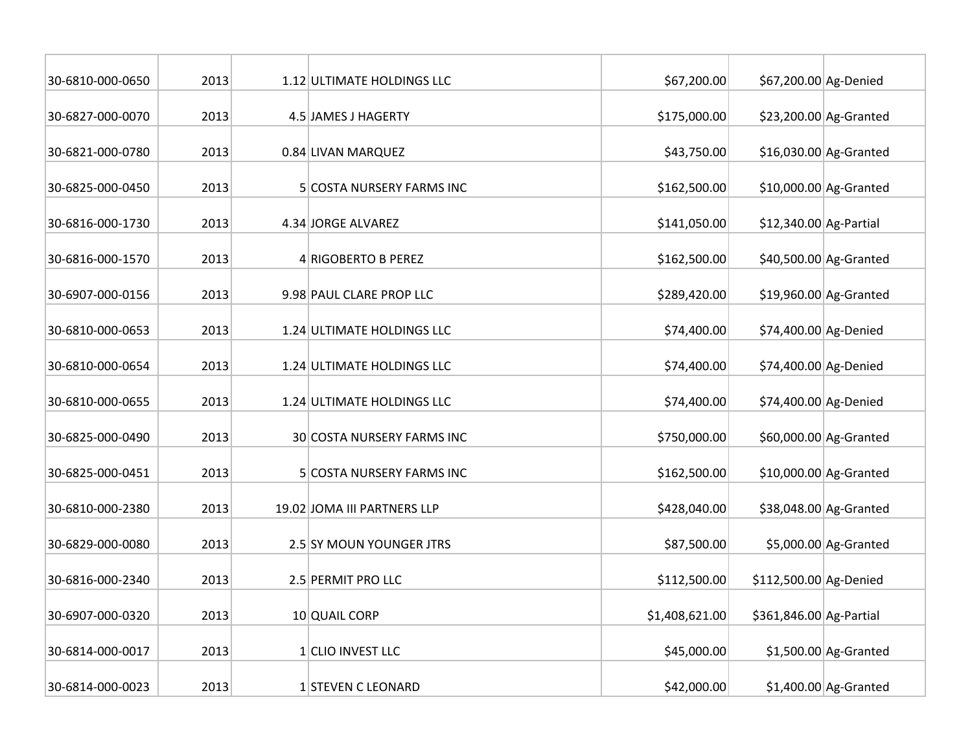| 30-6810-000-0650 | 2013 | 1.12 ULTIMATE HOLDINGS LLC  | \$67,200.00    | \$67,200.00 Ag-Denied   |                         |
|------------------|------|-----------------------------|----------------|-------------------------|-------------------------|
| 30-6827-000-0070 | 2013 | 4.5 JAMES J HAGERTY         | \$175,000.00   |                         | $$23,200.00$ Ag-Granted |
| 30-6821-000-0780 | 2013 | 0.84 LIVAN MARQUEZ          | \$43,750.00    |                         | $$16,030.00$ Ag-Granted |
| 30-6825-000-0450 | 2013 | 5 COSTA NURSERY FARMS INC   | \$162,500.00   |                         | $$10,000.00$ Ag-Granted |
| 30-6816-000-1730 | 2013 | 4.34 JORGE ALVAREZ          | \$141,050.00   | \$12,340.00 Ag-Partial  |                         |
| 30-6816-000-1570 | 2013 | 4 RIGOBERTO B PEREZ         | \$162,500.00   |                         | \$40,500.00 Ag-Granted  |
| 30-6907-000-0156 | 2013 | 9.98 PAUL CLARE PROP LLC    | \$289,420.00   |                         | $$19,960.00$ Ag-Granted |
| 30-6810-000-0653 | 2013 | 1.24 ULTIMATE HOLDINGS LLC  | \$74,400.00    | \$74,400.00 Ag-Denied   |                         |
| 30-6810-000-0654 | 2013 | 1.24 ULTIMATE HOLDINGS LLC  | \$74,400.00    | \$74,400.00 Ag-Denied   |                         |
| 30-6810-000-0655 | 2013 | 1.24 ULTIMATE HOLDINGS LLC  | \$74,400.00    | \$74,400.00 Ag-Denied   |                         |
| 30-6825-000-0490 | 2013 | 30 COSTA NURSERY FARMS INC  | \$750,000.00   |                         | \$60,000.00 Ag-Granted  |
| 30-6825-000-0451 | 2013 | 5 COSTA NURSERY FARMS INC   | \$162,500.00   |                         | \$10,000.00 Ag-Granted  |
| 30-6810-000-2380 | 2013 | 19.02 JOMA III PARTNERS LLP | \$428,040.00   |                         | \$38,048.00 Ag-Granted  |
| 30-6829-000-0080 | 2013 | 2.5 SY MOUN YOUNGER JTRS    | \$87,500.00    |                         | \$5,000.00 Ag-Granted   |
| 30-6816-000-2340 | 2013 | 2.5 PERMIT PRO LLC          | \$112,500.00   | \$112,500.00 Ag-Denied  |                         |
| 30-6907-000-0320 | 2013 | 10 QUAIL CORP               | \$1,408,621.00 | \$361,846.00 Ag-Partial |                         |
| 30-6814-000-0017 | 2013 | 1 CLIO INVEST LLC           | \$45,000.00    |                         | $$1,500.00$ Ag-Granted  |
| 30-6814-000-0023 | 2013 | 1 STEVEN C LEONARD          | \$42,000.00    |                         | $$1,400.00$ Ag-Granted  |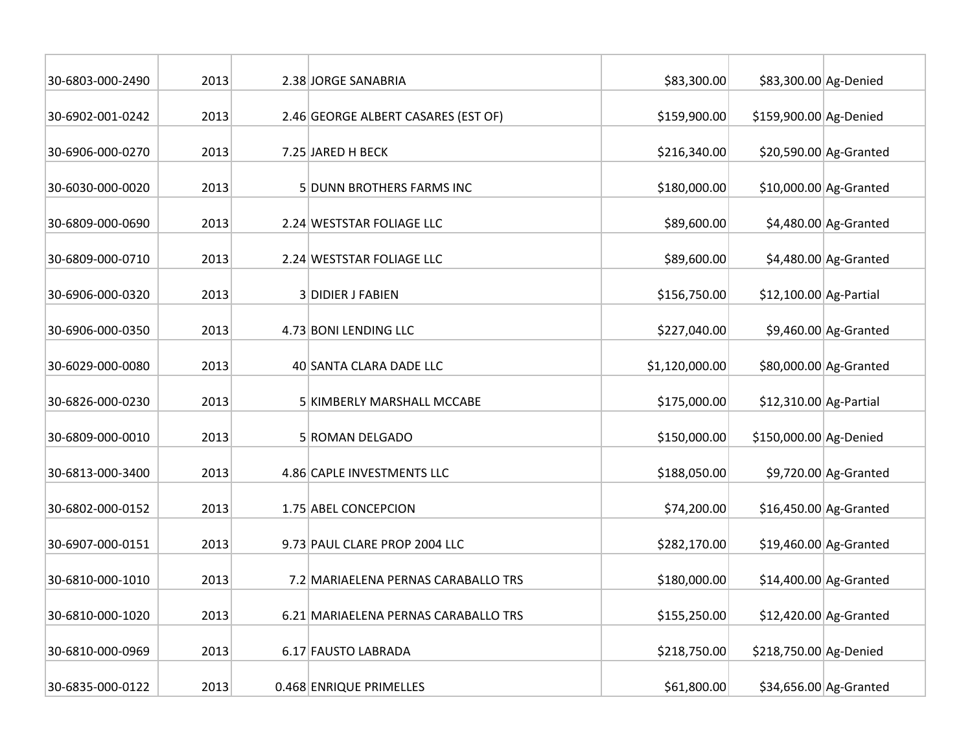| 30-6803-000-2490 | 2013 | 2.38 JORGE SANABRIA                  | \$83,300.00    | \$83,300.00 Ag-Denied   |                         |
|------------------|------|--------------------------------------|----------------|-------------------------|-------------------------|
| 30-6902-001-0242 | 2013 | 2.46 GEORGE ALBERT CASARES (EST OF)  | \$159,900.00   | \$159,900.00 Ag-Denied  |                         |
| 30-6906-000-0270 | 2013 | 7.25 JARED H BECK                    | \$216,340.00   |                         | \$20,590.00 Ag-Granted  |
| 30-6030-000-0020 | 2013 | 5 DUNN BROTHERS FARMS INC            | \$180,000.00   |                         | \$10,000.00 Ag-Granted  |
| 30-6809-000-0690 | 2013 | 2.24 WESTSTAR FOLIAGE LLC            | \$89,600.00    |                         | $$4,480.00$ Ag-Granted  |
| 30-6809-000-0710 | 2013 | 2.24 WESTSTAR FOLIAGE LLC            | \$89,600.00    |                         | $$4,480.00$ Ag-Granted  |
| 30-6906-000-0320 | 2013 | 3 DIDIER J FABIEN                    | \$156,750.00   | $$12,100.00$ Ag-Partial |                         |
| 30-6906-000-0350 | 2013 | 4.73 BONI LENDING LLC                | \$227,040.00   |                         | $$9,460.00$ Ag-Granted  |
| 30-6029-000-0080 | 2013 | 40 SANTA CLARA DADE LLC              | \$1,120,000.00 |                         | \$80,000.00 Ag-Granted  |
| 30-6826-000-0230 | 2013 | 5 KIMBERLY MARSHALL MCCABE           | \$175,000.00   | \$12,310.00 Ag-Partial  |                         |
| 30-6809-000-0010 | 2013 | 5 ROMAN DELGADO                      | \$150,000.00   | \$150,000.00 Ag-Denied  |                         |
| 30-6813-000-3400 | 2013 | 4.86 CAPLE INVESTMENTS LLC           | \$188,050.00   |                         | \$9,720.00 Ag-Granted   |
| 30-6802-000-0152 | 2013 | 1.75 ABEL CONCEPCION                 | \$74,200.00    |                         | \$16,450.00 Ag-Granted  |
| 30-6907-000-0151 | 2013 | 9.73 PAUL CLARE PROP 2004 LLC        | \$282,170.00   |                         | $$19,460.00$ Ag-Granted |
| 30-6810-000-1010 | 2013 | 7.2 MARIAELENA PERNAS CARABALLO TRS  | \$180,000.00   |                         | $$14,400.00$ Ag-Granted |
| 30-6810-000-1020 | 2013 | 6.21 MARIAELENA PERNAS CARABALLO TRS | \$155,250.00   |                         | $$12,420.00$ Ag-Granted |
| 30-6810-000-0969 | 2013 | 6.17 FAUSTO LABRADA                  | \$218,750.00   | \$218,750.00 Ag-Denied  |                         |
| 30-6835-000-0122 | 2013 | 0.468 ENRIQUE PRIMELLES              | \$61,800.00    |                         | \$34,656.00 Ag-Granted  |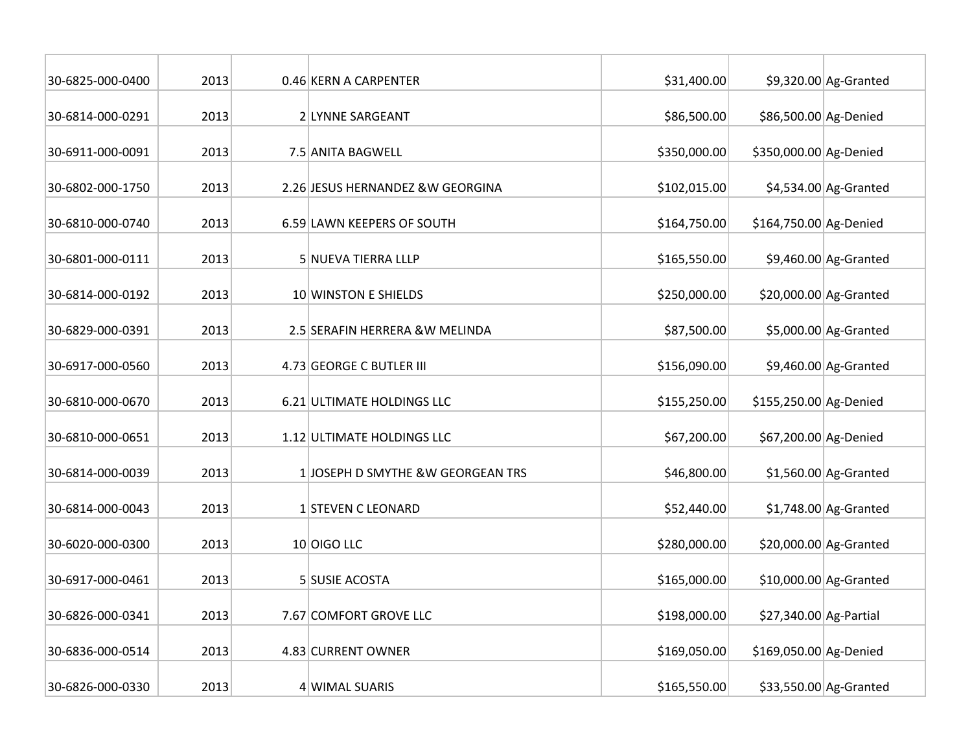| 30-6825-000-0400 | 2013 | 0.46 KERN A CARPENTER             | \$31,400.00  |                        | $$9,320.00$ Ag-Granted |
|------------------|------|-----------------------------------|--------------|------------------------|------------------------|
| 30-6814-000-0291 | 2013 | 2 LYNNE SARGEANT                  | \$86,500.00  | \$86,500.00 Ag-Denied  |                        |
| 30-6911-000-0091 | 2013 | 7.5 ANITA BAGWELL                 | \$350,000.00 | \$350,000.00 Ag-Denied |                        |
| 30-6802-000-1750 | 2013 | 2.26 JESUS HERNANDEZ & W GEORGINA | \$102,015.00 |                        | $$4,534.00$ Ag-Granted |
| 30-6810-000-0740 | 2013 | 6.59 LAWN KEEPERS OF SOUTH        | \$164,750.00 | \$164,750.00 Ag-Denied |                        |
| 30-6801-000-0111 | 2013 | 5 NUEVA TIERRA LLLP               | \$165,550.00 |                        | $$9,460.00$ Ag-Granted |
| 30-6814-000-0192 | 2013 | 10 WINSTON E SHIELDS              | \$250,000.00 |                        | \$20,000.00 Ag-Granted |
| 30-6829-000-0391 | 2013 | 2.5 SERAFIN HERRERA & W MELINDA   | \$87,500.00  |                        | \$5,000.00 Ag-Granted  |
| 30-6917-000-0560 | 2013 | 4.73 GEORGE C BUTLER III          | \$156,090.00 |                        | $$9,460.00$ Ag-Granted |
| 30-6810-000-0670 | 2013 | 6.21 ULTIMATE HOLDINGS LLC        | \$155,250.00 | \$155,250.00 Ag-Denied |                        |
| 30-6810-000-0651 | 2013 | 1.12 ULTIMATE HOLDINGS LLC        | \$67,200.00  | \$67,200.00 Ag-Denied  |                        |
| 30-6814-000-0039 | 2013 | 1 JOSEPH D SMYTHE &W GEORGEAN TRS | \$46,800.00  |                        | $$1,560.00$ Ag-Granted |
| 30-6814-000-0043 | 2013 | 1 STEVEN C LEONARD                | \$52,440.00  |                        | $$1,748.00$ Ag-Granted |
| 30-6020-000-0300 | 2013 | 10 OIGO LLC                       | \$280,000.00 |                        | \$20,000.00 Ag-Granted |
| 30-6917-000-0461 | 2013 | 5 SUSIE ACOSTA                    | \$165,000.00 |                        | \$10,000.00 Ag-Granted |
| 30-6826-000-0341 | 2013 | 7.67 COMFORT GROVE LLC            | \$198,000.00 | \$27,340.00 Ag-Partial |                        |
| 30-6836-000-0514 | 2013 | 4.83 CURRENT OWNER                | \$169,050.00 | \$169,050.00 Ag-Denied |                        |
| 30-6826-000-0330 | 2013 | 4 WIMAL SUARIS                    | \$165,550.00 |                        | \$33,550.00 Ag-Granted |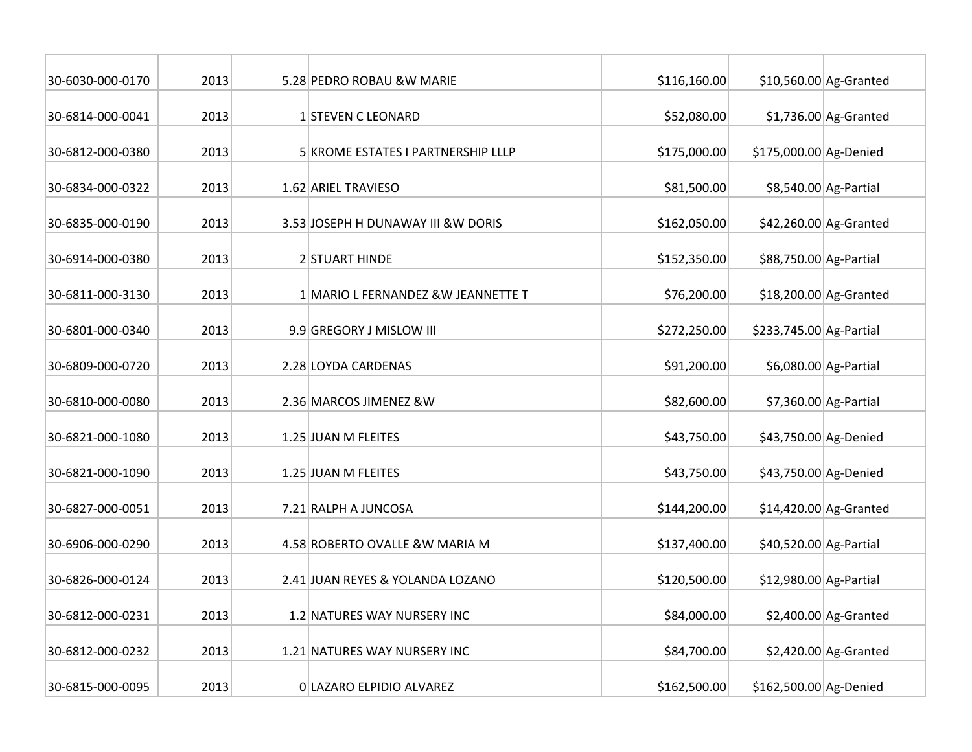| 30-6030-000-0170 | 2013 | 5.28 PEDRO ROBAU & W MARIE          | \$116,160.00 |                         | $$10,560.00$ Ag-Granted |
|------------------|------|-------------------------------------|--------------|-------------------------|-------------------------|
| 30-6814-000-0041 | 2013 | 1 STEVEN C LEONARD                  | \$52,080.00  |                         | $$1,736.00$ Ag-Granted  |
| 30-6812-000-0380 | 2013 | 5 KROME ESTATES I PARTNERSHIP LLLP  | \$175,000.00 | \$175,000.00 Ag-Denied  |                         |
| 30-6834-000-0322 | 2013 | 1.62 ARIEL TRAVIESO                 | \$81,500.00  |                         | \$8,540.00 Ag-Partial   |
| 30-6835-000-0190 | 2013 | 3.53 JOSEPH H DUNAWAY III & W DORIS | \$162,050.00 |                         | \$42,260.00 Ag-Granted  |
| 30-6914-000-0380 | 2013 | 2 STUART HINDE                      | \$152,350.00 | \$88,750.00 Ag-Partial  |                         |
| 30-6811-000-3130 | 2013 | 1 MARIO L FERNANDEZ & W JEANNETTE T | \$76,200.00  |                         | $$18,200.00$ Ag-Granted |
| 30-6801-000-0340 | 2013 | 9.9 GREGORY J MISLOW III            | \$272,250.00 | \$233,745.00 Ag-Partial |                         |
| 30-6809-000-0720 | 2013 | 2.28 LOYDA CARDENAS                 | \$91,200.00  |                         | \$6,080.00 Ag-Partial   |
| 30-6810-000-0080 | 2013 | 2.36 MARCOS JIMENEZ & W             | \$82,600.00  |                         | \$7,360.00 Ag-Partial   |
| 30-6821-000-1080 | 2013 | 1.25 JUAN M FLEITES                 | \$43,750.00  | \$43,750.00 Ag-Denied   |                         |
| 30-6821-000-1090 | 2013 | 1.25 JUAN M FLEITES                 | \$43,750.00  | \$43,750.00 Ag-Denied   |                         |
| 30-6827-000-0051 | 2013 | 7.21 RALPH A JUNCOSA                | \$144,200.00 |                         | $$14,420.00$ Ag-Granted |
| 30-6906-000-0290 | 2013 | 4.58 ROBERTO OVALLE & W MARIA M     | \$137,400.00 | \$40,520.00 Ag-Partial  |                         |
| 30-6826-000-0124 | 2013 | 2.41 JUAN REYES & YOLANDA LOZANO    | \$120,500.00 | \$12,980.00 Ag-Partial  |                         |
| 30-6812-000-0231 | 2013 | 1.2 NATURES WAY NURSERY INC         | \$84,000.00  |                         | $$2,400.00$ Ag-Granted  |
| 30-6812-000-0232 | 2013 | 1.21 NATURES WAY NURSERY INC        | \$84,700.00  |                         | $$2,420.00$ Ag-Granted  |
| 30-6815-000-0095 | 2013 | 0 LAZARO ELPIDIO ALVAREZ            | \$162,500.00 | \$162,500.00 Ag-Denied  |                         |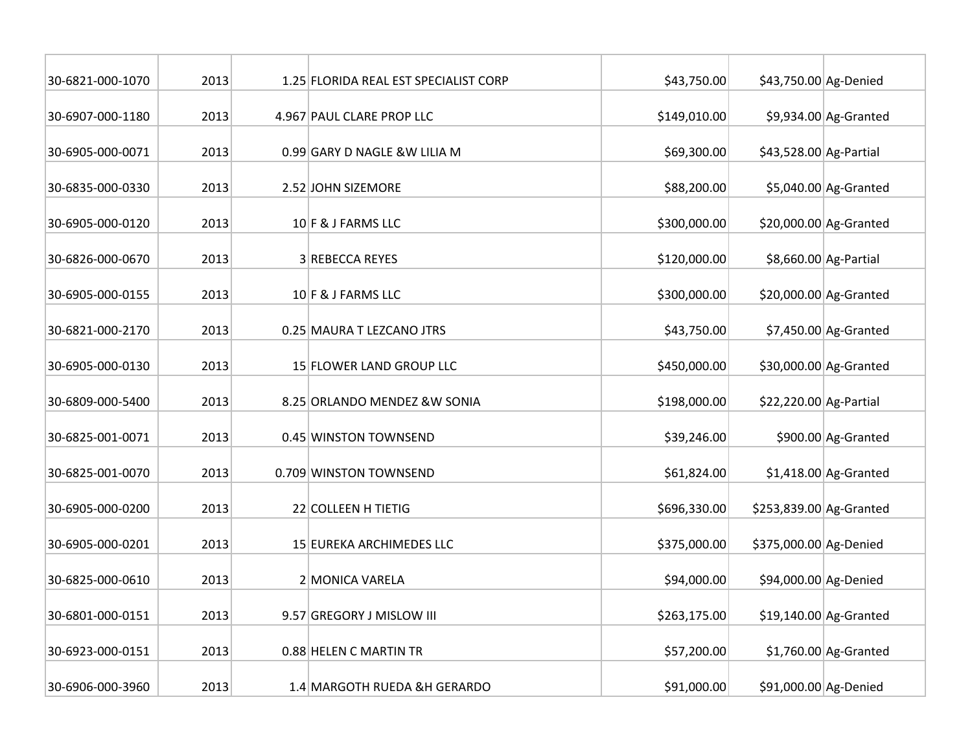| 30-6821-000-1070 | 2013 | 1.25 FLORIDA REAL EST SPECIALIST CORP | \$43,750.00  | \$43,750.00 Ag-Denied   |                         |
|------------------|------|---------------------------------------|--------------|-------------------------|-------------------------|
| 30-6907-000-1180 | 2013 | 4.967 PAUL CLARE PROP LLC             | \$149,010.00 |                         | \$9,934.00 Ag-Granted   |
| 30-6905-000-0071 | 2013 | 0.99 GARY D NAGLE &W LILIA M          | \$69,300.00  | \$43,528.00 Ag-Partial  |                         |
| 30-6835-000-0330 | 2013 | 2.52 JOHN SIZEMORE                    | \$88,200.00  |                         | $$5,040.00$ Ag-Granted  |
| 30-6905-000-0120 | 2013 | 10 F & J FARMS LLC                    | \$300,000.00 |                         | \$20,000.00 Ag-Granted  |
| 30-6826-000-0670 | 2013 | 3 REBECCA REYES                       | \$120,000.00 |                         | \$8,660.00 Ag-Partial   |
| 30-6905-000-0155 | 2013 | 10 F & J FARMS LLC                    | \$300,000.00 |                         | $$20,000.00$ Ag-Granted |
| 30-6821-000-2170 | 2013 | 0.25 MAURA T LEZCANO JTRS             | \$43,750.00  |                         | $$7,450.00$ Ag-Granted  |
| 30-6905-000-0130 | 2013 | 15 FLOWER LAND GROUP LLC              | \$450,000.00 |                         | \$30,000.00 Ag-Granted  |
| 30-6809-000-5400 | 2013 | 8.25 ORLANDO MENDEZ & W SONIA         | \$198,000.00 | \$22,220.00 Ag-Partial  |                         |
| 30-6825-001-0071 | 2013 | 0.45 WINSTON TOWNSEND                 | \$39,246.00  |                         | \$900.00 Ag-Granted     |
| 30-6825-001-0070 | 2013 | 0.709 WINSTON TOWNSEND                | \$61,824.00  |                         | $$1,418.00$ Ag-Granted  |
| 30-6905-000-0200 | 2013 | 22 COLLEEN H TIETIG                   | \$696,330.00 | \$253,839.00 Ag-Granted |                         |
| 30-6905-000-0201 | 2013 | 15 EUREKA ARCHIMEDES LLC              | \$375,000.00 | \$375,000.00 Ag-Denied  |                         |
| 30-6825-000-0610 | 2013 | 2 MONICA VARELA                       | \$94,000.00  | \$94,000.00 Ag-Denied   |                         |
| 30-6801-000-0151 | 2013 | 9.57 GREGORY J MISLOW III             | \$263,175.00 |                         | $$19,140.00$ Ag-Granted |
| 30-6923-000-0151 | 2013 | 0.88 HELEN C MARTIN TR                | \$57,200.00  |                         | $$1,760.00$ Ag-Granted  |
| 30-6906-000-3960 | 2013 | 1.4 MARGOTH RUEDA &H GERARDO          | \$91,000.00  | \$91,000.00 Ag-Denied   |                         |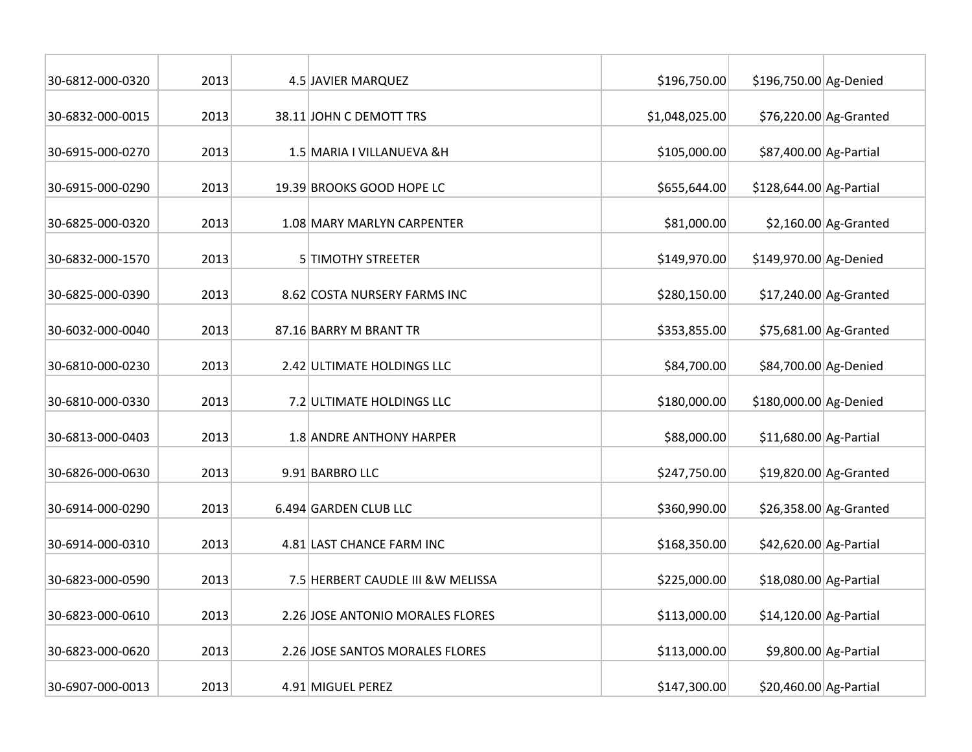| 30-6812-000-0320 | 2013 | 4.5 JAVIER MARQUEZ              |                                    | \$196,750.00   | \$196,750.00 Ag-Denied  |                         |
|------------------|------|---------------------------------|------------------------------------|----------------|-------------------------|-------------------------|
| 30-6832-000-0015 | 2013 | 38.11 JOHN C DEMOTT TRS         |                                    | \$1,048,025.00 |                         | \$76,220.00 Ag-Granted  |
| 30-6915-000-0270 | 2013 | 1.5 MARIA I VILLANUEVA & H      |                                    | \$105,000.00   | \$87,400.00 Ag-Partial  |                         |
| 30-6915-000-0290 | 2013 | 19.39 BROOKS GOOD HOPE LC       |                                    | \$655,644.00   | \$128,644.00 Ag-Partial |                         |
| 30-6825-000-0320 | 2013 | 1.08 MARY MARLYN CARPENTER      |                                    | \$81,000.00    |                         | $$2,160.00$ Ag-Granted  |
| 30-6832-000-1570 | 2013 | <b>5 TIMOTHY STREETER</b>       |                                    | \$149,970.00   | \$149,970.00 Ag-Denied  |                         |
| 30-6825-000-0390 | 2013 | 8.62 COSTA NURSERY FARMS INC    |                                    | \$280,150.00   |                         | $$17,240.00$ Ag-Granted |
| 30-6032-000-0040 | 2013 | 87.16 BARRY M BRANT TR          |                                    | \$353,855.00   |                         | \$75,681.00 Ag-Granted  |
| 30-6810-000-0230 | 2013 | 2.42 ULTIMATE HOLDINGS LLC      |                                    | \$84,700.00    | \$84,700.00 Ag-Denied   |                         |
| 30-6810-000-0330 | 2013 | 7.2 ULTIMATE HOLDINGS LLC       |                                    | \$180,000.00   | \$180,000.00 Ag-Denied  |                         |
| 30-6813-000-0403 | 2013 | 1.8 ANDRE ANTHONY HARPER        |                                    | \$88,000.00    | \$11,680.00 Ag-Partial  |                         |
| 30-6826-000-0630 | 2013 | 9.91 BARBRO LLC                 |                                    | \$247,750.00   |                         | \$19,820.00 Ag-Granted  |
| 30-6914-000-0290 | 2013 | 6.494 GARDEN CLUB LLC           |                                    | \$360,990.00   |                         | \$26,358.00 Ag-Granted  |
| 30-6914-000-0310 | 2013 | 4.81 LAST CHANCE FARM INC       |                                    | \$168,350.00   | \$42,620.00 Ag-Partial  |                         |
| 30-6823-000-0590 | 2013 |                                 | 7.5 HERBERT CAUDLE III & W MELISSA | \$225,000.00   | \$18,080.00 Ag-Partial  |                         |
| 30-6823-000-0610 | 2013 |                                 | 2.26 JOSE ANTONIO MORALES FLORES   | \$113,000.00   | \$14,120.00 Ag-Partial  |                         |
| 30-6823-000-0620 | 2013 | 2.26 JOSE SANTOS MORALES FLORES |                                    | \$113,000.00   |                         | \$9,800.00 Ag-Partial   |
| 30-6907-000-0013 | 2013 | 4.91 MIGUEL PEREZ               |                                    | \$147,300.00   | \$20,460.00 Ag-Partial  |                         |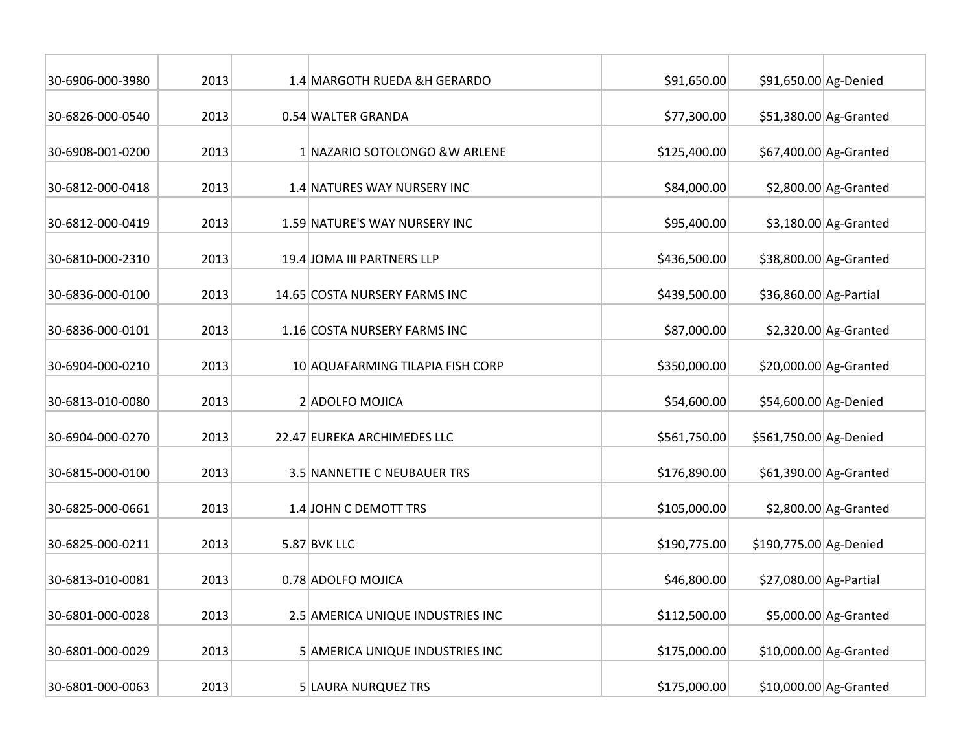| 30-6906-000-3980 | 2013 | 1.4 MARGOTH RUEDA &H GERARDO      | \$91,650.00  | \$91,650.00 Ag-Denied  |                        |
|------------------|------|-----------------------------------|--------------|------------------------|------------------------|
| 30-6826-000-0540 | 2013 | 0.54 WALTER GRANDA                | \$77,300.00  |                        | \$51,380.00 Ag-Granted |
| 30-6908-001-0200 | 2013 | 1 NAZARIO SOTOLONGO & W ARLENE    | \$125,400.00 |                        | \$67,400.00 Ag-Granted |
| 30-6812-000-0418 | 2013 | 1.4 NATURES WAY NURSERY INC       | \$84,000.00  |                        | $$2,800.00$ Ag-Granted |
| 30-6812-000-0419 | 2013 | 1.59 NATURE'S WAY NURSERY INC     | \$95,400.00  |                        | $$3,180.00$ Ag-Granted |
| 30-6810-000-2310 | 2013 | 19.4 JOMA III PARTNERS LLP        | \$436,500.00 |                        | \$38,800.00 Ag-Granted |
| 30-6836-000-0100 | 2013 | 14.65 COSTA NURSERY FARMS INC     | \$439,500.00 | \$36,860.00 Ag-Partial |                        |
| 30-6836-000-0101 | 2013 | 1.16 COSTA NURSERY FARMS INC      | \$87,000.00  |                        | $$2,320.00$ Ag-Granted |
| 30-6904-000-0210 | 2013 | 10 AQUAFARMING TILAPIA FISH CORP  | \$350,000.00 |                        | \$20,000.00 Ag-Granted |
| 30-6813-010-0080 | 2013 | 2 ADOLFO MOJICA                   | \$54,600.00  | \$54,600.00 Ag-Denied  |                        |
| 30-6904-000-0270 | 2013 | 22.47 EUREKA ARCHIMEDES LLC       | \$561,750.00 | \$561,750.00 Ag-Denied |                        |
| 30-6815-000-0100 | 2013 | 3.5 NANNETTE C NEUBAUER TRS       | \$176,890.00 |                        | \$61,390.00 Ag-Granted |
| 30-6825-000-0661 | 2013 | 1.4 JOHN C DEMOTT TRS             | \$105,000.00 |                        | $$2,800.00$ Ag-Granted |
| 30-6825-000-0211 | 2013 | 5.87 BVK LLC                      | \$190,775.00 | \$190,775.00 Ag-Denied |                        |
| 30-6813-010-0081 | 2013 | 0.78 ADOLFO MOJICA                | \$46,800.00  | \$27,080.00 Ag-Partial |                        |
| 30-6801-000-0028 | 2013 | 2.5 AMERICA UNIQUE INDUSTRIES INC | \$112,500.00 |                        | \$5,000.00 Ag-Granted  |
| 30-6801-000-0029 | 2013 | 5 AMERICA UNIQUE INDUSTRIES INC   | \$175,000.00 |                        | \$10,000.00 Ag-Granted |
| 30-6801-000-0063 | 2013 | 5 LAURA NURQUEZ TRS               | \$175,000.00 |                        | \$10,000.00 Ag-Granted |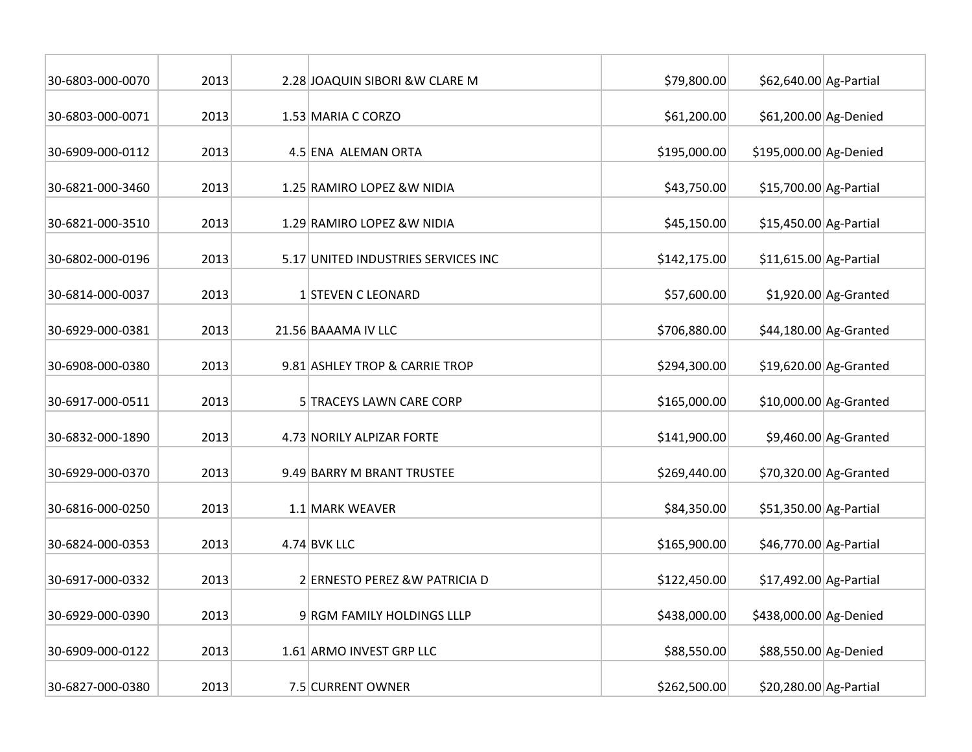| 30-6803-000-0070 | 2013 | 2.28 JOAQUIN SIBORI & W CLARE M     | \$79,800.00  | \$62,640.00 Ag-Partial |                         |
|------------------|------|-------------------------------------|--------------|------------------------|-------------------------|
| 30-6803-000-0071 | 2013 | 1.53 MARIA C CORZO                  | \$61,200.00  | \$61,200.00 Ag-Denied  |                         |
| 30-6909-000-0112 | 2013 | 4.5 ENA ALEMAN ORTA                 | \$195,000.00 | \$195,000.00 Ag-Denied |                         |
| 30-6821-000-3460 | 2013 | 1.25 RAMIRO LOPEZ & W NIDIA         | \$43,750.00  | \$15,700.00 Ag-Partial |                         |
| 30-6821-000-3510 | 2013 | 1.29 RAMIRO LOPEZ & W NIDIA         | \$45,150.00  | \$15,450.00 Ag-Partial |                         |
| 30-6802-000-0196 | 2013 | 5.17 UNITED INDUSTRIES SERVICES INC | \$142,175.00 | \$11,615.00 Ag-Partial |                         |
| 30-6814-000-0037 | 2013 | 1 STEVEN C LEONARD                  | \$57,600.00  |                        | $$1,920.00$ Ag-Granted  |
| 30-6929-000-0381 | 2013 | 21.56 BAAAMA IV LLC                 | \$706,880.00 |                        | \$44,180.00 Ag-Granted  |
| 30-6908-000-0380 | 2013 | 9.81 ASHLEY TROP & CARRIE TROP      | \$294,300.00 |                        | $$19,620.00$ Ag-Granted |
| 30-6917-000-0511 | 2013 | 5 TRACEYS LAWN CARE CORP            | \$165,000.00 |                        | $$10,000.00$ Ag-Granted |
| 30-6832-000-1890 | 2013 | 4.73 NORILY ALPIZAR FORTE           | \$141,900.00 |                        | $$9,460.00$ Ag-Granted  |
| 30-6929-000-0370 | 2013 | 9.49 BARRY M BRANT TRUSTEE          | \$269,440.00 |                        | \$70,320.00 Ag-Granted  |
| 30-6816-000-0250 | 2013 | 1.1 MARK WEAVER                     | \$84,350.00  | \$51,350.00 Ag-Partial |                         |
| 30-6824-000-0353 | 2013 | $4.74$ BVK LLC                      | \$165,900.00 | \$46,770.00 Ag-Partial |                         |
| 30-6917-000-0332 | 2013 | 2 ERNESTO PEREZ & W PATRICIA D      | \$122,450.00 | \$17,492.00 Ag-Partial |                         |
| 30-6929-000-0390 | 2013 | 9 RGM FAMILY HOLDINGS LLLP          | \$438,000.00 | \$438,000.00 Ag-Denied |                         |
| 30-6909-000-0122 | 2013 | 1.61 ARMO INVEST GRP LLC            | \$88,550.00  | \$88,550.00 Ag-Denied  |                         |
| 30-6827-000-0380 | 2013 | 7.5 CURRENT OWNER                   | \$262,500.00 | \$20,280.00 Ag-Partial |                         |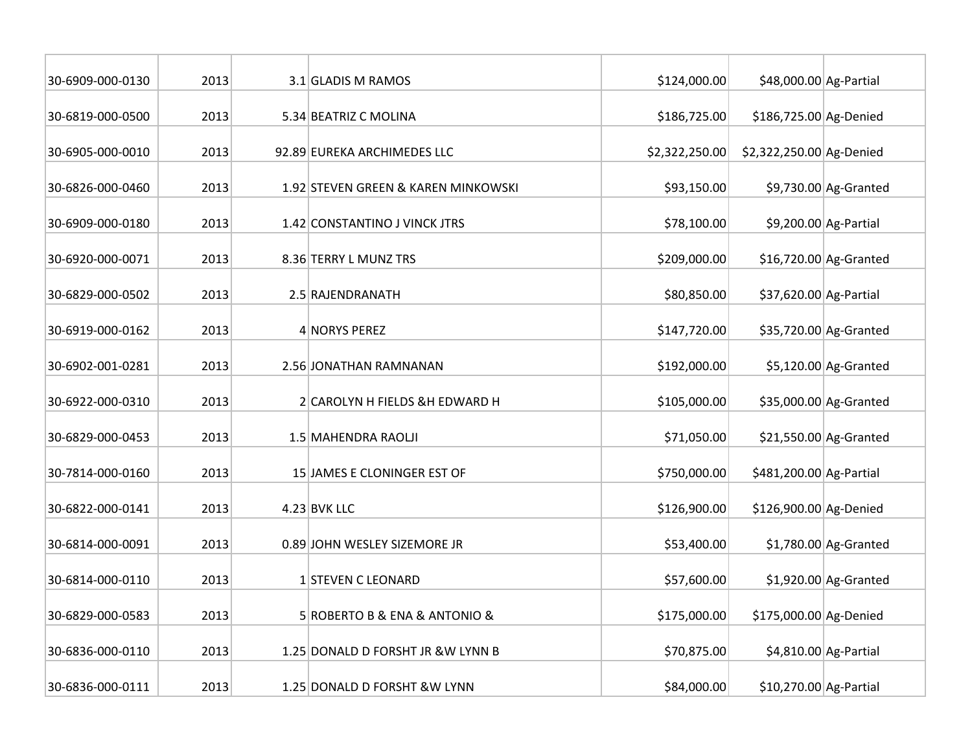| 30-6909-000-0130 | 2013 | 3.1 GLADIS M RAMOS                  | \$124,000.00   | \$48,000.00 Ag-Partial   |                         |
|------------------|------|-------------------------------------|----------------|--------------------------|-------------------------|
| 30-6819-000-0500 | 2013 | 5.34 BEATRIZ C MOLINA               | \$186,725.00   | \$186,725.00 Ag-Denied   |                         |
| 30-6905-000-0010 | 2013 | 92.89 EUREKA ARCHIMEDES LLC         | \$2,322,250.00 | \$2,322,250.00 Ag-Denied |                         |
| 30-6826-000-0460 | 2013 | 1.92 STEVEN GREEN & KAREN MINKOWSKI | \$93,150.00    |                          | $$9,730.00$ Ag-Granted  |
| 30-6909-000-0180 | 2013 | 1.42 CONSTANTINO J VINCK JTRS       | \$78,100.00    |                          | \$9,200.00 Ag-Partial   |
| 30-6920-000-0071 | 2013 | 8.36 TERRY L MUNZ TRS               | \$209,000.00   |                          | \$16,720.00 Ag-Granted  |
| 30-6829-000-0502 | 2013 | 2.5 RAJENDRANATH                    | \$80,850.00    | \$37,620.00 Ag-Partial   |                         |
| 30-6919-000-0162 | 2013 | 4 NORYS PEREZ                       | \$147,720.00   |                          | \$35,720.00 Ag-Granted  |
| 30-6902-001-0281 | 2013 | 2.56 JONATHAN RAMNANAN              | \$192,000.00   |                          | $$5,120.00$ Ag-Granted  |
| 30-6922-000-0310 | 2013 | 2 CAROLYN H FIELDS &H EDWARD H      | \$105,000.00   |                          | \$35,000.00 Ag-Granted  |
| 30-6829-000-0453 | 2013 | 1.5 MAHENDRA RAOLJI                 | \$71,050.00    |                          | $$21,550.00$ Ag-Granted |
| 30-7814-000-0160 | 2013 | 15 JAMES E CLONINGER EST OF         | \$750,000.00   | \$481,200.00 Ag-Partial  |                         |
| 30-6822-000-0141 | 2013 | $4.23$ BVK LLC                      | \$126,900.00   | \$126,900.00 Ag-Denied   |                         |
| 30-6814-000-0091 | 2013 | 0.89 JOHN WESLEY SIZEMORE JR        | \$53,400.00    |                          | $$1,780.00$ Ag-Granted  |
| 30-6814-000-0110 | 2013 | 1 STEVEN C LEONARD                  | \$57,600.00    |                          | $$1,920.00$ Ag-Granted  |
| 30-6829-000-0583 | 2013 | 5 ROBERTO B & ENA & ANTONIO &       | \$175,000.00   | \$175,000.00 Ag-Denied   |                         |
| 30-6836-000-0110 | 2013 | 1.25 DONALD D FORSHT JR & W LYNN B  | \$70,875.00    |                          | $$4,810.00$ Ag-Partial  |
| 30-6836-000-0111 | 2013 | 1.25 DONALD D FORSHT & W LYNN       | \$84,000.00    | \$10,270.00 Ag-Partial   |                         |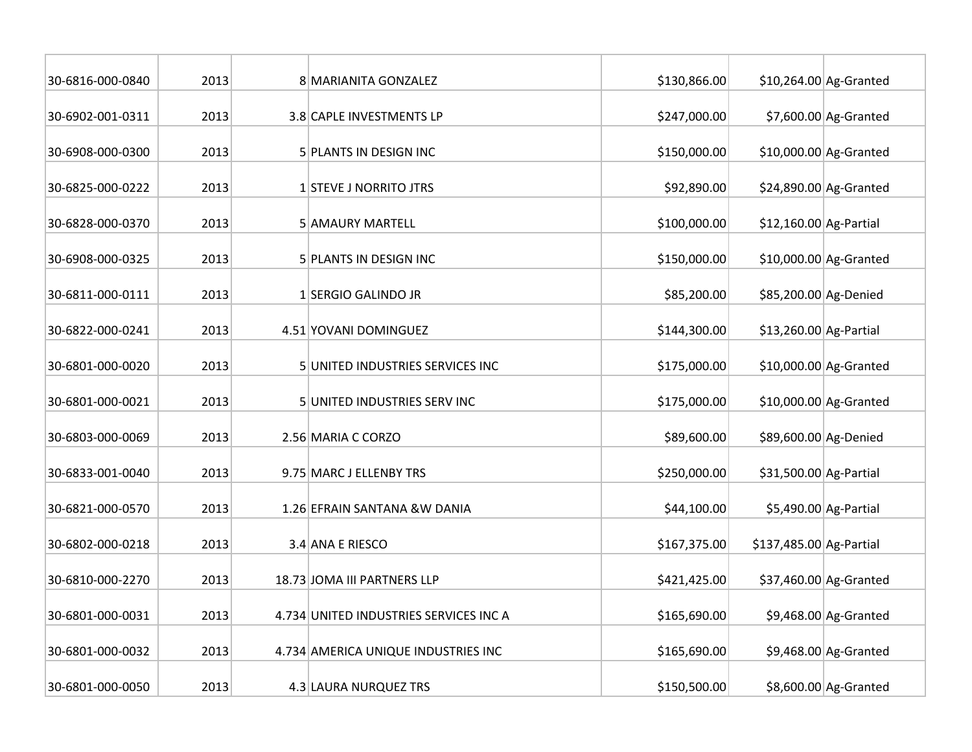| 30-6816-000-0840 | 2013 | 8 MARIANITA GONZALEZ                   | \$130,866.00 |                         | $$10,264.00$ Ag-Granted |
|------------------|------|----------------------------------------|--------------|-------------------------|-------------------------|
| 30-6902-001-0311 | 2013 | 3.8 CAPLE INVESTMENTS LP               | \$247,000.00 |                         | $$7,600.00$ Ag-Granted  |
| 30-6908-000-0300 | 2013 | 5 PLANTS IN DESIGN INC                 | \$150,000.00 |                         | $$10,000.00$ Ag-Granted |
| 30-6825-000-0222 | 2013 | 1 STEVE J NORRITO JTRS                 | \$92,890.00  |                         | \$24,890.00 Ag-Granted  |
| 30-6828-000-0370 | 2013 | 5 AMAURY MARTELL                       | \$100,000.00 | $$12,160.00$ Ag-Partial |                         |
| 30-6908-000-0325 | 2013 | 5 PLANTS IN DESIGN INC                 | \$150,000.00 |                         | \$10,000.00 Ag-Granted  |
| 30-6811-000-0111 | 2013 | 1 SERGIO GALINDO JR                    | \$85,200.00  | \$85,200.00 Ag-Denied   |                         |
| 30-6822-000-0241 | 2013 | 4.51 YOVANI DOMINGUEZ                  | \$144,300.00 | \$13,260.00 Ag-Partial  |                         |
| 30-6801-000-0020 | 2013 | 5 UNITED INDUSTRIES SERVICES INC       | \$175,000.00 |                         | \$10,000.00 Ag-Granted  |
| 30-6801-000-0021 | 2013 | 5 UNITED INDUSTRIES SERV INC           | \$175,000.00 |                         | $$10,000.00$ Ag-Granted |
| 30-6803-000-0069 | 2013 | 2.56 MARIA C CORZO                     | \$89,600.00  | \$89,600.00 Ag-Denied   |                         |
| 30-6833-001-0040 | 2013 | 9.75 MARC J ELLENBY TRS                | \$250,000.00 | \$31,500.00 Ag-Partial  |                         |
| 30-6821-000-0570 | 2013 | 1.26 EFRAIN SANTANA & W DANIA          | \$44,100.00  |                         | $$5,490.00$ Ag-Partial  |
| 30-6802-000-0218 | 2013 | 3.4 ANA E RIESCO                       | \$167,375.00 | \$137,485.00 Ag-Partial |                         |
| 30-6810-000-2270 | 2013 | 18.73 JOMA III PARTNERS LLP            | \$421,425.00 |                         | \$37,460.00 Ag-Granted  |
| 30-6801-000-0031 | 2013 | 4.734 UNITED INDUSTRIES SERVICES INC A | \$165,690.00 |                         | $$9,468.00$ Ag-Granted  |
| 30-6801-000-0032 | 2013 | 4.734 AMERICA UNIQUE INDUSTRIES INC    | \$165,690.00 |                         | $$9,468.00$ Ag-Granted  |
| 30-6801-000-0050 | 2013 | 4.3 LAURA NURQUEZ TRS                  | \$150,500.00 |                         | $$8,600.00$ Ag-Granted  |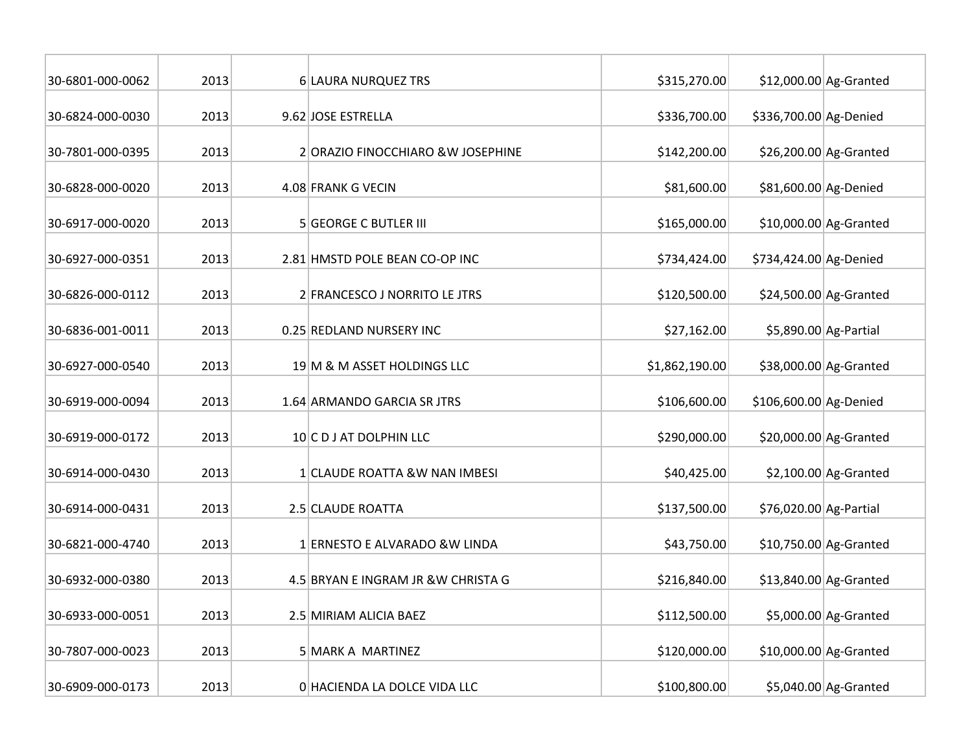| 30-6801-000-0062 | 2013 | 6 LAURA NURQUEZ TRS                 | \$315,270.00   |                        | \$12,000.00 Ag-Granted  |
|------------------|------|-------------------------------------|----------------|------------------------|-------------------------|
| 30-6824-000-0030 | 2013 | 9.62 JOSE ESTRELLA                  | \$336,700.00   | \$336,700.00 Ag-Denied |                         |
| 30-7801-000-0395 | 2013 | 2 ORAZIO FINOCCHIARO & W JOSEPHINE  | \$142,200.00   |                        | \$26,200.00 Ag-Granted  |
| 30-6828-000-0020 | 2013 | 4.08 FRANK G VECIN                  | \$81,600.00    | \$81,600.00 Ag-Denied  |                         |
| 30-6917-000-0020 | 2013 | <b>5 GEORGE C BUTLER III</b>        | \$165,000.00   |                        | \$10,000.00 Ag-Granted  |
| 30-6927-000-0351 | 2013 | 2.81 HMSTD POLE BEAN CO-OP INC      | \$734,424.00   | \$734,424.00 Ag-Denied |                         |
| 30-6826-000-0112 | 2013 | 2 FRANCESCO J NORRITO LE JTRS       | \$120,500.00   |                        | $$24,500.00$ Ag-Granted |
| 30-6836-001-0011 | 2013 | 0.25 REDLAND NURSERY INC            | \$27,162.00    |                        | \$5,890.00 Ag-Partial   |
| 30-6927-000-0540 | 2013 | 19 M & M ASSET HOLDINGS LLC         | \$1,862,190.00 |                        | \$38,000.00 Ag-Granted  |
| 30-6919-000-0094 | 2013 | 1.64 ARMANDO GARCIA SR JTRS         | \$106,600.00   | \$106,600.00 Ag-Denied |                         |
| 30-6919-000-0172 | 2013 | 10 C D J AT DOLPHIN LLC             | \$290,000.00   |                        | \$20,000.00 Ag-Granted  |
| 30-6914-000-0430 | 2013 | 1 CLAUDE ROATTA &W NAN IMBESI       | \$40,425.00    |                        | $$2,100.00$ Ag-Granted  |
| 30-6914-000-0431 | 2013 | 2.5 CLAUDE ROATTA                   | \$137,500.00   | \$76,020.00 Ag-Partial |                         |
| 30-6821-000-4740 | 2013 | 1 ERNESTO E ALVARADO & W LINDA      | \$43,750.00    |                        | \$10,750.00 Ag-Granted  |
| 30-6932-000-0380 | 2013 | 4.5 BRYAN E INGRAM JR & W CHRISTA G | \$216,840.00   |                        | \$13,840.00 Ag-Granted  |
| 30-6933-000-0051 | 2013 | 2.5 MIRIAM ALICIA BAEZ              | \$112,500.00   |                        | \$5,000.00 Ag-Granted   |
| 30-7807-000-0023 | 2013 | 5 MARK A MARTINEZ                   | \$120,000.00   |                        | \$10,000.00 Ag-Granted  |
| 30-6909-000-0173 | 2013 | 0 HACIENDA LA DOLCE VIDA LLC        | \$100,800.00   |                        | \$5,040.00 Ag-Granted   |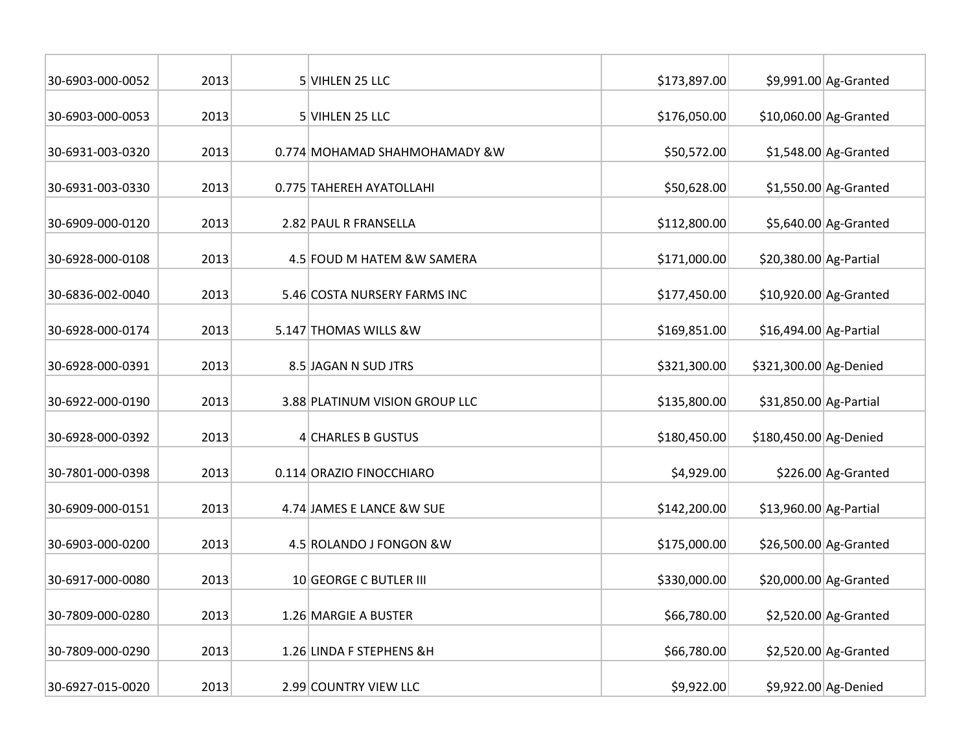| 30-6903-000-0052 | 2013 | 5 VIHLEN 25 LLC                | \$173,897.00 |                        | $$9,991.00$ Ag-Granted  |
|------------------|------|--------------------------------|--------------|------------------------|-------------------------|
| 30-6903-000-0053 | 2013 | 5 VIHLEN 25 LLC                | \$176,050.00 |                        | \$10,060.00 Ag-Granted  |
| 30-6931-003-0320 | 2013 | 0.774 MOHAMAD SHAHMOHAMADY &W  | \$50,572.00  |                        | $$1,548.00$ Ag-Granted  |
| 30-6931-003-0330 | 2013 | 0.775 TAHEREH AYATOLLAHI       | \$50,628.00  |                        | $$1,550.00$ Ag-Granted  |
| 30-6909-000-0120 | 2013 | 2.82 PAUL R FRANSELLA          | \$112,800.00 |                        | $$5,640.00$ Ag-Granted  |
| 30-6928-000-0108 | 2013 | 4.5 FOUD M HATEM &W SAMERA     | \$171,000.00 | \$20,380.00 Ag-Partial |                         |
| 30-6836-002-0040 | 2013 | 5.46 COSTA NURSERY FARMS INC   | \$177,450.00 |                        | $$10,920.00$ Ag-Granted |
| 30-6928-000-0174 | 2013 | 5.147 THOMAS WILLS &W          | \$169,851.00 | \$16,494.00 Ag-Partial |                         |
| 30-6928-000-0391 | 2013 | 8.5 JAGAN N SUD JTRS           | \$321,300.00 | \$321,300.00 Ag-Denied |                         |
| 30-6922-000-0190 | 2013 | 3.88 PLATINUM VISION GROUP LLC | \$135,800.00 | \$31,850.00 Ag-Partial |                         |
| 30-6928-000-0392 | 2013 | 4 CHARLES B GUSTUS             | \$180,450.00 | \$180,450.00 Ag-Denied |                         |
| 30-7801-000-0398 | 2013 | 0.114 ORAZIO FINOCCHIARO       | \$4,929.00   |                        | \$226.00 Ag-Granted     |
| 30-6909-000-0151 | 2013 | 4.74 JAMES E LANCE & W SUE     | \$142,200.00 | \$13,960.00 Ag-Partial |                         |
| 30-6903-000-0200 | 2013 | 4.5 ROLANDO J FONGON & W       | \$175,000.00 |                        | \$26,500.00 Ag-Granted  |
| 30-6917-000-0080 | 2013 | 10 GEORGE C BUTLER III         | \$330,000.00 |                        | \$20,000.00 Ag-Granted  |
| 30-7809-000-0280 | 2013 | 1.26 MARGIE A BUSTER           | \$66,780.00  |                        | $$2,520.00$ Ag-Granted  |
| 30-7809-000-0290 | 2013 | 1.26 LINDA F STEPHENS &H       | \$66,780.00  |                        | $$2,520.00$ Ag-Granted  |
| 30-6927-015-0020 | 2013 | 2.99 COUNTRY VIEW LLC          | \$9,922.00   |                        | \$9,922.00 Ag-Denied    |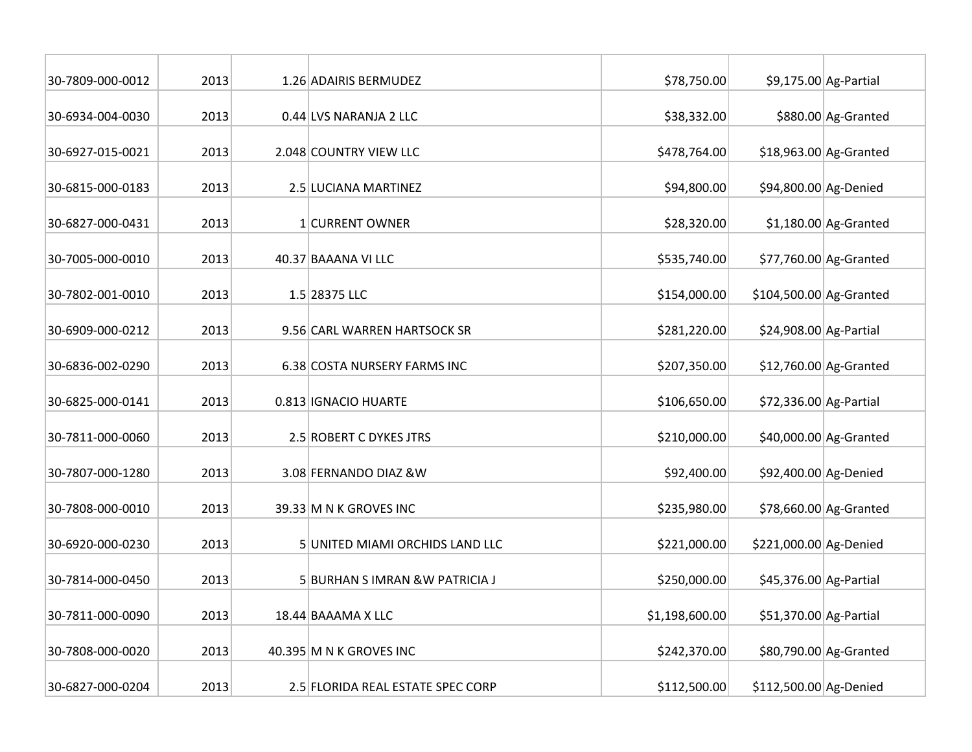| 30-7809-000-0012 | 2013 | 1.26 ADAIRIS BERMUDEZ             | \$78,750.00    |                         | $$9,175.00$ Ag-Partial |
|------------------|------|-----------------------------------|----------------|-------------------------|------------------------|
| 30-6934-004-0030 | 2013 | 0.44 LVS NARANJA 2 LLC            | \$38,332.00    |                         | \$880.00 Ag-Granted    |
| 30-6927-015-0021 | 2013 | 2.048 COUNTRY VIEW LLC            | \$478,764.00   |                         | \$18,963.00 Ag-Granted |
| 30-6815-000-0183 | 2013 | 2.5 LUCIANA MARTINEZ              | \$94,800.00    | \$94,800.00 Ag-Denied   |                        |
| 30-6827-000-0431 | 2013 | 1 CURRENT OWNER                   | \$28,320.00    |                         | $$1,180.00$ Ag-Granted |
| 30-7005-000-0010 | 2013 | 40.37 BAAANA VI LLC               | \$535,740.00   |                         | \$77,760.00 Ag-Granted |
| 30-7802-001-0010 | 2013 | 1.5 28375 LLC                     | \$154,000.00   | \$104,500.00 Ag-Granted |                        |
| 30-6909-000-0212 | 2013 | 9.56 CARL WARREN HARTSOCK SR      | \$281,220.00   | \$24,908.00 Ag-Partial  |                        |
| 30-6836-002-0290 | 2013 | 6.38 COSTA NURSERY FARMS INC      | \$207,350.00   |                         | \$12,760.00 Ag-Granted |
| 30-6825-000-0141 | 2013 | 0.813 IGNACIO HUARTE              | \$106,650.00   | \$72,336.00 Ag-Partial  |                        |
| 30-7811-000-0060 | 2013 | 2.5 ROBERT C DYKES JTRS           | \$210,000.00   |                         | \$40,000.00 Ag-Granted |
| 30-7807-000-1280 | 2013 | 3.08 FERNANDO DIAZ & W            | \$92,400.00    | \$92,400.00 Ag-Denied   |                        |
| 30-7808-000-0010 | 2013 | 39.33 M N K GROVES INC            | \$235,980.00   |                         | \$78,660.00 Ag-Granted |
| 30-6920-000-0230 | 2013 | 5 UNITED MIAMI ORCHIDS LAND LLC   | \$221,000.00   | \$221,000.00 Ag-Denied  |                        |
| 30-7814-000-0450 | 2013 | 5 BURHAN S IMRAN & W PATRICIA J   | \$250,000.00   | \$45,376.00 Ag-Partial  |                        |
| 30-7811-000-0090 | 2013 | 18.44 BAAAMA X LLC                | \$1,198,600.00 | \$51,370.00 Ag-Partial  |                        |
| 30-7808-000-0020 | 2013 | 40.395 M N K GROVES INC           | \$242,370.00   |                         | \$80,790.00 Ag-Granted |
| 30-6827-000-0204 | 2013 | 2.5 FLORIDA REAL ESTATE SPEC CORP | \$112,500.00   | \$112,500.00 Ag-Denied  |                        |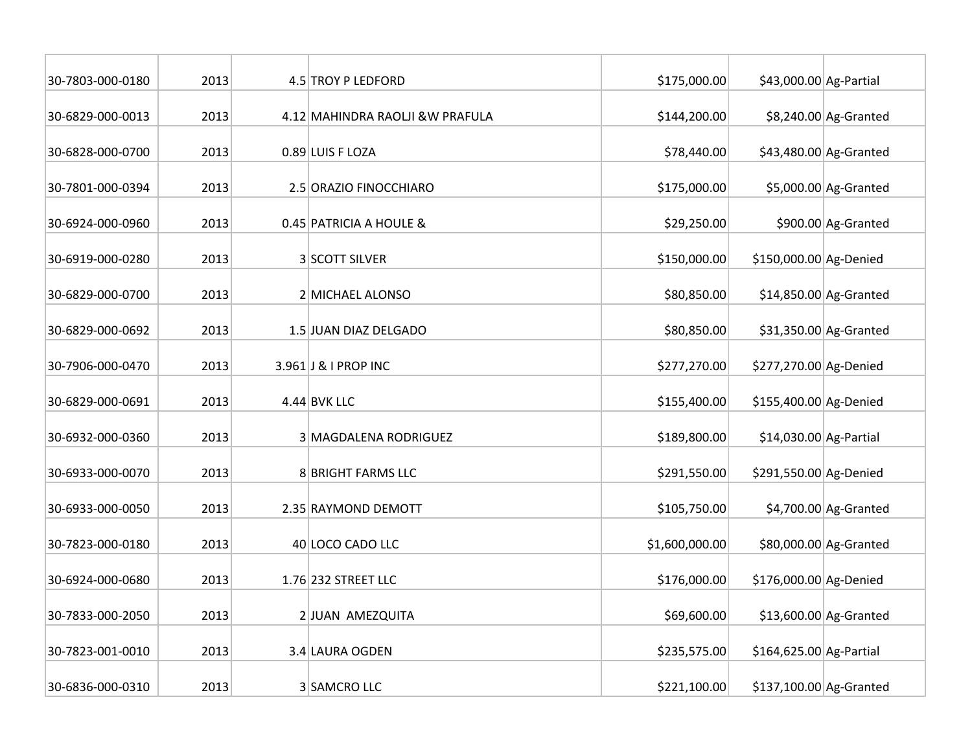| 30-7803-000-0180 | 2013 | 4.5 TROY P LEDFORD               | \$175,000.00   | \$43,000.00 Ag-Partial  |                         |
|------------------|------|----------------------------------|----------------|-------------------------|-------------------------|
| 30-6829-000-0013 | 2013 | 4.12 MAHINDRA RAOLJI & W PRAFULA | \$144,200.00   |                         | \$8,240.00 Ag-Granted   |
| 30-6828-000-0700 | 2013 | 0.89 LUIS F LOZA                 | \$78,440.00    |                         | $$43,480.00$ Ag-Granted |
| 30-7801-000-0394 | 2013 | 2.5 ORAZIO FINOCCHIARO           | \$175,000.00   |                         | $$5,000.00$ Ag-Granted  |
| 30-6924-000-0960 | 2013 | 0.45 PATRICIA A HOULE &          | \$29,250.00    |                         | \$900.00 Ag-Granted     |
| 30-6919-000-0280 | 2013 | 3 SCOTT SILVER                   | \$150,000.00   | \$150,000.00 Ag-Denied  |                         |
| 30-6829-000-0700 | 2013 | 2 MICHAEL ALONSO                 | \$80,850.00    |                         | $$14,850.00$ Ag-Granted |
| 30-6829-000-0692 | 2013 | 1.5 JUAN DIAZ DELGADO            | \$80,850.00    |                         | $$31,350.00$ Ag-Granted |
| 30-7906-000-0470 | 2013 | 3.961 J & I PROP INC             | \$277,270.00   | \$277,270.00 Ag-Denied  |                         |
| 30-6829-000-0691 | 2013 | $4.44$ BVK LLC                   | \$155,400.00   | \$155,400.00 Ag-Denied  |                         |
| 30-6932-000-0360 | 2013 | 3 MAGDALENA RODRIGUEZ            | \$189,800.00   | $$14,030.00$ Ag-Partial |                         |
| 30-6933-000-0070 | 2013 | 8 BRIGHT FARMS LLC               | \$291,550.00   | \$291,550.00 Ag-Denied  |                         |
| 30-6933-000-0050 | 2013 | 2.35 RAYMOND DEMOTT              | \$105,750.00   |                         | $$4,700.00$ Ag-Granted  |
| 30-7823-000-0180 | 2013 | 40 LOCO CADO LLC                 | \$1,600,000.00 |                         | \$80,000.00 Ag-Granted  |
| 30-6924-000-0680 | 2013 | 1.76 232 STREET LLC              | \$176,000.00   | \$176,000.00 Ag-Denied  |                         |
| 30-7833-000-2050 | 2013 | 2 JUAN AMEZQUITA                 | \$69,600.00    |                         | $$13,600.00$ Ag-Granted |
| 30-7823-001-0010 | 2013 | 3.4 LAURA OGDEN                  | \$235,575.00   | \$164,625.00 Ag-Partial |                         |
| 30-6836-000-0310 | 2013 | 3 SAMCRO LLC                     | \$221,100.00   | \$137,100.00 Ag-Granted |                         |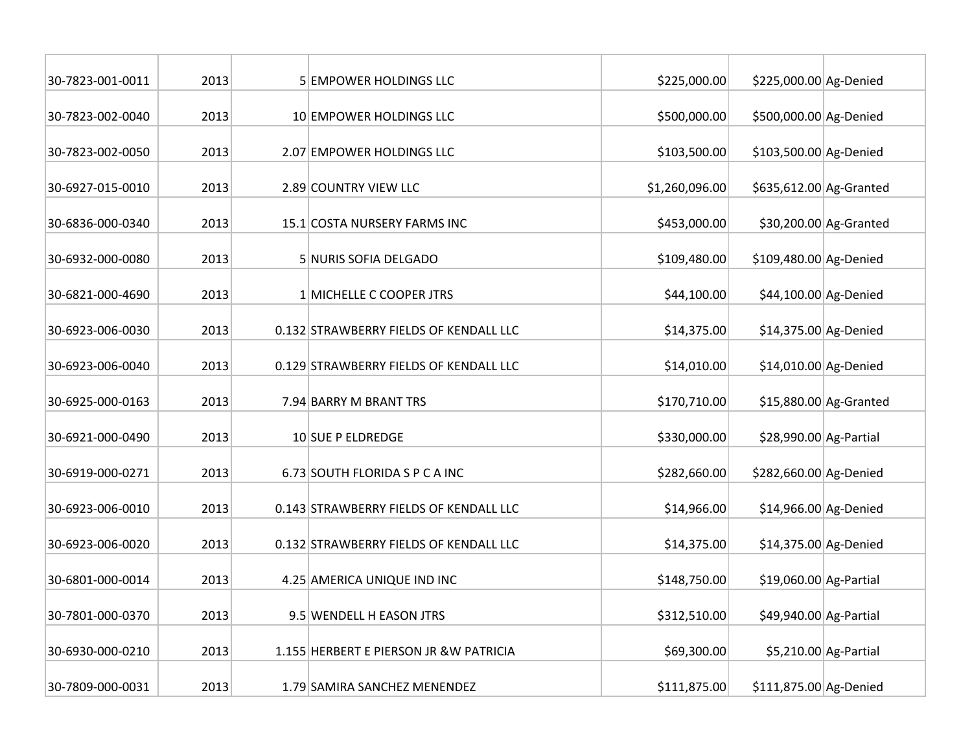| 30-7823-001-0011 | 2013 | 5 EMPOWER HOLDINGS LLC                  | \$225,000.00   | \$225,000.00 Ag-Denied  |                         |
|------------------|------|-----------------------------------------|----------------|-------------------------|-------------------------|
| 30-7823-002-0040 | 2013 | 10 EMPOWER HOLDINGS LLC                 | \$500,000.00   | \$500,000.00 Ag-Denied  |                         |
| 30-7823-002-0050 | 2013 | 2.07 EMPOWER HOLDINGS LLC               | \$103,500.00   | \$103,500.00 Ag-Denied  |                         |
| 30-6927-015-0010 | 2013 | 2.89 COUNTRY VIEW LLC                   | \$1,260,096.00 | \$635,612.00 Ag-Granted |                         |
| 30-6836-000-0340 | 2013 | 15.1 COSTA NURSERY FARMS INC            | \$453,000.00   |                         | \$30,200.00 Ag-Granted  |
| 30-6932-000-0080 | 2013 | 5 NURIS SOFIA DELGADO                   | \$109,480.00   | \$109,480.00 Ag-Denied  |                         |
| 30-6821-000-4690 | 2013 | 1 MICHELLE C COOPER JTRS                | \$44,100.00    | \$44,100.00 Ag-Denied   |                         |
| 30-6923-006-0030 | 2013 | 0.132 STRAWBERRY FIELDS OF KENDALL LLC  | \$14,375.00    | \$14,375.00 Ag-Denied   |                         |
| 30-6923-006-0040 | 2013 | 0.129 STRAWBERRY FIELDS OF KENDALL LLC  | \$14,010.00    | \$14,010.00 Ag-Denied   |                         |
| 30-6925-000-0163 | 2013 | 7.94 BARRY M BRANT TRS                  | \$170,710.00   |                         | $$15,880.00$ Ag-Granted |
| 30-6921-000-0490 | 2013 | 10 SUE P ELDREDGE                       | \$330,000.00   | \$28,990.00 Ag-Partial  |                         |
| 30-6919-000-0271 | 2013 | 6.73 SOUTH FLORIDA S P C A INC          | \$282,660.00   | \$282,660.00 Ag-Denied  |                         |
| 30-6923-006-0010 | 2013 | 0.143 STRAWBERRY FIELDS OF KENDALL LLC  | \$14,966.00    | \$14,966.00 Ag-Denied   |                         |
| 30-6923-006-0020 | 2013 | 0.132 STRAWBERRY FIELDS OF KENDALL LLC  | \$14,375.00    | \$14,375.00 Ag-Denied   |                         |
| 30-6801-000-0014 | 2013 | 4.25 AMERICA UNIQUE IND INC             | \$148,750.00   | \$19,060.00 Ag-Partial  |                         |
| 30-7801-000-0370 | 2013 | 9.5 WENDELL H EASON JTRS                | \$312,510.00   | \$49,940.00 Ag-Partial  |                         |
| 30-6930-000-0210 | 2013 | 1.155 HERBERT E PIERSON JR & W PATRICIA | \$69,300.00    |                         | \$5,210.00 Ag-Partial   |
| 30-7809-000-0031 | 2013 | 1.79 SAMIRA SANCHEZ MENENDEZ            | \$111,875.00   | \$111,875.00 Ag-Denied  |                         |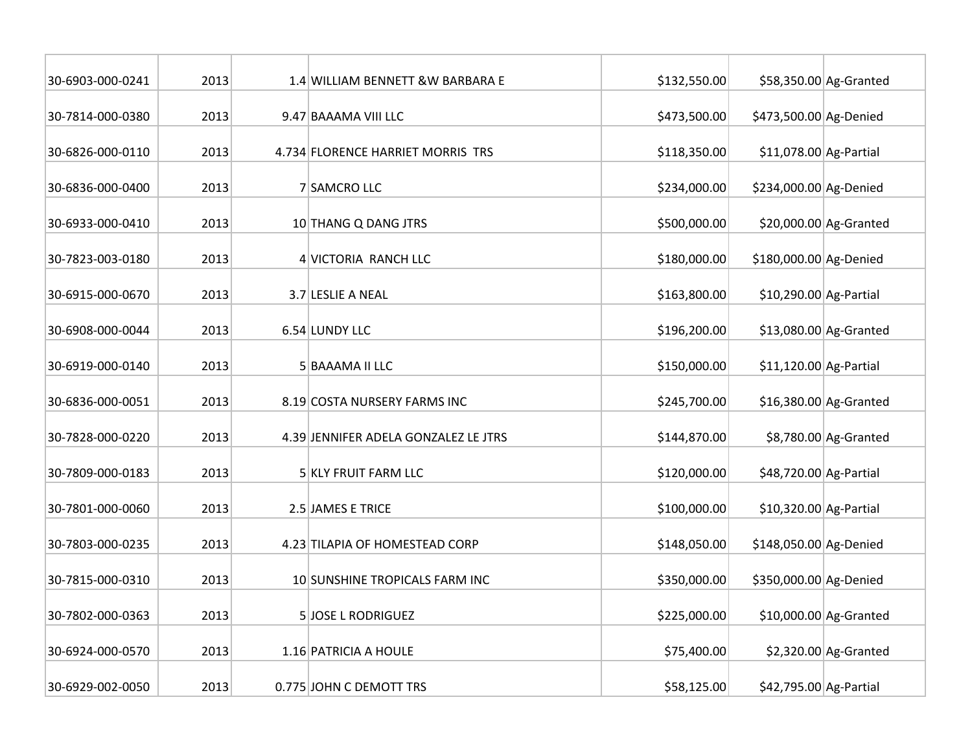| 30-6903-000-0241 | 2013 | 1.4 WILLIAM BENNETT & W BARBARA E    | \$132,550.00 |                         | \$58,350.00 Ag-Granted  |
|------------------|------|--------------------------------------|--------------|-------------------------|-------------------------|
| 30-7814-000-0380 | 2013 | 9.47 BAAAMA VIII LLC                 | \$473,500.00 | \$473,500.00 Ag-Denied  |                         |
| 30-6826-000-0110 | 2013 | 4.734 FLORENCE HARRIET MORRIS TRS    | \$118,350.00 | $$11,078.00$ Ag-Partial |                         |
| 30-6836-000-0400 | 2013 | 7 SAMCRO LLC                         | \$234,000.00 | \$234,000.00 Ag-Denied  |                         |
| 30-6933-000-0410 | 2013 | 10 THANG Q DANG JTRS                 | \$500,000.00 |                         | $$20,000.00$ Ag-Granted |
| 30-7823-003-0180 | 2013 | 4 VICTORIA RANCH LLC                 | \$180,000.00 | \$180,000.00 Ag-Denied  |                         |
| 30-6915-000-0670 | 2013 | 3.7 LESLIE A NEAL                    | \$163,800.00 | \$10,290.00 Ag-Partial  |                         |
| 30-6908-000-0044 | 2013 | 6.54 LUNDY LLC                       | \$196,200.00 |                         | $$13,080.00$ Ag-Granted |
| 30-6919-000-0140 | 2013 | 5 BAAAMA II LLC                      | \$150,000.00 | $$11,120.00$ Ag-Partial |                         |
| 30-6836-000-0051 | 2013 | 8.19 COSTA NURSERY FARMS INC         | \$245,700.00 |                         | $$16,380.00$ Ag-Granted |
| 30-7828-000-0220 | 2013 | 4.39 JENNIFER ADELA GONZALEZ LE JTRS | \$144,870.00 |                         | \$8,780.00 Ag-Granted   |
| 30-7809-000-0183 | 2013 | 5 KLY FRUIT FARM LLC                 | \$120,000.00 | \$48,720.00 Ag-Partial  |                         |
| 30-7801-000-0060 | 2013 | 2.5 JAMES E TRICE                    | \$100,000.00 | \$10,320.00 Ag-Partial  |                         |
| 30-7803-000-0235 | 2013 | 4.23 TILAPIA OF HOMESTEAD CORP       | \$148,050.00 | \$148,050.00 Ag-Denied  |                         |
| 30-7815-000-0310 | 2013 | 10 SUNSHINE TROPICALS FARM INC       | \$350,000.00 | \$350,000.00 Ag-Denied  |                         |
| 30-7802-000-0363 | 2013 | 5JOSE L RODRIGUEZ                    | \$225,000.00 |                         | $$10,000.00$ Ag-Granted |
| 30-6924-000-0570 | 2013 | 1.16 PATRICIA A HOULE                | \$75,400.00  |                         | $$2,320.00$ Ag-Granted  |
| 30-6929-002-0050 | 2013 | 0.775 JOHN C DEMOTT TRS              | \$58,125.00  | \$42,795.00 Ag-Partial  |                         |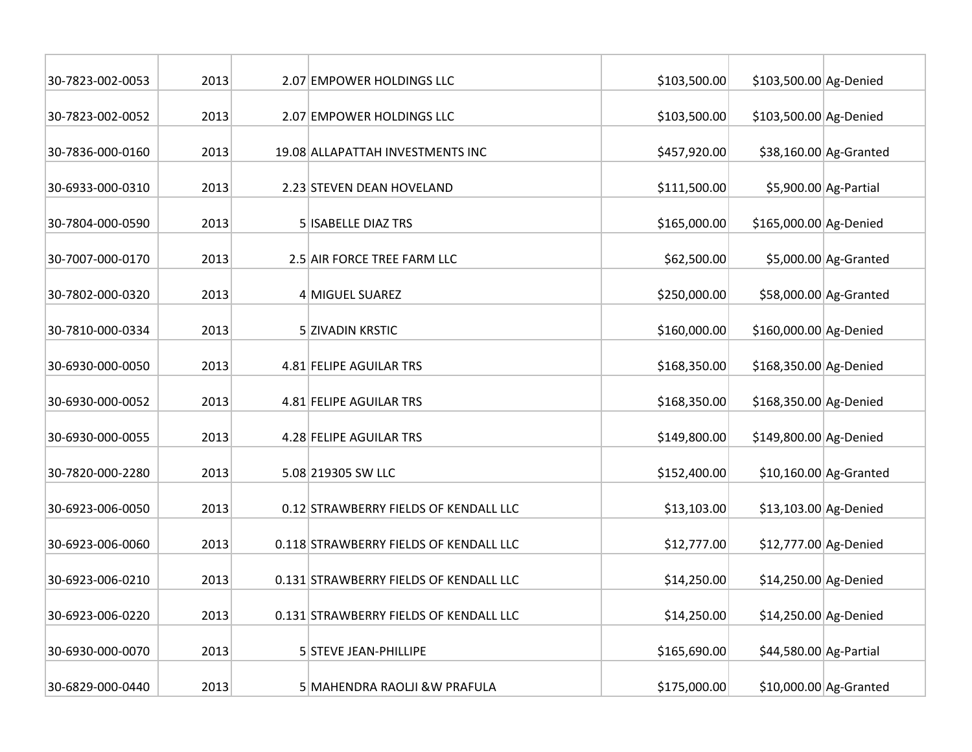| 30-7823-002-0053 | 2013 | 2.07 EMPOWER HOLDINGS LLC              | \$103,500.00 | \$103,500.00 Ag-Denied |                         |
|------------------|------|----------------------------------------|--------------|------------------------|-------------------------|
| 30-7823-002-0052 | 2013 | 2.07 EMPOWER HOLDINGS LLC              | \$103,500.00 | \$103,500.00 Ag-Denied |                         |
| 30-7836-000-0160 | 2013 | 19.08 ALLAPATTAH INVESTMENTS INC       | \$457,920.00 |                        | \$38,160.00 Ag-Granted  |
| 30-6933-000-0310 | 2013 | 2.23 STEVEN DEAN HOVELAND              | \$111,500.00 |                        | \$5,900.00 Ag-Partial   |
| 30-7804-000-0590 | 2013 | <b>5 ISABELLE DIAZ TRS</b>             | \$165,000.00 | \$165,000.00 Ag-Denied |                         |
| 30-7007-000-0170 | 2013 | 2.5 AIR FORCE TREE FARM LLC            | \$62,500.00  |                        | \$5,000.00 Ag-Granted   |
| 30-7802-000-0320 | 2013 | 4 MIGUEL SUAREZ                        | \$250,000.00 |                        | \$58,000.00 Ag-Granted  |
| 30-7810-000-0334 | 2013 | 5 ZIVADIN KRSTIC                       | \$160,000.00 | \$160,000.00 Ag-Denied |                         |
| 30-6930-000-0050 | 2013 | 4.81 FELIPE AGUILAR TRS                | \$168,350.00 | \$168,350.00 Ag-Denied |                         |
| 30-6930-000-0052 | 2013 | 4.81 FELIPE AGUILAR TRS                | \$168,350.00 | \$168,350.00 Ag-Denied |                         |
| 30-6930-000-0055 | 2013 | 4.28 FELIPE AGUILAR TRS                | \$149,800.00 | \$149,800.00 Ag-Denied |                         |
| 30-7820-000-2280 | 2013 | 5.08 219305 SW LLC                     | \$152,400.00 |                        | $$10,160.00$ Ag-Granted |
| 30-6923-006-0050 | 2013 | 0.12 STRAWBERRY FIELDS OF KENDALL LLC  | \$13,103.00  | \$13,103.00 Ag-Denied  |                         |
| 30-6923-006-0060 | 2013 | 0.118 STRAWBERRY FIELDS OF KENDALL LLC | \$12,777.00  | \$12,777.00 Ag-Denied  |                         |
| 30-6923-006-0210 | 2013 | 0.131 STRAWBERRY FIELDS OF KENDALL LLC | \$14,250.00  | \$14,250.00 Ag-Denied  |                         |
| 30-6923-006-0220 | 2013 | 0.131 STRAWBERRY FIELDS OF KENDALL LLC | \$14,250.00  | \$14,250.00 Ag-Denied  |                         |
| 30-6930-000-0070 | 2013 | 5 STEVE JEAN-PHILLIPE                  | \$165,690.00 | \$44,580.00 Ag-Partial |                         |
| 30-6829-000-0440 | 2013 | 5 MAHENDRA RAOLJI & W PRAFULA          | \$175,000.00 |                        | \$10,000.00 Ag-Granted  |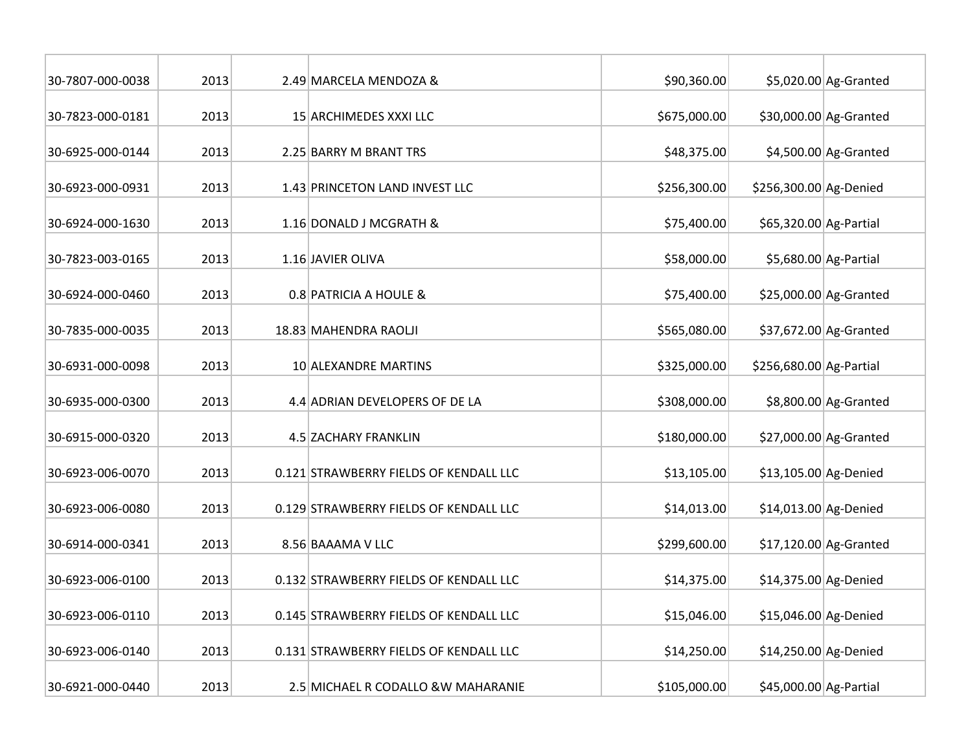| 30-7807-000-0038 | 2013 | 2.49 MARCELA MENDOZA &                 | \$90,360.00  |                         | \$5,020.00 Ag-Granted   |
|------------------|------|----------------------------------------|--------------|-------------------------|-------------------------|
| 30-7823-000-0181 | 2013 | 15 ARCHIMEDES XXXI LLC                 | \$675,000.00 |                         | \$30,000.00 Ag-Granted  |
| 30-6925-000-0144 | 2013 | 2.25 BARRY M BRANT TRS                 | \$48,375.00  |                         | $$4,500.00$ Ag-Granted  |
| 30-6923-000-0931 | 2013 | 1.43 PRINCETON LAND INVEST LLC         | \$256,300.00 | \$256,300.00 Ag-Denied  |                         |
| 30-6924-000-1630 | 2013 | 1.16 DONALD J MCGRATH &                | \$75,400.00  | \$65,320.00 Ag-Partial  |                         |
| 30-7823-003-0165 | 2013 | 1.16 JAVIER OLIVA                      | \$58,000.00  |                         | \$5,680.00 Ag-Partial   |
| 30-6924-000-0460 | 2013 | 0.8 PATRICIA A HOULE &                 | \$75,400.00  |                         | $$25,000.00$ Ag-Granted |
| 30-7835-000-0035 | 2013 | 18.83 MAHENDRA RAOLJI                  | \$565,080.00 |                         | \$37,672.00 Ag-Granted  |
| 30-6931-000-0098 | 2013 | 10 ALEXANDRE MARTINS                   | \$325,000.00 | \$256,680.00 Ag-Partial |                         |
| 30-6935-000-0300 | 2013 | 4.4 ADRIAN DEVELOPERS OF DE LA         | \$308,000.00 |                         | \$8,800.00 Ag-Granted   |
| 30-6915-000-0320 | 2013 | 4.5 ZACHARY FRANKLIN                   | \$180,000.00 |                         | $$27,000.00$ Ag-Granted |
| 30-6923-006-0070 | 2013 | 0.121 STRAWBERRY FIELDS OF KENDALL LLC | \$13,105.00  | \$13,105.00 Ag-Denied   |                         |
| 30-6923-006-0080 | 2013 | 0.129 STRAWBERRY FIELDS OF KENDALL LLC | \$14,013.00  | \$14,013.00 Ag-Denied   |                         |
| 30-6914-000-0341 | 2013 | 8.56 BAAAMA V LLC                      | \$299,600.00 |                         | \$17,120.00 Ag-Granted  |
| 30-6923-006-0100 | 2013 | 0.132 STRAWBERRY FIELDS OF KENDALL LLC | \$14,375.00  | \$14,375.00 Ag-Denied   |                         |
| 30-6923-006-0110 | 2013 | 0.145 STRAWBERRY FIELDS OF KENDALL LLC | \$15,046.00  | \$15,046.00 Ag-Denied   |                         |
| 30-6923-006-0140 | 2013 | 0.131 STRAWBERRY FIELDS OF KENDALL LLC | \$14,250.00  | \$14,250.00 Ag-Denied   |                         |
| 30-6921-000-0440 | 2013 | 2.5 MICHAEL R CODALLO & W MAHARANIE    | \$105,000.00 | \$45,000.00 Ag-Partial  |                         |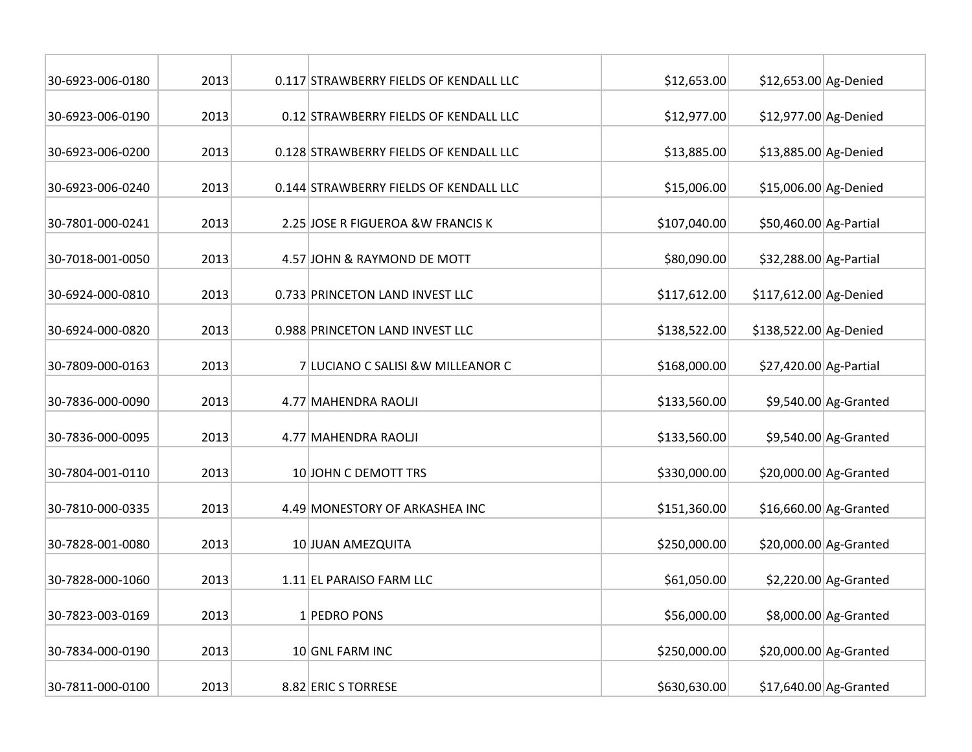| 30-6923-006-0180 | 2013 | 0.117 STRAWBERRY FIELDS OF KENDALL LLC | \$12,653.00  | \$12,653.00 Ag-Denied  |                        |
|------------------|------|----------------------------------------|--------------|------------------------|------------------------|
| 30-6923-006-0190 | 2013 | 0.12 STRAWBERRY FIELDS OF KENDALL LLC  | \$12,977.00  | \$12,977.00 Ag-Denied  |                        |
| 30-6923-006-0200 | 2013 | 0.128 STRAWBERRY FIELDS OF KENDALL LLC | \$13,885.00  | \$13,885.00 Ag-Denied  |                        |
| 30-6923-006-0240 | 2013 | 0.144 STRAWBERRY FIELDS OF KENDALL LLC | \$15,006.00  | \$15,006.00 Ag-Denied  |                        |
| 30-7801-000-0241 | 2013 | 2.25 JOSE R FIGUEROA & W FRANCIS K     | \$107,040.00 | \$50,460.00 Ag-Partial |                        |
| 30-7018-001-0050 | 2013 | 4.57 JOHN & RAYMOND DE MOTT            | \$80,090.00  | \$32,288.00 Ag-Partial |                        |
| 30-6924-000-0810 | 2013 | 0.733 PRINCETON LAND INVEST LLC        | \$117,612.00 | \$117,612.00 Ag-Denied |                        |
| 30-6924-000-0820 | 2013 | 0.988 PRINCETON LAND INVEST LLC        | \$138,522.00 | \$138,522.00 Ag-Denied |                        |
| 30-7809-000-0163 | 2013 | 7 LUCIANO C SALISI & W MILLEANOR C     | \$168,000.00 | \$27,420.00 Ag-Partial |                        |
| 30-7836-000-0090 | 2013 | 4.77 MAHENDRA RAOLJI                   | \$133,560.00 |                        | $$9,540.00$ Ag-Granted |
| 30-7836-000-0095 | 2013 | 4.77 MAHENDRA RAOLJI                   | \$133,560.00 |                        | $$9,540.00$ Ag-Granted |
| 30-7804-001-0110 | 2013 | 10 JOHN C DEMOTT TRS                   | \$330,000.00 |                        | \$20,000.00 Ag-Granted |
| 30-7810-000-0335 | 2013 | 4.49 MONESTORY OF ARKASHEA INC         | \$151,360.00 |                        | \$16,660.00 Ag-Granted |
| 30-7828-001-0080 | 2013 | 10 JUAN AMEZQUITA                      | \$250,000.00 |                        | \$20,000.00 Ag-Granted |
| 30-7828-000-1060 | 2013 | 1.11 EL PARAISO FARM LLC               | \$61,050.00  |                        | $$2,220.00$ Ag-Granted |
| 30-7823-003-0169 | 2013 | 1 PEDRO PONS                           | \$56,000.00  |                        | \$8,000.00 Ag-Granted  |
| 30-7834-000-0190 | 2013 | 10 GNL FARM INC                        | \$250,000.00 |                        | \$20,000.00 Ag-Granted |
| 30-7811-000-0100 | 2013 | 8.82 ERIC S TORRESE                    | \$630,630.00 |                        | \$17,640.00 Ag-Granted |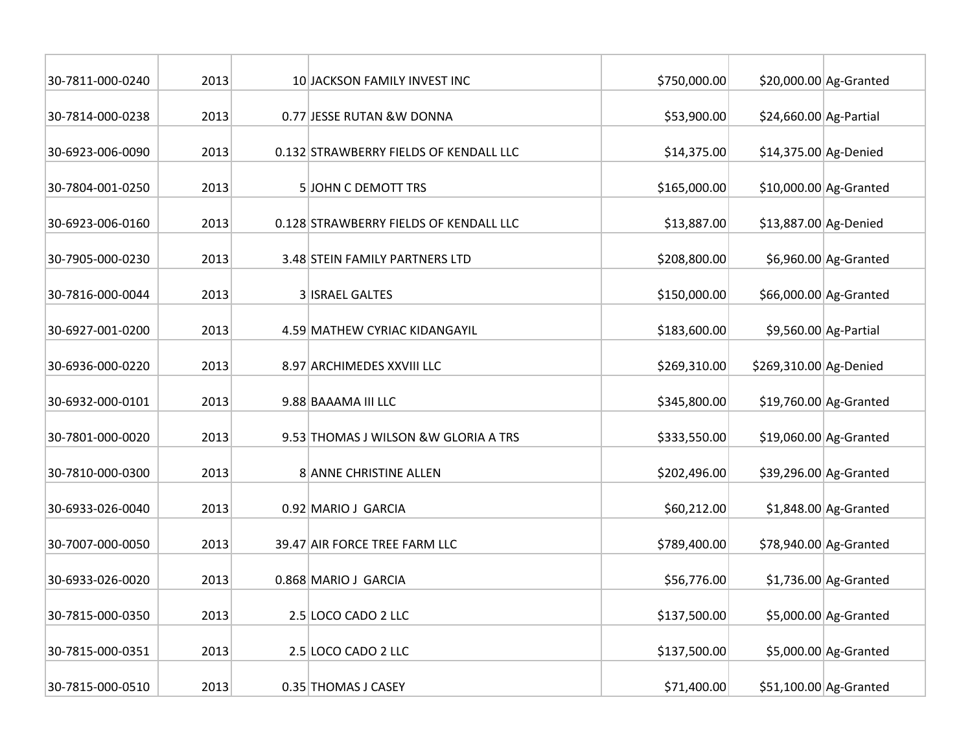| 30-7811-000-0240 | 2013 | 10 JACKSON FAMILY INVEST INC           | \$750,000.00 |                        | \$20,000.00 Ag-Granted |
|------------------|------|----------------------------------------|--------------|------------------------|------------------------|
| 30-7814-000-0238 | 2013 | 0.77 JESSE RUTAN &W DONNA              | \$53,900.00  | \$24,660.00 Ag-Partial |                        |
| 30-6923-006-0090 | 2013 | 0.132 STRAWBERRY FIELDS OF KENDALL LLC | \$14,375.00  | \$14,375.00 Ag-Denied  |                        |
| 30-7804-001-0250 | 2013 | <b>5 JOHN C DEMOTT TRS</b>             | \$165,000.00 |                        | \$10,000.00 Ag-Granted |
| 30-6923-006-0160 | 2013 | 0.128 STRAWBERRY FIELDS OF KENDALL LLC | \$13,887.00  | \$13,887.00 Ag-Denied  |                        |
| 30-7905-000-0230 | 2013 | 3.48 STEIN FAMILY PARTNERS LTD         | \$208,800.00 |                        | \$6,960.00 Ag-Granted  |
| 30-7816-000-0044 | 2013 | <b>3 ISRAEL GALTES</b>                 | \$150,000.00 |                        | \$66,000.00 Ag-Granted |
| 30-6927-001-0200 | 2013 | 4.59 MATHEW CYRIAC KIDANGAYIL          | \$183,600.00 |                        | \$9,560.00 Ag-Partial  |
| 30-6936-000-0220 | 2013 | 8.97 ARCHIMEDES XXVIII LLC             | \$269,310.00 | \$269,310.00 Ag-Denied |                        |
| 30-6932-000-0101 | 2013 | 9.88 BAAAMA III LLC                    | \$345,800.00 |                        | \$19,760.00 Ag-Granted |
| 30-7801-000-0020 | 2013 | 9.53 THOMAS J WILSON & W GLORIA A TRS  | \$333,550.00 |                        | \$19,060.00 Ag-Granted |
| 30-7810-000-0300 | 2013 | 8 ANNE CHRISTINE ALLEN                 | \$202,496.00 |                        | \$39,296.00 Ag-Granted |
| 30-6933-026-0040 | 2013 | 0.92 MARIO J GARCIA                    | \$60,212.00  |                        | $$1,848.00$ Ag-Granted |
| 30-7007-000-0050 | 2013 | 39.47 AIR FORCE TREE FARM LLC          | \$789,400.00 |                        | \$78,940.00 Ag-Granted |
| 30-6933-026-0020 | 2013 | 0.868 MARIO J GARCIA                   | \$56,776.00  |                        | $$1,736.00$ Ag-Granted |
| 30-7815-000-0350 | 2013 | 2.5 LOCO CADO 2 LLC                    | \$137,500.00 |                        | \$5,000.00 Ag-Granted  |
| 30-7815-000-0351 | 2013 | 2.5 LOCO CADO 2 LLC                    | \$137,500.00 |                        | \$5,000.00 Ag-Granted  |
| 30-7815-000-0510 | 2013 | 0.35 THOMAS J CASEY                    | \$71,400.00  |                        | \$51,100.00 Ag-Granted |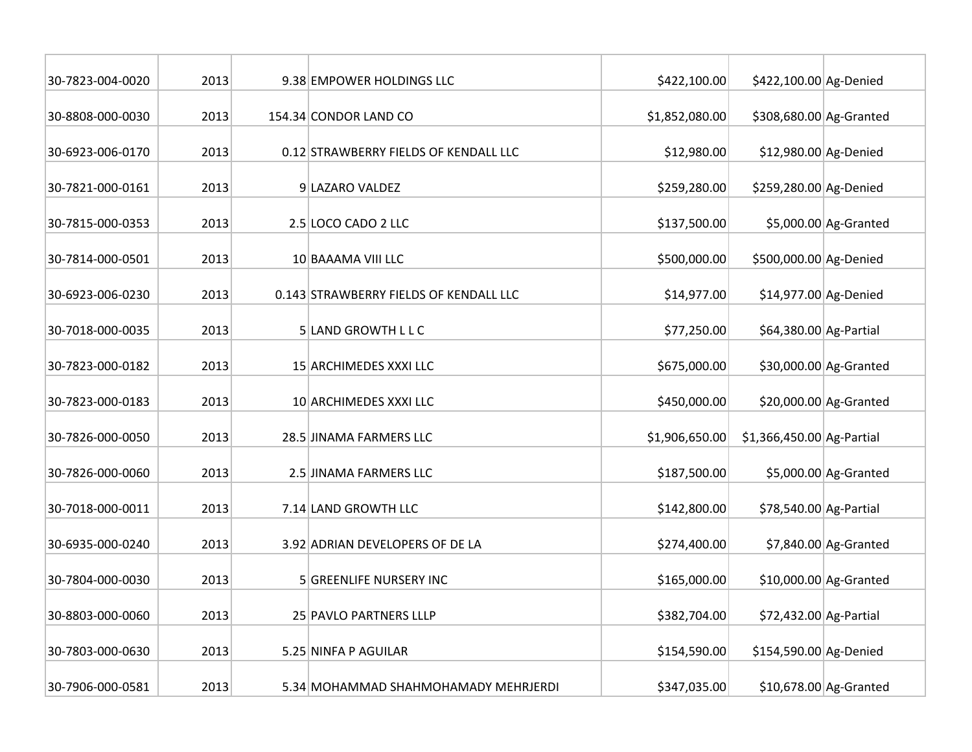| 30-7823-004-0020 | 2013 | 9.38 EMPOWER HOLDINGS LLC              | \$422,100.00   | \$422,100.00 Ag-Denied    |                        |
|------------------|------|----------------------------------------|----------------|---------------------------|------------------------|
| 30-8808-000-0030 | 2013 | 154.34 CONDOR LAND CO                  | \$1,852,080.00 | \$308,680.00 Ag-Granted   |                        |
| 30-6923-006-0170 | 2013 | 0.12 STRAWBERRY FIELDS OF KENDALL LLC  | \$12,980.00    | \$12,980.00 Ag-Denied     |                        |
| 30-7821-000-0161 | 2013 | 9 LAZARO VALDEZ                        | \$259,280.00   | \$259,280.00 Ag-Denied    |                        |
| 30-7815-000-0353 | 2013 | 2.5 LOCO CADO 2 LLC                    | \$137,500.00   |                           | $$5,000.00$ Ag-Granted |
| 30-7814-000-0501 | 2013 | 10 BAAAMA VIII LLC                     | \$500,000.00   | \$500,000.00 Ag-Denied    |                        |
| 30-6923-006-0230 | 2013 | 0.143 STRAWBERRY FIELDS OF KENDALL LLC | \$14,977.00    | \$14,977.00 Ag-Denied     |                        |
| 30-7018-000-0035 | 2013 | 5 LAND GROWTH L L C                    | \$77,250.00    | \$64,380.00 Ag-Partial    |                        |
| 30-7823-000-0182 | 2013 | 15 ARCHIMEDES XXXI LLC                 | \$675,000.00   |                           | \$30,000.00 Ag-Granted |
| 30-7823-000-0183 | 2013 | 10 ARCHIMEDES XXXI LLC                 | \$450,000.00   |                           | \$20,000.00 Ag-Granted |
| 30-7826-000-0050 | 2013 | 28.5 JINAMA FARMERS LLC                | \$1,906,650.00 | \$1,366,450.00 Ag-Partial |                        |
| 30-7826-000-0060 | 2013 | 2.5 JINAMA FARMERS LLC                 | \$187,500.00   |                           | $$5,000.00$ Ag-Granted |
| 30-7018-000-0011 | 2013 | 7.14 LAND GROWTH LLC                   | \$142,800.00   | \$78,540.00 Ag-Partial    |                        |
| 30-6935-000-0240 | 2013 | 3.92 ADRIAN DEVELOPERS OF DE LA        | \$274,400.00   |                           | $$7,840.00$ Ag-Granted |
| 30-7804-000-0030 | 2013 | 5 GREENLIFE NURSERY INC                | \$165,000.00   |                           | \$10,000.00 Ag-Granted |
| 30-8803-000-0060 | 2013 | 25 PAVLO PARTNERS LLLP                 | \$382,704.00   | \$72,432.00 Ag-Partial    |                        |
| 30-7803-000-0630 | 2013 | 5.25 NINFA P AGUILAR                   | \$154,590.00   | \$154,590.00 Ag-Denied    |                        |
| 30-7906-000-0581 | 2013 | 5.34 MOHAMMAD SHAHMOHAMADY MEHRJERDI   | \$347,035.00   |                           | \$10,678.00 Ag-Granted |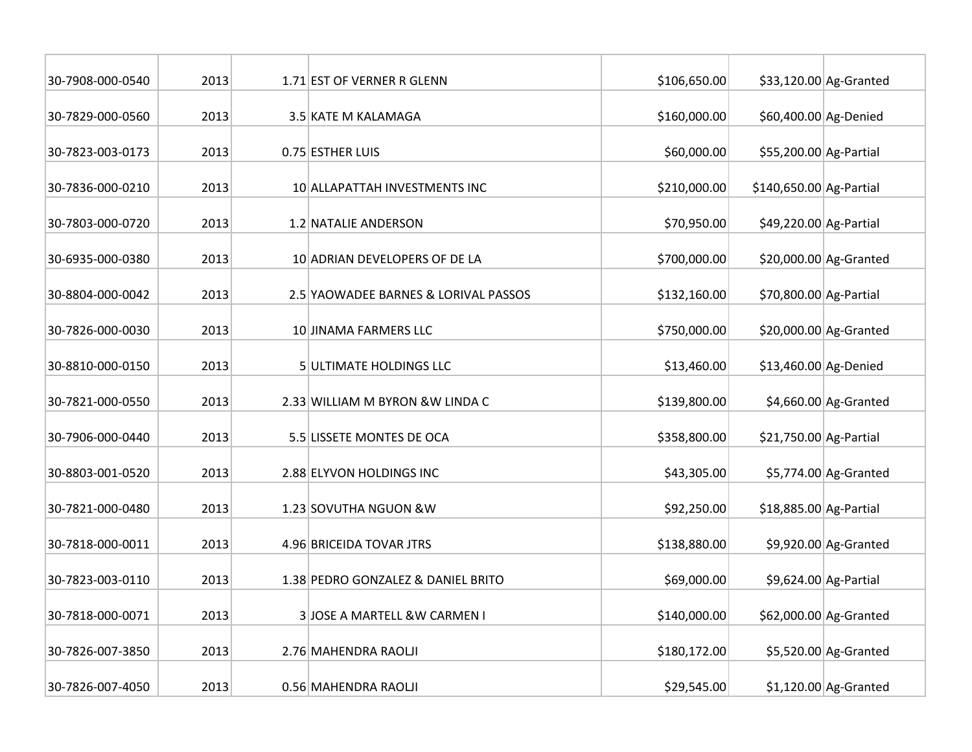| 30-7908-000-0540 | 2013 | 1.71 EST OF VERNER R GLENN           | \$106,650.00 |                         | $$33,120.00$ Ag-Granted |
|------------------|------|--------------------------------------|--------------|-------------------------|-------------------------|
| 30-7829-000-0560 | 2013 | 3.5 KATE M KALAMAGA                  | \$160,000.00 | \$60,400.00 Ag-Denied   |                         |
| 30-7823-003-0173 | 2013 | 0.75 ESTHER LUIS                     | \$60,000.00  | \$55,200.00 Ag-Partial  |                         |
| 30-7836-000-0210 | 2013 | 10 ALLAPATTAH INVESTMENTS INC        | \$210,000.00 | \$140,650.00 Ag-Partial |                         |
| 30-7803-000-0720 | 2013 | 1.2 NATALIE ANDERSON                 | \$70,950.00  | \$49,220.00 Ag-Partial  |                         |
| 30-6935-000-0380 | 2013 | 10 ADRIAN DEVELOPERS OF DE LA        | \$700,000.00 |                         | \$20,000.00 Ag-Granted  |
| 30-8804-000-0042 | 2013 | 2.5 YAOWADEE BARNES & LORIVAL PASSOS | \$132,160.00 | \$70,800.00 Ag-Partial  |                         |
| 30-7826-000-0030 | 2013 | 10 JINAMA FARMERS LLC                | \$750,000.00 |                         | \$20,000.00 Ag-Granted  |
| 30-8810-000-0150 | 2013 | 5 ULTIMATE HOLDINGS LLC              | \$13,460.00  | \$13,460.00 Ag-Denied   |                         |
| 30-7821-000-0550 | 2013 | 2.33 WILLIAM M BYRON & W LINDA C     | \$139,800.00 |                         | $$4,660.00$ Ag-Granted  |
| 30-7906-000-0440 | 2013 | 5.5 LISSETE MONTES DE OCA            | \$358,800.00 | \$21,750.00 Ag-Partial  |                         |
| 30-8803-001-0520 | 2013 | 2.88 ELYVON HOLDINGS INC             | \$43,305.00  |                         | \$5,774.00 Ag-Granted   |
| 30-7821-000-0480 | 2013 | 1.23 SOVUTHA NGUON & W               | \$92,250.00  | \$18,885.00 Ag-Partial  |                         |
| 30-7818-000-0011 | 2013 | 4.96 BRICEIDA TOVAR JTRS             | \$138,880.00 |                         | \$9,920.00 Ag-Granted   |
| 30-7823-003-0110 | 2013 | 1.38 PEDRO GONZALEZ & DANIEL BRITO   | \$69,000.00  |                         | \$9,624.00 Ag-Partial   |
| 30-7818-000-0071 | 2013 | 3 JOSE A MARTELL &W CARMEN I         | \$140,000.00 |                         | \$62,000.00 Ag-Granted  |
| 30-7826-007-3850 | 2013 | 2.76 MAHENDRA RAOLJI                 | \$180,172.00 |                         | \$5,520.00 Ag-Granted   |
| 30-7826-007-4050 | 2013 | 0.56 MAHENDRA RAOLJI                 | \$29,545.00  |                         | $$1,120.00$ Ag-Granted  |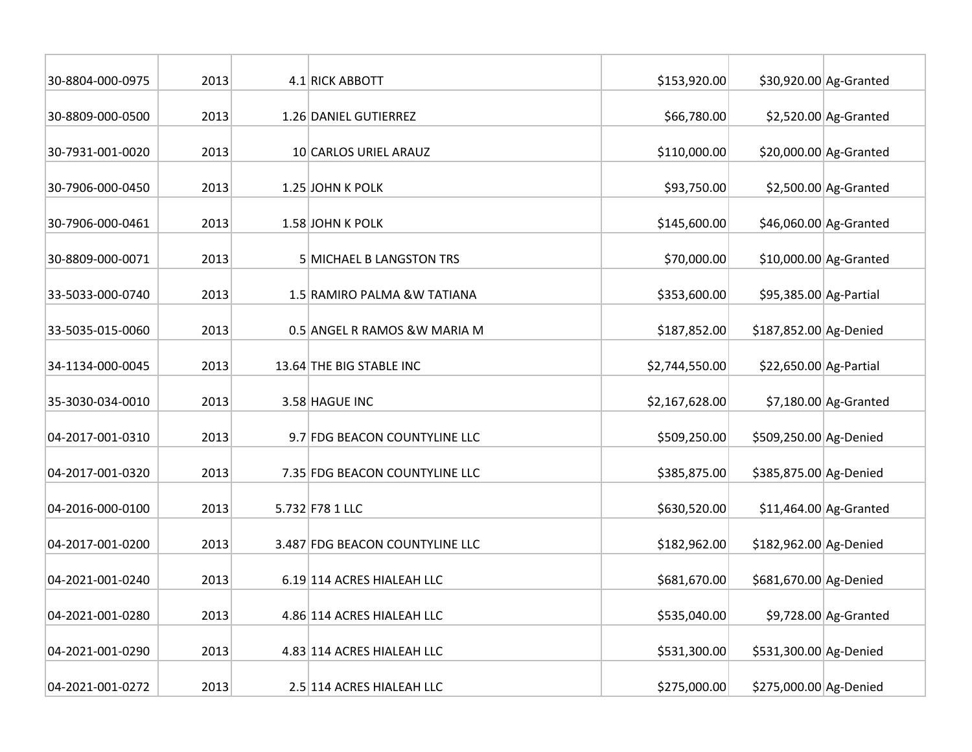| 30-8804-000-0975 | 2013 | 4.1 RICK ABBOTT                 | \$153,920.00   |                        | \$30,920.00 Ag-Granted  |
|------------------|------|---------------------------------|----------------|------------------------|-------------------------|
| 30-8809-000-0500 | 2013 | 1.26 DANIEL GUTIERREZ           | \$66,780.00    |                        | $$2,520.00$ Ag-Granted  |
| 30-7931-001-0020 | 2013 | 10 CARLOS URIEL ARAUZ           | \$110,000.00   |                        | $$20,000.00$ Ag-Granted |
| 30-7906-000-0450 | 2013 | 1.25 JOHN K POLK                | \$93,750.00    |                        | $$2,500.00$ Ag-Granted  |
| 30-7906-000-0461 | 2013 | 1.58 JOHN K POLK                | \$145,600.00   |                        | \$46,060.00 Ag-Granted  |
| 30-8809-000-0071 | 2013 | <b>5 MICHAEL B LANGSTON TRS</b> | \$70,000.00    |                        | $$10,000.00$ Ag-Granted |
| 33-5033-000-0740 | 2013 | 1.5 RAMIRO PALMA &W TATIANA     | \$353,600.00   | \$95,385.00 Ag-Partial |                         |
| 33-5035-015-0060 | 2013 | 0.5 ANGEL R RAMOS & W MARIA M   | \$187,852.00   | \$187,852.00 Ag-Denied |                         |
| 34-1134-000-0045 | 2013 | 13.64 THE BIG STABLE INC        | \$2,744,550.00 | \$22,650.00 Ag-Partial |                         |
| 35-3030-034-0010 | 2013 | 3.58 HAGUE INC                  | \$2,167,628.00 |                        | $$7,180.00$ Ag-Granted  |
| 04-2017-001-0310 | 2013 | 9.7 FDG BEACON COUNTYLINE LLC   | \$509,250.00   | \$509,250.00 Ag-Denied |                         |
| 04-2017-001-0320 | 2013 | 7.35 FDG BEACON COUNTYLINE LLC  | \$385,875.00   | \$385,875.00 Ag-Denied |                         |
| 04-2016-000-0100 | 2013 | 5.732 F78 1 LLC                 | \$630,520.00   |                        | $$11,464.00$ Ag-Granted |
| 04-2017-001-0200 | 2013 | 3.487 FDG BEACON COUNTYLINE LLC | \$182,962.00   | \$182,962.00 Ag-Denied |                         |
| 04-2021-001-0240 | 2013 | 6.19 114 ACRES HIALEAH LLC      | \$681,670.00   | \$681,670.00 Ag-Denied |                         |
| 04-2021-001-0280 | 2013 | 4.86 114 ACRES HIALEAH LLC      | \$535,040.00   |                        | $$9,728.00$ Ag-Granted  |
| 04-2021-001-0290 | 2013 | 4.83 114 ACRES HIALEAH LLC      | \$531,300.00   | \$531,300.00 Ag-Denied |                         |
| 04-2021-001-0272 | 2013 | 2.5 114 ACRES HIALEAH LLC       | \$275,000.00   | \$275,000.00 Ag-Denied |                         |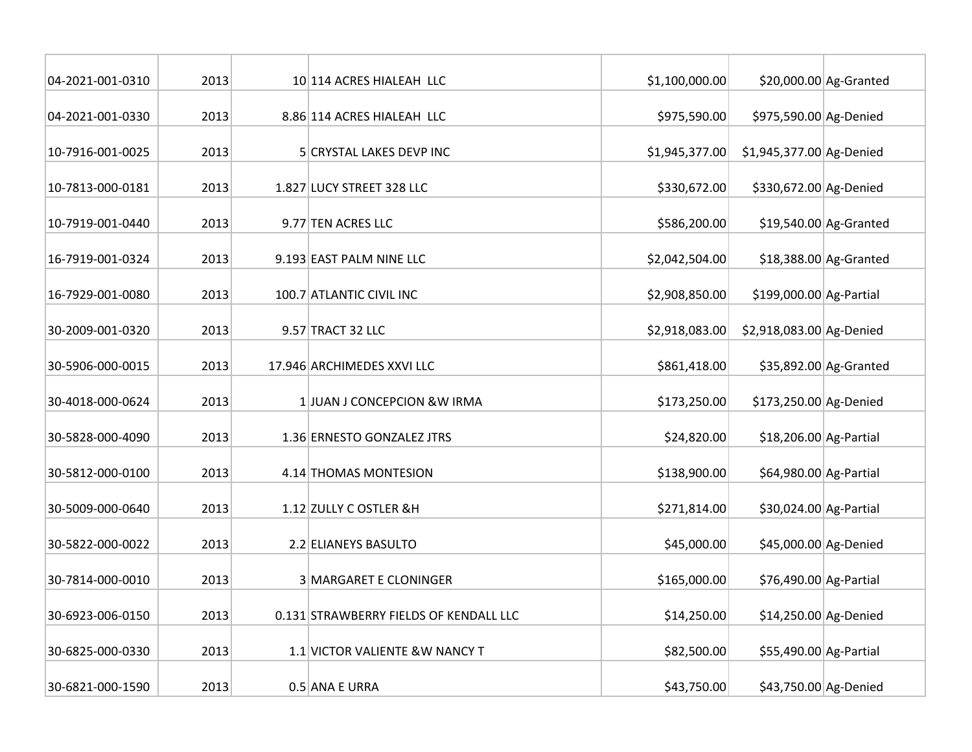| 04-2021-001-0310 | 2013 | 10 114 ACRES HIALEAH LLC               | \$1,100,000.00 |                          | \$20,000.00 Ag-Granted |
|------------------|------|----------------------------------------|----------------|--------------------------|------------------------|
| 04-2021-001-0330 | 2013 | 8.86 114 ACRES HIALEAH LLC             | \$975,590.00   | \$975,590.00 Ag-Denied   |                        |
| 10-7916-001-0025 | 2013 | 5 CRYSTAL LAKES DEVP INC               | \$1,945,377.00 | \$1,945,377.00 Ag-Denied |                        |
| 10-7813-000-0181 | 2013 | 1.827 LUCY STREET 328 LLC              | \$330,672.00   | \$330,672.00 Ag-Denied   |                        |
| 10-7919-001-0440 | 2013 | 9.77 TEN ACRES LLC                     | \$586,200.00   |                          | \$19,540.00 Ag-Granted |
| 16-7919-001-0324 | 2013 | 9.193 EAST PALM NINE LLC               | \$2,042,504.00 |                          | \$18,388.00 Ag-Granted |
| 16-7929-001-0080 | 2013 | 100.7 ATLANTIC CIVIL INC               | \$2,908,850.00 | \$199,000.00 Ag-Partial  |                        |
| 30-2009-001-0320 | 2013 | 9.57 TRACT 32 LLC                      | \$2,918,083.00 | \$2,918,083.00 Ag-Denied |                        |
| 30-5906-000-0015 | 2013 | 17.946 ARCHIMEDES XXVI LLC             | \$861,418.00   |                          | \$35,892.00 Ag-Granted |
| 30-4018-000-0624 | 2013 | 1 JUAN J CONCEPCION & W IRMA           | \$173,250.00   | \$173,250.00 Ag-Denied   |                        |
| 30-5828-000-4090 | 2013 | 1.36 ERNESTO GONZALEZ JTRS             | \$24,820.00    | \$18,206.00 Ag-Partial   |                        |
| 30-5812-000-0100 | 2013 | 4.14 THOMAS MONTESION                  | \$138,900.00   | \$64,980.00 Ag-Partial   |                        |
| 30-5009-000-0640 | 2013 | 1.12 ZULLY C OSTLER &H                 | \$271,814.00   | \$30,024.00 Ag-Partial   |                        |
| 30-5822-000-0022 | 2013 | 2.2 ELIANEYS BASULTO                   | \$45,000.00    | \$45,000.00 Ag-Denied    |                        |
| 30-7814-000-0010 | 2013 | <b>3 MARGARET E CLONINGER</b>          | \$165,000.00   | \$76,490.00 Ag-Partial   |                        |
| 30-6923-006-0150 | 2013 | 0.131 STRAWBERRY FIELDS OF KENDALL LLC | \$14,250.00    | \$14,250.00 Ag-Denied    |                        |
| 30-6825-000-0330 | 2013 | 1.1 VICTOR VALIENTE & W NANCY T        | \$82,500.00    | \$55,490.00 Ag-Partial   |                        |
| 30-6821-000-1590 | 2013 | 0.5 ANA E URRA                         | \$43,750.00    | \$43,750.00 Ag-Denied    |                        |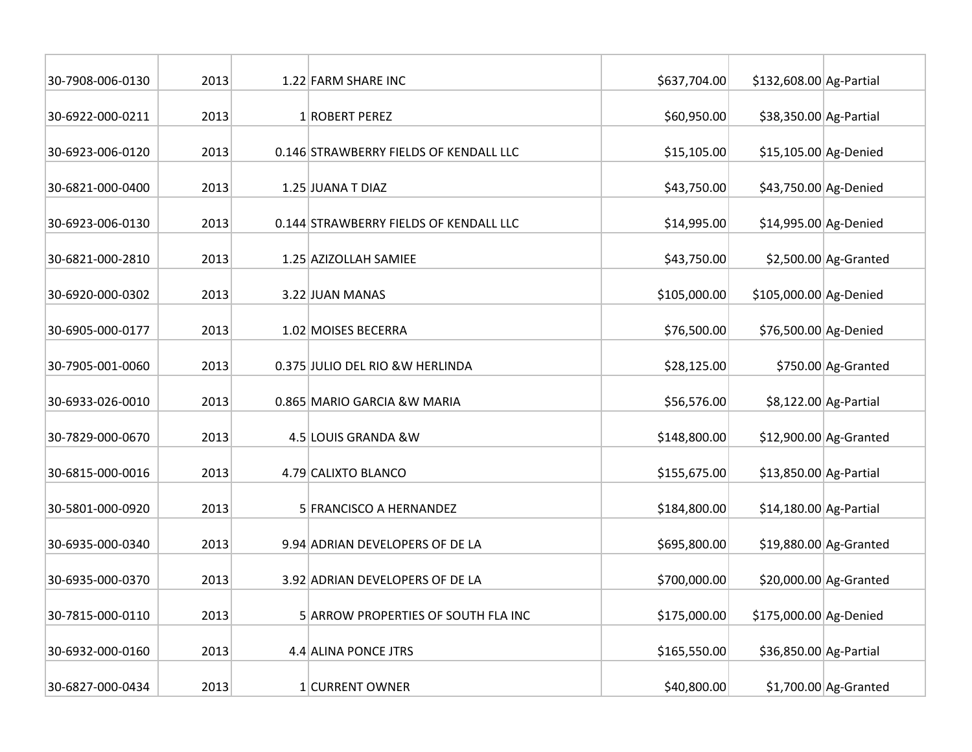| 30-7908-006-0130 | 2013 | 1.22 FARM SHARE INC                    | \$637,704.00 | \$132,608.00 Ag-Partial |                         |
|------------------|------|----------------------------------------|--------------|-------------------------|-------------------------|
| 30-6922-000-0211 | 2013 | 1 ROBERT PEREZ                         | \$60,950.00  | \$38,350.00 Ag-Partial  |                         |
| 30-6923-006-0120 | 2013 | 0.146 STRAWBERRY FIELDS OF KENDALL LLC | \$15,105.00  | \$15,105.00 Ag-Denied   |                         |
| 30-6821-000-0400 | 2013 | 1.25 JUANA T DIAZ                      | \$43,750.00  | \$43,750.00 Ag-Denied   |                         |
| 30-6923-006-0130 | 2013 | 0.144 STRAWBERRY FIELDS OF KENDALL LLC | \$14,995.00  | \$14,995.00 Ag-Denied   |                         |
| 30-6821-000-2810 | 2013 | 1.25 AZIZOLLAH SAMIEE                  | \$43,750.00  |                         | $$2,500.00$ Ag-Granted  |
| 30-6920-000-0302 | 2013 | 3.22 JUAN MANAS                        | \$105,000.00 | \$105,000.00 Ag-Denied  |                         |
| 30-6905-000-0177 | 2013 | 1.02 MOISES BECERRA                    | \$76,500.00  | \$76,500.00 Ag-Denied   |                         |
| 30-7905-001-0060 | 2013 | 0.375 JULIO DEL RIO &W HERLINDA        | \$28,125.00  |                         | \$750.00 Ag-Granted     |
| 30-6933-026-0010 | 2013 | 0.865 MARIO GARCIA & W MARIA           | \$56,576.00  |                         | \$8,122.00 Ag-Partial   |
| 30-7829-000-0670 | 2013 | 4.5 LOUIS GRANDA &W                    | \$148,800.00 |                         | $$12,900.00$ Ag-Granted |
| 30-6815-000-0016 | 2013 | 4.79 CALIXTO BLANCO                    | \$155,675.00 | \$13,850.00 Ag-Partial  |                         |
| 30-5801-000-0920 | 2013 | 5 FRANCISCO A HERNANDEZ                | \$184,800.00 | \$14,180.00 Ag-Partial  |                         |
| 30-6935-000-0340 | 2013 | 9.94 ADRIAN DEVELOPERS OF DE LA        | \$695,800.00 |                         | \$19,880.00 Ag-Granted  |
| 30-6935-000-0370 | 2013 | 3.92 ADRIAN DEVELOPERS OF DE LA        | \$700,000.00 |                         | \$20,000.00 Ag-Granted  |
| 30-7815-000-0110 | 2013 | 5 ARROW PROPERTIES OF SOUTH FLA INC    | \$175,000.00 | \$175,000.00 Ag-Denied  |                         |
| 30-6932-000-0160 | 2013 | 4.4 ALINA PONCE JTRS                   | \$165,550.00 | \$36,850.00 Ag-Partial  |                         |
| 30-6827-000-0434 | 2013 | 1 CURRENT OWNER                        | \$40,800.00  |                         | $$1,700.00$ Ag-Granted  |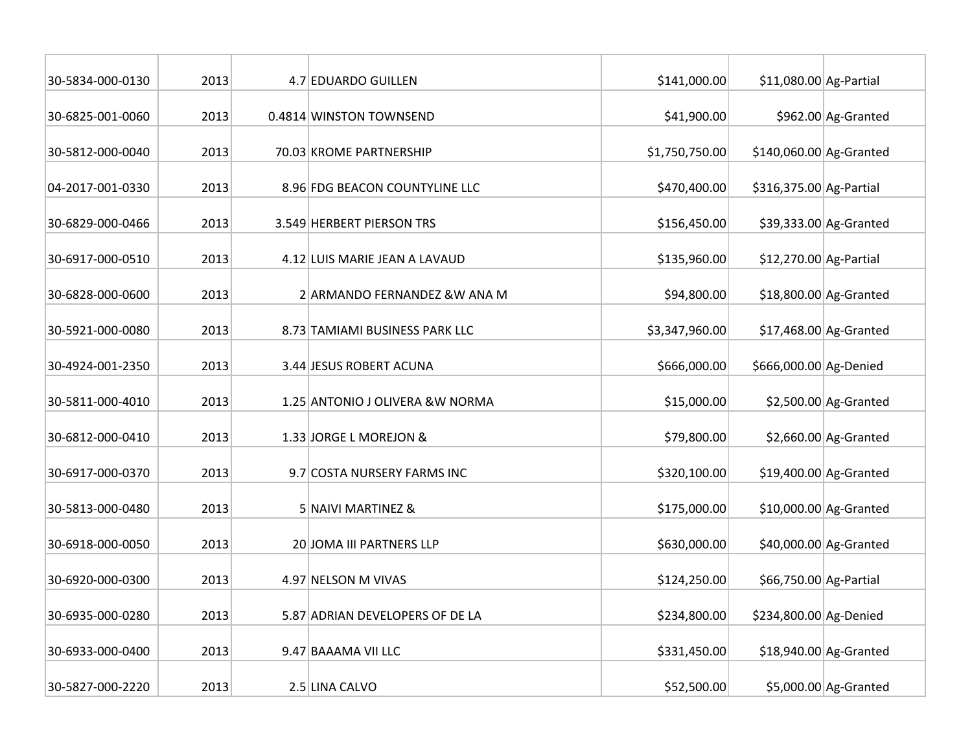| 30-5834-000-0130 | 2013 | 4.7 EDUARDO GUILLEN              | \$141,000.00   | \$11,080.00 Ag-Partial  |                         |
|------------------|------|----------------------------------|----------------|-------------------------|-------------------------|
| 30-6825-001-0060 | 2013 | 0.4814 WINSTON TOWNSEND          | \$41,900.00    |                         | \$962.00 Ag-Granted     |
| 30-5812-000-0040 | 2013 | 70.03 KROME PARTNERSHIP          | \$1,750,750.00 | \$140,060.00 Ag-Granted |                         |
| 04-2017-001-0330 | 2013 | 8.96 FDG BEACON COUNTYLINE LLC   | \$470,400.00   | \$316,375.00 Ag-Partial |                         |
| 30-6829-000-0466 | 2013 | 3.549 HERBERT PIERSON TRS        | \$156,450.00   |                         | \$39,333.00 Ag-Granted  |
| 30-6917-000-0510 | 2013 | 4.12 LUIS MARIE JEAN A LAVAUD    | \$135,960.00   | \$12,270.00 Ag-Partial  |                         |
| 30-6828-000-0600 | 2013 | 2 ARMANDO FERNANDEZ & W ANA M    | \$94,800.00    |                         | $$18,800.00$ Ag-Granted |
| 30-5921-000-0080 | 2013 | 8.73 TAMIAMI BUSINESS PARK LLC   | \$3,347,960.00 |                         | $$17,468.00$ Ag-Granted |
| 30-4924-001-2350 | 2013 | 3.44 JESUS ROBERT ACUNA          | \$666,000.00   | \$666,000.00 Ag-Denied  |                         |
| 30-5811-000-4010 | 2013 | 1.25 ANTONIO J OLIVERA & W NORMA | \$15,000.00    |                         | $$2,500.00$ Ag-Granted  |
| 30-6812-000-0410 | 2013 | 1.33 JORGE L MOREJON &           | \$79,800.00    |                         | $$2,660.00$ Ag-Granted  |
| 30-6917-000-0370 | 2013 | 9.7 COSTA NURSERY FARMS INC      | \$320,100.00   |                         | \$19,400.00 Ag-Granted  |
| 30-5813-000-0480 | 2013 | 5 NAIVI MARTINEZ &               | \$175,000.00   |                         | \$10,000.00 Ag-Granted  |
| 30-6918-000-0050 | 2013 | 20 JOMA III PARTNERS LLP         | \$630,000.00   |                         | \$40,000.00 Ag-Granted  |
| 30-6920-000-0300 | 2013 | 4.97 NELSON M VIVAS              | \$124,250.00   | \$66,750.00 Ag-Partial  |                         |
| 30-6935-000-0280 | 2013 | 5.87 ADRIAN DEVELOPERS OF DE LA  | \$234,800.00   | \$234,800.00 Ag-Denied  |                         |
| 30-6933-000-0400 | 2013 | 9.47 BAAAMA VII LLC              | \$331,450.00   |                         | \$18,940.00 Ag-Granted  |
| 30-5827-000-2220 | 2013 | 2.5 LINA CALVO                   | \$52,500.00    |                         | $$5,000.00$ Ag-Granted  |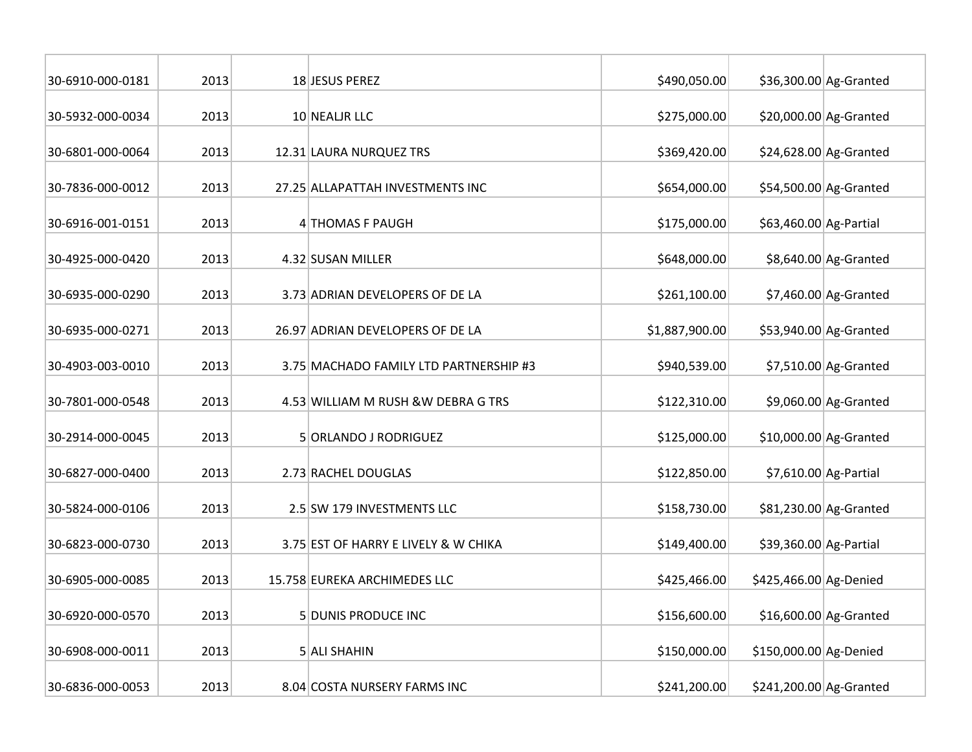| 30-6910-000-0181 | 2013 | 18 JESUS PEREZ                         | \$490,050.00   |                         | \$36,300.00 Ag-Granted  |
|------------------|------|----------------------------------------|----------------|-------------------------|-------------------------|
| 30-5932-000-0034 | 2013 | 10 NEALIR LLC                          | \$275,000.00   |                         | $$20,000.00$ Ag-Granted |
| 30-6801-000-0064 | 2013 | 12.31 LAURA NURQUEZ TRS                | \$369,420.00   |                         | \$24,628.00 Ag-Granted  |
| 30-7836-000-0012 | 2013 | 27.25 ALLAPATTAH INVESTMENTS INC       | \$654,000.00   |                         | \$54,500.00 Ag-Granted  |
| 30-6916-001-0151 | 2013 | 4 THOMAS F PAUGH                       | \$175,000.00   | \$63,460.00 Ag-Partial  |                         |
| 30-4925-000-0420 | 2013 | 4.32 SUSAN MILLER                      | \$648,000.00   |                         | \$8,640.00 Ag-Granted   |
| 30-6935-000-0290 | 2013 | 3.73 ADRIAN DEVELOPERS OF DE LA        | \$261,100.00   |                         | $$7,460.00$ Ag-Granted  |
| 30-6935-000-0271 | 2013 | 26.97 ADRIAN DEVELOPERS OF DE LA       | \$1,887,900.00 |                         | \$53,940.00 Ag-Granted  |
| 30-4903-003-0010 | 2013 | 3.75 MACHADO FAMILY LTD PARTNERSHIP #3 | \$940,539.00   |                         | $$7,510.00$ Ag-Granted  |
| 30-7801-000-0548 | 2013 | 4.53 WILLIAM M RUSH & W DEBRA G TRS    | \$122,310.00   |                         | \$9,060.00 Ag-Granted   |
| 30-2914-000-0045 | 2013 | 5 ORLANDO J RODRIGUEZ                  | \$125,000.00   |                         | $$10,000.00$ Ag-Granted |
| 30-6827-000-0400 | 2013 | 2.73 RACHEL DOUGLAS                    | \$122,850.00   |                         | $$7,610.00$ Ag-Partial  |
| 30-5824-000-0106 | 2013 | 2.5 SW 179 INVESTMENTS LLC             | \$158,730.00   |                         | \$81,230.00 Ag-Granted  |
| 30-6823-000-0730 | 2013 | 3.75 EST OF HARRY E LIVELY & W CHIKA   | \$149,400.00   | \$39,360.00 Ag-Partial  |                         |
| 30-6905-000-0085 | 2013 | 15.758 EUREKA ARCHIMEDES LLC           | \$425,466.00   | \$425,466.00 Ag-Denied  |                         |
| 30-6920-000-0570 | 2013 | 5 DUNIS PRODUCE INC                    | \$156,600.00   |                         | \$16,600.00 Ag-Granted  |
| 30-6908-000-0011 | 2013 | 5 ALI SHAHIN                           | \$150,000.00   | \$150,000.00 Ag-Denied  |                         |
| 30-6836-000-0053 | 2013 | 8.04 COSTA NURSERY FARMS INC           | \$241,200.00   | \$241,200.00 Ag-Granted |                         |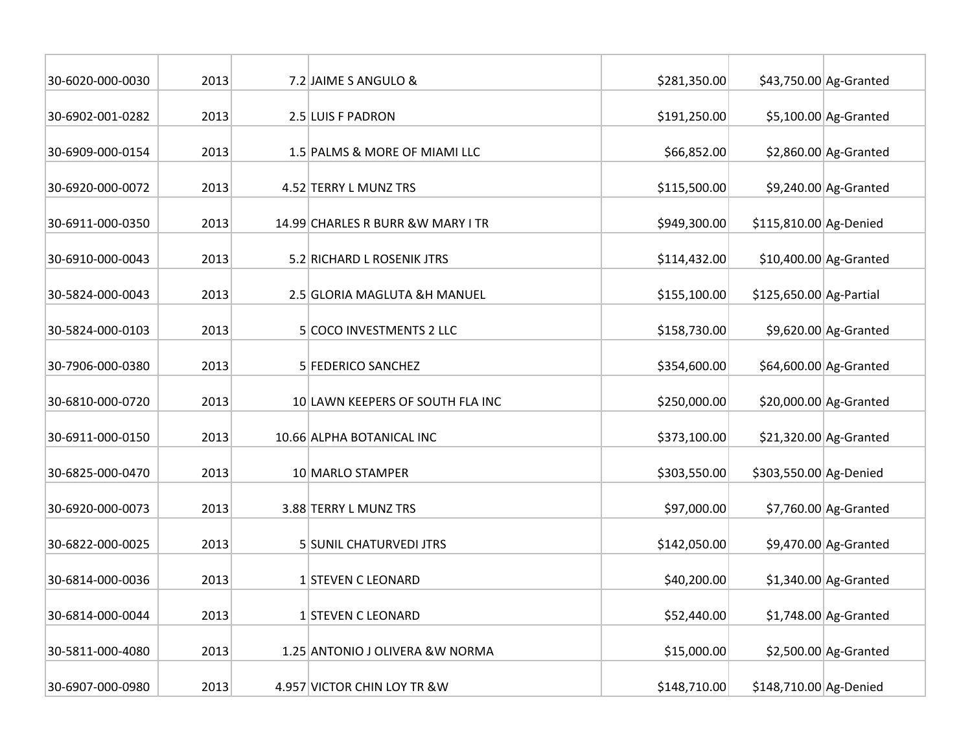| 30-6020-000-0030 | 2013 | 7.2 JAIME S ANGULO &               | \$281,350.00 |                         | \$43,750.00 Ag-Granted  |
|------------------|------|------------------------------------|--------------|-------------------------|-------------------------|
| 30-6902-001-0282 | 2013 | 2.5 LUIS F PADRON                  | \$191,250.00 |                         | $$5,100.00$ Ag-Granted  |
| 30-6909-000-0154 | 2013 | 1.5 PALMS & MORE OF MIAMI LLC      | \$66,852.00  |                         | $$2,860.00$ Ag-Granted  |
| 30-6920-000-0072 | 2013 | 4.52 TERRY L MUNZ TRS              | \$115,500.00 |                         | $$9,240.00$ Ag-Granted  |
| 30-6911-000-0350 | 2013 | 14.99 CHARLES R BURR & W MARY I TR | \$949,300.00 | \$115,810.00 Ag-Denied  |                         |
| 30-6910-000-0043 | 2013 | 5.2 RICHARD L ROSENIK JTRS         | \$114,432.00 |                         | \$10,400.00 Ag-Granted  |
| 30-5824-000-0043 | 2013 | 2.5 GLORIA MAGLUTA &H MANUEL       | \$155,100.00 | \$125,650.00 Ag-Partial |                         |
| 30-5824-000-0103 | 2013 | 5 COCO INVESTMENTS 2 LLC           | \$158,730.00 |                         | $$9,620.00$ Ag-Granted  |
| 30-7906-000-0380 | 2013 | 5 FEDERICO SANCHEZ                 | \$354,600.00 |                         | \$64,600.00 Ag-Granted  |
| 30-6810-000-0720 | 2013 | 10 LAWN KEEPERS OF SOUTH FLA INC   | \$250,000.00 |                         | $$20,000.00$ Ag-Granted |
| 30-6911-000-0150 | 2013 | 10.66 ALPHA BOTANICAL INC          | \$373,100.00 |                         | $$21,320.00$ Ag-Granted |
| 30-6825-000-0470 | 2013 | 10 MARLO STAMPER                   | \$303,550.00 | \$303,550.00 Ag-Denied  |                         |
| 30-6920-000-0073 | 2013 | 3.88 TERRY L MUNZ TRS              | \$97,000.00  |                         | $$7,760.00$ Ag-Granted  |
| 30-6822-000-0025 | 2013 | <b>5 SUNIL CHATURVEDI JTRS</b>     | \$142,050.00 |                         | $$9,470.00$ Ag-Granted  |
| 30-6814-000-0036 | 2013 | 1 STEVEN C LEONARD                 | \$40,200.00  |                         | $$1,340.00$ Ag-Granted  |
| 30-6814-000-0044 | 2013 | 1 STEVEN C LEONARD                 | \$52,440.00  |                         | $$1,748.00$ Ag-Granted  |
| 30-5811-000-4080 | 2013 | 1.25 ANTONIO J OLIVERA & W NORMA   | \$15,000.00  |                         | $$2,500.00$ Ag-Granted  |
| 30-6907-000-0980 | 2013 | 4.957 VICTOR CHIN LOY TR & W       | \$148,710.00 | \$148,710.00 Ag-Denied  |                         |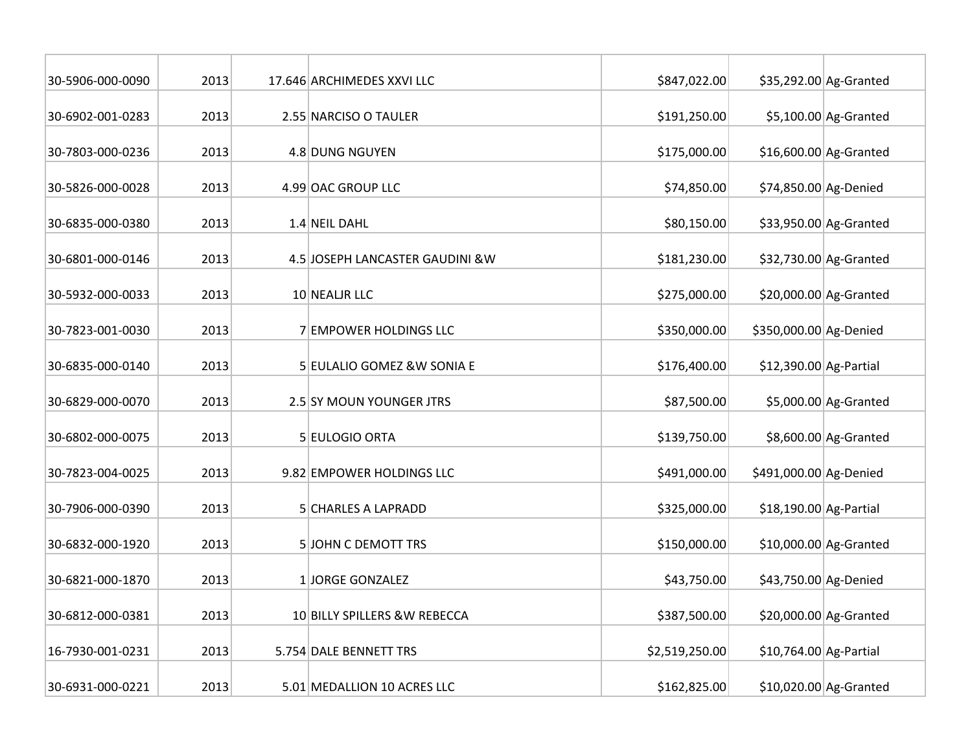| 30-5906-000-0090 | 2013 | 17.646 ARCHIMEDES XXVI LLC       | \$847,022.00   |                        | \$35,292.00 Ag-Granted  |
|------------------|------|----------------------------------|----------------|------------------------|-------------------------|
| 30-6902-001-0283 | 2013 | 2.55 NARCISO O TAULER            | \$191,250.00   |                        | $$5,100.00$ Ag-Granted  |
| 30-7803-000-0236 | 2013 | 4.8 DUNG NGUYEN                  | \$175,000.00   |                        | $$16,600.00$ Ag-Granted |
| 30-5826-000-0028 | 2013 | 4.99 OAC GROUP LLC               | \$74,850.00    | \$74,850.00 Ag-Denied  |                         |
| 30-6835-000-0380 | 2013 | 1.4 NEIL DAHL                    | \$80,150.00    |                        | \$33,950.00 Ag-Granted  |
| 30-6801-000-0146 | 2013 | 4.5 JOSEPH LANCASTER GAUDINI & W | \$181,230.00   |                        | \$32,730.00 Ag-Granted  |
| 30-5932-000-0033 | 2013 | 10 NEALIR LLC                    | \$275,000.00   |                        | \$20,000.00 Ag-Granted  |
| 30-7823-001-0030 | 2013 | 7 EMPOWER HOLDINGS LLC           | \$350,000.00   | \$350,000.00 Ag-Denied |                         |
| 30-6835-000-0140 | 2013 | 5 EULALIO GOMEZ & W SONIA E      | \$176,400.00   | \$12,390.00 Ag-Partial |                         |
| 30-6829-000-0070 | 2013 | 2.5 SY MOUN YOUNGER JTRS         | \$87,500.00    |                        | $$5,000.00$ Ag-Granted  |
| 30-6802-000-0075 | 2013 | 5 EULOGIO ORTA                   | \$139,750.00   |                        | \$8,600.00 Ag-Granted   |
| 30-7823-004-0025 | 2013 | 9.82 EMPOWER HOLDINGS LLC        | \$491,000.00   | \$491,000.00 Ag-Denied |                         |
| 30-7906-000-0390 | 2013 | 5 CHARLES A LAPRADD              | \$325,000.00   | \$18,190.00 Ag-Partial |                         |
| 30-6832-000-1920 | 2013 | <b>5 JOHN C DEMOTT TRS</b>       | \$150,000.00   |                        | \$10,000.00 Ag-Granted  |
| 30-6821-000-1870 | 2013 | 1 JORGE GONZALEZ                 | \$43,750.00    | \$43,750.00 Ag-Denied  |                         |
| 30-6812-000-0381 | 2013 | 10 BILLY SPILLERS & W REBECCA    | \$387,500.00   |                        | \$20,000.00 Ag-Granted  |
| 16-7930-001-0231 | 2013 | 5.754 DALE BENNETT TRS           | \$2,519,250.00 | \$10,764.00 Ag-Partial |                         |
| 30-6931-000-0221 | 2013 | 5.01 MEDALLION 10 ACRES LLC      | \$162,825.00   |                        | \$10,020.00 Ag-Granted  |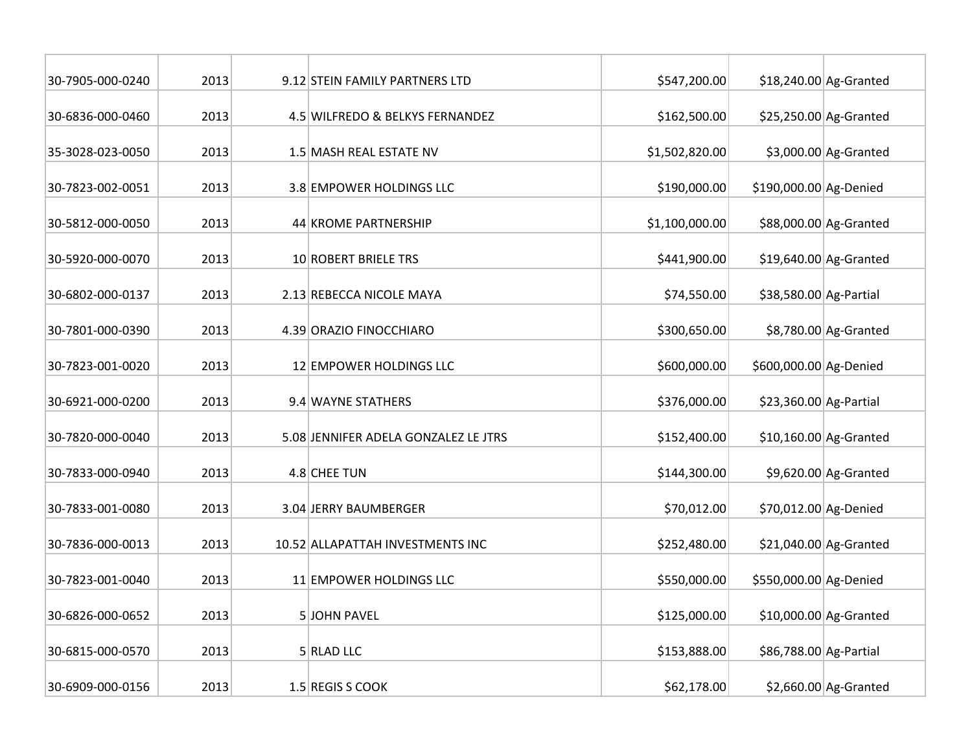| 30-7905-000-0240 | 2013 | 9.12 STEIN FAMILY PARTNERS LTD       | \$547,200.00   |                        | $$18,240.00$ Ag-Granted |
|------------------|------|--------------------------------------|----------------|------------------------|-------------------------|
| 30-6836-000-0460 | 2013 | 4.5 WILFREDO & BELKYS FERNANDEZ      | \$162,500.00   |                        | $$25,250.00$ Ag-Granted |
| 35-3028-023-0050 | 2013 | 1.5 MASH REAL ESTATE NV              | \$1,502,820.00 |                        | $$3,000.00$ Ag-Granted  |
| 30-7823-002-0051 | 2013 | 3.8 EMPOWER HOLDINGS LLC             | \$190,000.00   | \$190,000.00 Ag-Denied |                         |
| 30-5812-000-0050 | 2013 | 44 KROME PARTNERSHIP                 | \$1,100,000.00 |                        | \$88,000.00 Ag-Granted  |
| 30-5920-000-0070 | 2013 | 10 ROBERT BRIELE TRS                 | \$441,900.00   |                        | \$19,640.00 Ag-Granted  |
| 30-6802-000-0137 | 2013 | 2.13 REBECCA NICOLE MAYA             | \$74,550.00    | \$38,580.00 Ag-Partial |                         |
| 30-7801-000-0390 | 2013 | 4.39 ORAZIO FINOCCHIARO              | \$300,650.00   |                        | \$8,780.00 Ag-Granted   |
| 30-7823-001-0020 | 2013 | 12 EMPOWER HOLDINGS LLC              | \$600,000.00   | \$600,000.00 Ag-Denied |                         |
| 30-6921-000-0200 | 2013 | 9.4 WAYNE STATHERS                   | \$376,000.00   | \$23,360.00 Ag-Partial |                         |
| 30-7820-000-0040 | 2013 | 5.08 JENNIFER ADELA GONZALEZ LE JTRS | \$152,400.00   |                        | $$10,160.00$ Ag-Granted |
| 30-7833-000-0940 | 2013 | 4.8 CHEE TUN                         | \$144,300.00   |                        | \$9,620.00 Ag-Granted   |
| 30-7833-001-0080 | 2013 | 3.04 JERRY BAUMBERGER                | \$70,012.00    | \$70,012.00 Ag-Denied  |                         |
| 30-7836-000-0013 | 2013 | 10.52 ALLAPATTAH INVESTMENTS INC     | \$252,480.00   |                        | \$21,040.00 Ag-Granted  |
| 30-7823-001-0040 | 2013 | 11 EMPOWER HOLDINGS LLC              | \$550,000.00   | \$550,000.00 Ag-Denied |                         |
| 30-6826-000-0652 | 2013 | 5 JOHN PAVEL                         | \$125,000.00   |                        | \$10,000.00 Ag-Granted  |
| 30-6815-000-0570 | 2013 | 5 RLAD LLC                           | \$153,888.00   | \$86,788.00 Ag-Partial |                         |
| 30-6909-000-0156 | 2013 | 1.5 REGIS S COOK                     | \$62,178.00    |                        | $$2,660.00$ Ag-Granted  |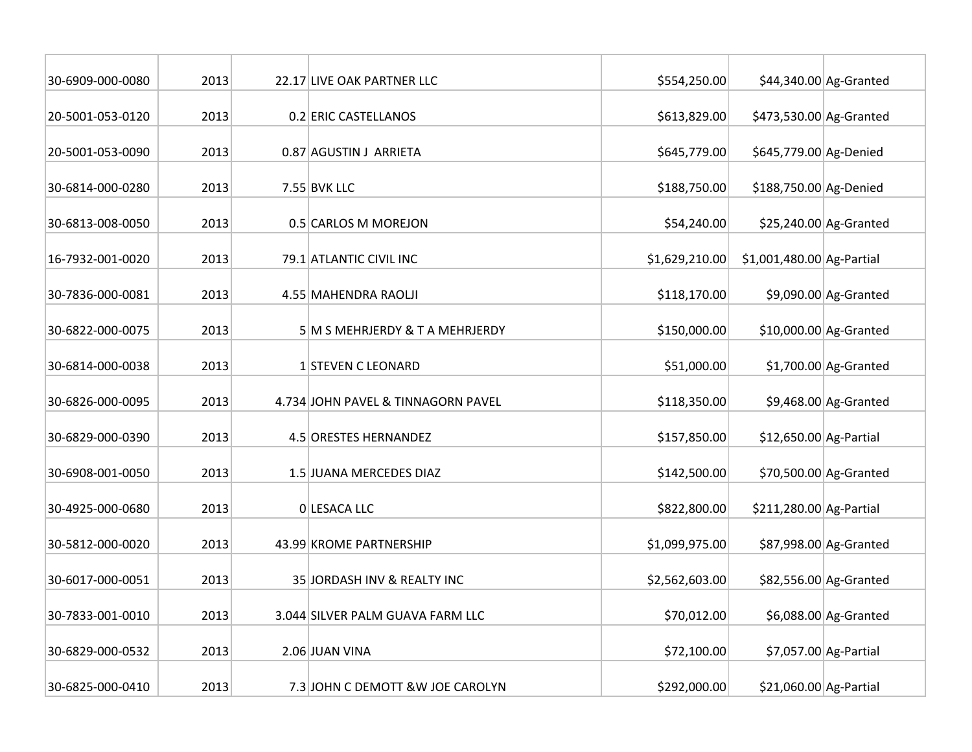| 30-6909-000-0080 | 2013 | 22.17 LIVE OAK PARTNER LLC         | \$554,250.00   |                            | \$44,340.00 Ag-Granted |
|------------------|------|------------------------------------|----------------|----------------------------|------------------------|
| 20-5001-053-0120 | 2013 | 0.2 ERIC CASTELLANOS               | \$613,829.00   | \$473,530.00 Ag-Granted    |                        |
| 20-5001-053-0090 | 2013 | 0.87 AGUSTIN J ARRIETA             | \$645,779.00   | \$645,779.00 Ag-Denied     |                        |
| 30-6814-000-0280 | 2013 | 7.55 BVK LLC                       | \$188,750.00   | \$188,750.00 Ag-Denied     |                        |
| 30-6813-008-0050 | 2013 | 0.5 CARLOS M MOREJON               | \$54,240.00    |                            | \$25,240.00 Ag-Granted |
| 16-7932-001-0020 | 2013 | 79.1 ATLANTIC CIVIL INC            | \$1,629,210.00 | $$1,001,480.00$ Ag-Partial |                        |
| 30-7836-000-0081 | 2013 | 4.55 MAHENDRA RAOLJI               | \$118,170.00   |                            | \$9,090.00 Ag-Granted  |
| 30-6822-000-0075 | 2013 | 5 M S MEHRJERDY & T A MEHRJERDY    | \$150,000.00   |                            | \$10,000.00 Ag-Granted |
| 30-6814-000-0038 | 2013 | 1 STEVEN C LEONARD                 | \$51,000.00    |                            | $$1,700.00$ Ag-Granted |
| 30-6826-000-0095 | 2013 | 4.734 JOHN PAVEL & TINNAGORN PAVEL | \$118,350.00   |                            | $$9,468.00$ Ag-Granted |
| 30-6829-000-0390 | 2013 | 4.5 ORESTES HERNANDEZ              | \$157,850.00   | \$12,650.00 Ag-Partial     |                        |
| 30-6908-001-0050 | 2013 | 1.5 JUANA MERCEDES DIAZ            | \$142,500.00   |                            | \$70,500.00 Ag-Granted |
| 30-4925-000-0680 | 2013 | 0 LESACA LLC                       | \$822,800.00   | \$211,280.00 Ag-Partial    |                        |
| 30-5812-000-0020 | 2013 | 43.99 KROME PARTNERSHIP            | \$1,099,975.00 |                            | \$87,998.00 Ag-Granted |
| 30-6017-000-0051 | 2013 | 35 JORDASH INV & REALTY INC        | \$2,562,603.00 |                            | \$82,556.00 Ag-Granted |
| 30-7833-001-0010 | 2013 | 3.044 SILVER PALM GUAVA FARM LLC   | \$70,012.00    |                            | \$6,088.00 Ag-Granted  |
| 30-6829-000-0532 | 2013 | 2.06 JUAN VINA                     | \$72,100.00    |                            | \$7,057.00 Ag-Partial  |
| 30-6825-000-0410 | 2013 | 7.3 JOHN C DEMOTT & W JOE CAROLYN  | \$292,000.00   | \$21,060.00 Ag-Partial     |                        |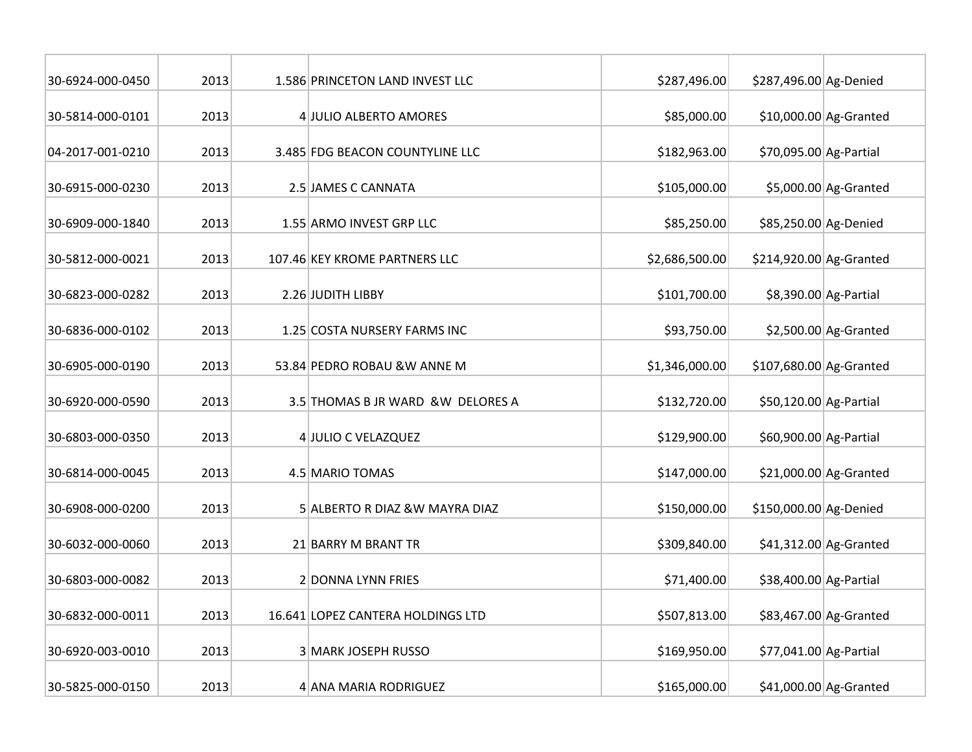| 30-6924-000-0450 | 2013 | 1.586 PRINCETON LAND INVEST LLC   | \$287,496.00   | \$287,496.00 Ag-Denied  |                         |
|------------------|------|-----------------------------------|----------------|-------------------------|-------------------------|
| 30-5814-000-0101 | 2013 | 4 JULIO ALBERTO AMORES            | \$85,000.00    |                         | $$10,000.00$ Ag-Granted |
|                  |      |                                   |                |                         |                         |
| 04-2017-001-0210 | 2013 | 3.485 FDG BEACON COUNTYLINE LLC   | \$182,963.00   | \$70,095.00 Ag-Partial  |                         |
| 30-6915-000-0230 | 2013 | 2.5 JAMES C CANNATA               | \$105,000.00   |                         | \$5,000.00 Ag-Granted   |
| 30-6909-000-1840 | 2013 | 1.55 ARMO INVEST GRP LLC          | \$85,250.00    | \$85,250.00 Ag-Denied   |                         |
| 30-5812-000-0021 | 2013 | 107.46 KEY KROME PARTNERS LLC     | \$2,686,500.00 | \$214,920.00 Ag-Granted |                         |
| 30-6823-000-0282 | 2013 | 2.26 JUDITH LIBBY                 | \$101,700.00   |                         | \$8,390.00 Ag-Partial   |
| 30-6836-000-0102 | 2013 | 1.25 COSTA NURSERY FARMS INC      | \$93,750.00    |                         | $$2,500.00$ Ag-Granted  |
| 30-6905-000-0190 | 2013 | 53.84 PEDRO ROBAU &W ANNE M       | \$1,346,000.00 | \$107,680.00 Ag-Granted |                         |
| 30-6920-000-0590 | 2013 | 3.5 THOMAS B JR WARD &W DELORES A | \$132,720.00   | \$50,120.00 Ag-Partial  |                         |
| 30-6803-000-0350 | 2013 | 4 JULIO C VELAZQUEZ               | \$129,900.00   | \$60,900.00 Ag-Partial  |                         |
| 30-6814-000-0045 | 2013 | 4.5 MARIO TOMAS                   | \$147,000.00   |                         | $$21,000.00$ Ag-Granted |
| 30-6908-000-0200 | 2013 | 5 ALBERTO R DIAZ & W MAYRA DIAZ   | \$150,000.00   | \$150,000.00 Ag-Denied  |                         |
| 30-6032-000-0060 | 2013 | 21 BARRY M BRANT TR               | \$309,840.00   |                         | $$41,312.00$ Ag-Granted |
| 30-6803-000-0082 | 2013 | 2 DONNA LYNN FRIES                | \$71,400.00    | \$38,400.00 Ag-Partial  |                         |
| 30-6832-000-0011 | 2013 | 16.641 LOPEZ CANTERA HOLDINGS LTD | \$507,813.00   |                         | \$83,467.00 Ag-Granted  |
| 30-6920-003-0010 | 2013 | 3 MARK JOSEPH RUSSO               | \$169,950.00   | \$77,041.00 Ag-Partial  |                         |
| 30-5825-000-0150 | 2013 | 4 ANA MARIA RODRIGUEZ             | \$165,000.00   |                         | \$41,000.00 Ag-Granted  |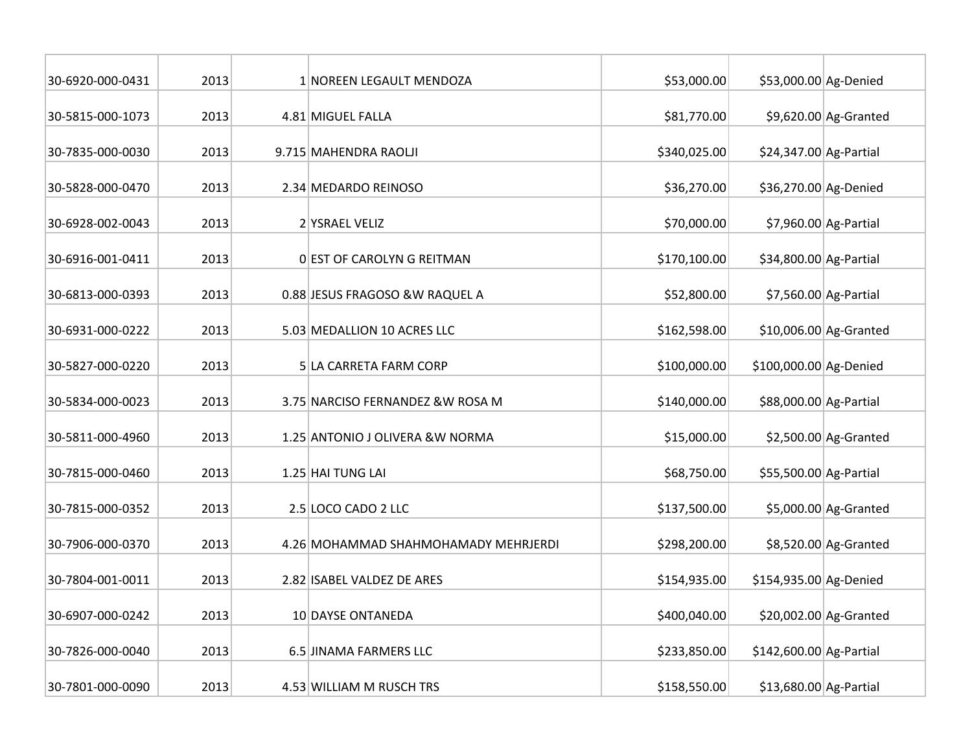| 30-6920-000-0431 | 2013 | 1 NOREEN LEGAULT MENDOZA             | \$53,000.00  | \$53,000.00 Ag-Denied   |                         |
|------------------|------|--------------------------------------|--------------|-------------------------|-------------------------|
| 30-5815-000-1073 | 2013 | 4.81 MIGUEL FALLA                    | \$81,770.00  |                         | $$9,620.00$ Ag-Granted  |
|                  |      |                                      |              |                         |                         |
| 30-7835-000-0030 | 2013 | 9.715 MAHENDRA RAOLJI                | \$340,025.00 | \$24,347.00 Ag-Partial  |                         |
| 30-5828-000-0470 | 2013 | 2.34 MEDARDO REINOSO                 | \$36,270.00  | \$36,270.00 Ag-Denied   |                         |
| 30-6928-002-0043 | 2013 | 2 YSRAEL VELIZ                       | \$70,000.00  |                         | \$7,960.00 Ag-Partial   |
| 30-6916-001-0411 | 2013 | 0 EST OF CAROLYN G REITMAN           | \$170,100.00 | \$34,800.00 Ag-Partial  |                         |
| 30-6813-000-0393 | 2013 | 0.88 JESUS FRAGOSO & W RAQUEL A      | \$52,800.00  |                         | \$7,560.00 Ag-Partial   |
| 30-6931-000-0222 | 2013 | 5.03 MEDALLION 10 ACRES LLC          | \$162,598.00 |                         | \$10,006.00 Ag-Granted  |
| 30-5827-000-0220 | 2013 | 5 LA CARRETA FARM CORP               | \$100,000.00 | \$100,000.00 Ag-Denied  |                         |
| 30-5834-000-0023 | 2013 | 3.75 NARCISO FERNANDEZ & W ROSA M    | \$140,000.00 | \$88,000.00 Ag-Partial  |                         |
| 30-5811-000-4960 | 2013 | 1.25 ANTONIO J OLIVERA & W NORMA     | \$15,000.00  |                         | $$2,500.00$ Ag-Granted  |
| 30-7815-000-0460 | 2013 | 1.25 HAI TUNG LAI                    | \$68,750.00  | \$55,500.00 Ag-Partial  |                         |
| 30-7815-000-0352 | 2013 | 2.5 LOCO CADO 2 LLC                  | \$137,500.00 |                         | $$5,000.00$ Ag-Granted  |
| 30-7906-000-0370 | 2013 | 4.26 MOHAMMAD SHAHMOHAMADY MEHRJERDI | \$298,200.00 |                         | \$8,520.00 Ag-Granted   |
| 30-7804-001-0011 | 2013 | 2.82 ISABEL VALDEZ DE ARES           | \$154,935.00 | \$154,935.00 Ag-Denied  |                         |
| 30-6907-000-0242 | 2013 | 10 DAYSE ONTANEDA                    | \$400,040.00 |                         | $$20,002.00$ Ag-Granted |
| 30-7826-000-0040 | 2013 | 6.5 JINAMA FARMERS LLC               | \$233,850.00 | \$142,600.00 Ag-Partial |                         |
| 30-7801-000-0090 | 2013 | 4.53 WILLIAM M RUSCH TRS             | \$158,550.00 | \$13,680.00 Ag-Partial  |                         |